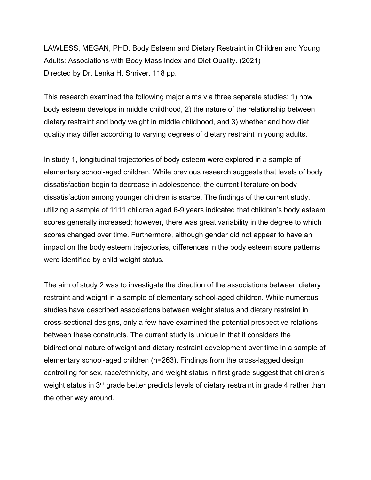LAWLESS, MEGAN, PHD. Body Esteem and Dietary Restraint in Children and Young Adults: Associations with Body Mass Index and Diet Quality. (2021) Directed by Dr. Lenka H. Shriver. 118 pp.

This research examined the following major aims via three separate studies: 1) how body esteem develops in middle childhood, 2) the nature of the relationship between dietary restraint and body weight in middle childhood, and 3) whether and how diet quality may differ according to varying degrees of dietary restraint in young adults.

In study 1, longitudinal trajectories of body esteem were explored in a sample of elementary school-aged children. While previous research suggests that levels of body dissatisfaction begin to decrease in adolescence, the current literature on body dissatisfaction among younger children is scarce. The findings of the current study, utilizing a sample of 1111 children aged 6-9 years indicated that children's body esteem scores generally increased; however, there was great variability in the degree to which scores changed over time. Furthermore, although gender did not appear to have an impact on the body esteem trajectories, differences in the body esteem score patterns were identified by child weight status.

The aim of study 2 was to investigate the direction of the associations between dietary restraint and weight in a sample of elementary school-aged children. While numerous studies have described associations between weight status and dietary restraint in cross-sectional designs, only a few have examined the potential prospective relations between these constructs. The current study is unique in that it considers the bidirectional nature of weight and dietary restraint development over time in a sample of elementary school-aged children (n=263). Findings from the cross-lagged design controlling for sex, race/ethnicity, and weight status in first grade suggest that children's weight status in 3<sup>rd</sup> grade better predicts levels of dietary restraint in grade 4 rather than the other way around.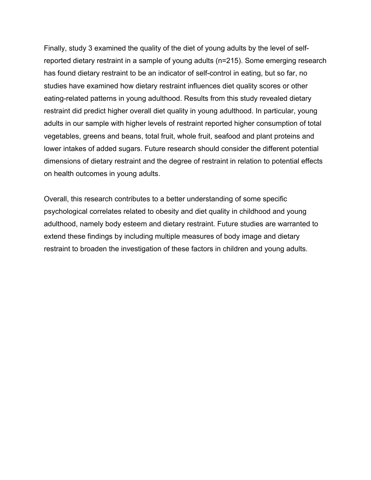Finally, study 3 examined the quality of the diet of young adults by the level of selfreported dietary restraint in a sample of young adults (n=215). Some emerging research has found dietary restraint to be an indicator of self-control in eating, but so far, no studies have examined how dietary restraint influences diet quality scores or other eating-related patterns in young adulthood. Results from this study revealed dietary restraint did predict higher overall diet quality in young adulthood. In particular, young adults in our sample with higher levels of restraint reported higher consumption of total vegetables, greens and beans, total fruit, whole fruit, seafood and plant proteins and lower intakes of added sugars. Future research should consider the different potential dimensions of dietary restraint and the degree of restraint in relation to potential effects on health outcomes in young adults.

Overall, this research contributes to a better understanding of some specific psychological correlates related to obesity and diet quality in childhood and young adulthood, namely body esteem and dietary restraint. Future studies are warranted to extend these findings by including multiple measures of body image and dietary restraint to broaden the investigation of these factors in children and young adults.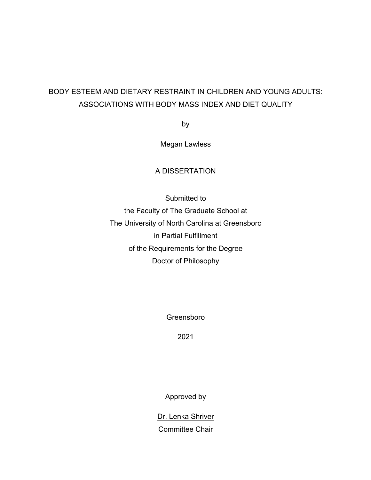# BODY ESTEEM AND DIETARY RESTRAINT IN CHILDREN AND YOUNG ADULTS: ASSOCIATIONS WITH BODY MASS INDEX AND DIET QUALITY

by

Megan Lawless

# A DISSERTATION

Submitted to the Faculty of The Graduate School at The University of North Carolina at Greensboro in Partial Fulfillment of the Requirements for the Degree Doctor of Philosophy

Greensboro

2021

Approved by

Dr. Lenka Shriver Committee Chair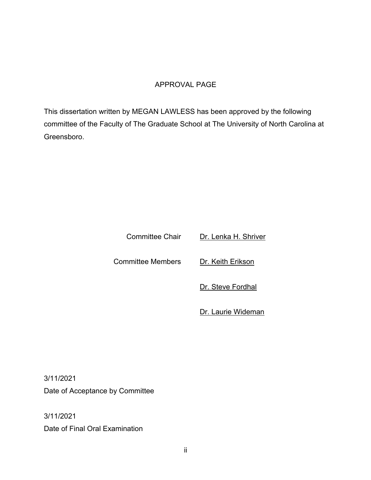# APPROVAL PAGE

This dissertation written by MEGAN LAWLESS has been approved by the following committee of the Faculty of The Graduate School at The University of North Carolina at Greensboro.

Committee Chair Dr. Lenka H. Shriver

Committee Members Dr. Keith Erikson

Dr. Steve Fordhal

Dr. Laurie Wideman

3/11/2021 Date of Acceptance by Committee

3/11/2021 Date of Final Oral Examination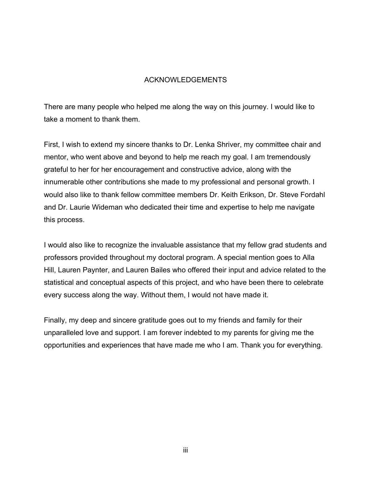# ACKNOWLEDGEMENTS

There are many people who helped me along the way on this journey. I would like to take a moment to thank them.

First, I wish to extend my sincere thanks to Dr. Lenka Shriver, my committee chair and mentor, who went above and beyond to help me reach my goal. I am tremendously grateful to her for her encouragement and constructive advice, along with the innumerable other contributions she made to my professional and personal growth. I would also like to thank fellow committee members Dr. Keith Erikson, Dr. Steve Fordahl and Dr. Laurie Wideman who dedicated their time and expertise to help me navigate this process.

I would also like to recognize the invaluable assistance that my fellow grad students and professors provided throughout my doctoral program. A special mention goes to Alla Hill, Lauren Paynter, and Lauren Bailes who offered their input and advice related to the statistical and conceptual aspects of this project, and who have been there to celebrate every success along the way. Without them, I would not have made it.

Finally, my deep and sincere gratitude goes out to my friends and family for their unparalleled love and support. I am forever indebted to my parents for giving me the opportunities and experiences that have made me who I am. Thank you for everything.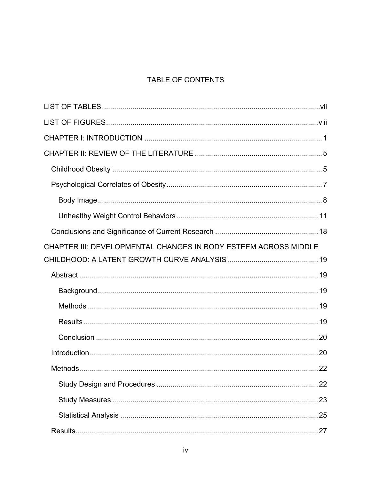# TABLE OF CONTENTS

| CHAPTER III: DEVELOPMENTAL CHANGES IN BODY ESTEEM ACROSS MIDDLE |  |
|-----------------------------------------------------------------|--|
|                                                                 |  |
|                                                                 |  |
|                                                                 |  |
|                                                                 |  |
|                                                                 |  |
|                                                                 |  |
|                                                                 |  |
|                                                                 |  |
|                                                                 |  |
|                                                                 |  |
|                                                                 |  |
|                                                                 |  |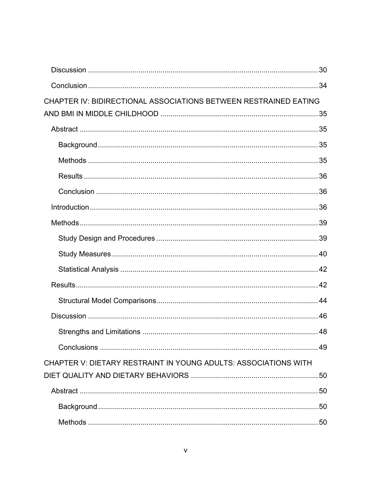| CHAPTER IV: BIDIRECTIONAL ASSOCIATIONS BETWEEN RESTRAINED EATING |  |
|------------------------------------------------------------------|--|
|                                                                  |  |
|                                                                  |  |
|                                                                  |  |
|                                                                  |  |
|                                                                  |  |
|                                                                  |  |
|                                                                  |  |
|                                                                  |  |
|                                                                  |  |
|                                                                  |  |
|                                                                  |  |
|                                                                  |  |
|                                                                  |  |
|                                                                  |  |
|                                                                  |  |
|                                                                  |  |
| CHAPTER V: DIETARY RESTRAINT IN YOUNG ADULTS: ASSOCIATIONS WITH  |  |
|                                                                  |  |
|                                                                  |  |
|                                                                  |  |
|                                                                  |  |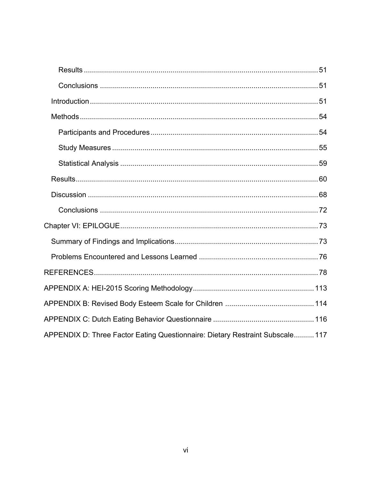| APPENDIX D: Three Factor Eating Questionnaire: Dietary Restraint Subscale 117 |
|-------------------------------------------------------------------------------|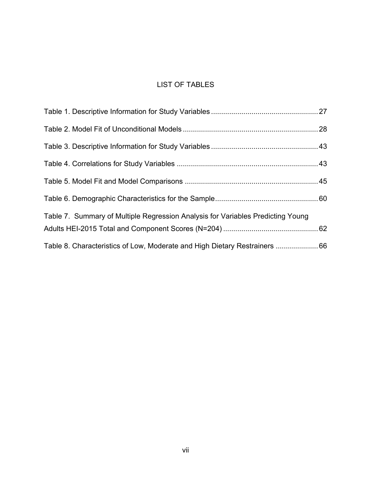# LIST OF TABLES

| Table 7. Summary of Multiple Regression Analysis for Variables Predicting Young |  |
|---------------------------------------------------------------------------------|--|
| Table 8. Characteristics of Low, Moderate and High Dietary Restrainers 66       |  |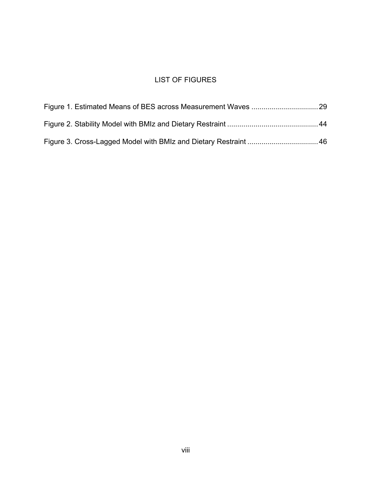# LIST OF FIGURES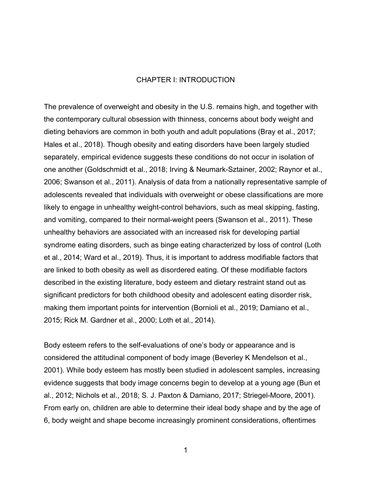#### CHAPTER I: INTRODUCTION

The prevalence of overweight and obesity in the U.S. remains high, and together with the contemporary cultural obsession with thinness, concerns about body weight and dieting behaviors are common in both youth and adult populations (Bray et al., 2017; Hales et al., 2018). Though obesity and eating disorders have been largely studied separately, empirical evidence suggests these conditions do not occur in isolation of one another (Goldschmidt et al., 2018; Irving & Neumark-Sztainer, 2002; Raynor et al., 2006; Swanson et al., 2011). Analysis of data from a nationally representative sample of adolescents revealed that individuals with overweight or obese classifications are more likely to engage in unhealthy weight-control behaviors, such as meal skipping, fasting, and vomiting, compared to their normal-weight peers (Swanson et al., 2011). These unhealthy behaviors are associated with an increased risk for developing partial syndrome eating disorders, such as binge eating characterized by loss of control (Loth et al., 2014; Ward et al., 2019). Thus, it is important to address modifiable factors that are linked to both obesity as well as disordered eating. Of these modifiable factors described in the existing literature, body esteem and dietary restraint stand out as significant predictors for both childhood obesity and adolescent eating disorder risk, making them important points for intervention (Bornioli et al., 2019; Damiano et al., 2015; Rick M. Gardner et al., 2000; Loth et al., 2014).

Body esteem refers to the self-evaluations of one's body or appearance and is considered the attitudinal component of body image (Beverley K Mendelson et al., 2001). While body esteem has mostly been studied in adolescent samples, increasing evidence suggests that body image concerns begin to develop at a young age (Bun et al., 2012; Nichols et al., 2018; S. J. Paxton & Damiano, 2017; Striegel-Moore, 2001). From early on, children are able to determine their ideal body shape and by the age of 6, body weight and shape become increasingly prominent considerations, oftentimes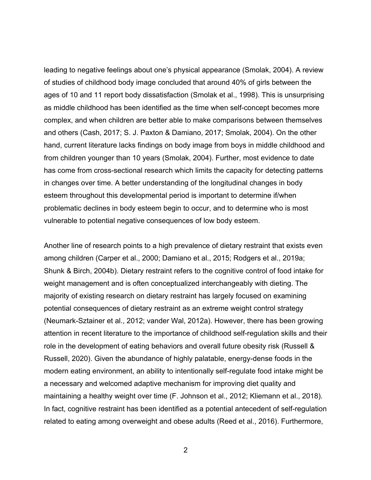leading to negative feelings about one's physical appearance (Smolak, 2004). A review of studies of childhood body image concluded that around 40% of girls between the ages of 10 and 11 report body dissatisfaction (Smolak et al., 1998). This is unsurprising as middle childhood has been identified as the time when self-concept becomes more complex, and when children are better able to make comparisons between themselves and others (Cash, 2017; S. J. Paxton & Damiano, 2017; Smolak, 2004). On the other hand, current literature lacks findings on body image from boys in middle childhood and from children younger than 10 years (Smolak, 2004). Further, most evidence to date has come from cross-sectional research which limits the capacity for detecting patterns in changes over time. A better understanding of the longitudinal changes in body esteem throughout this developmental period is important to determine if/when problematic declines in body esteem begin to occur, and to determine who is most vulnerable to potential negative consequences of low body esteem.

Another line of research points to a high prevalence of dietary restraint that exists even among children (Carper et al., 2000; Damiano et al., 2015; Rodgers et al., 2019a; Shunk & Birch, 2004b). Dietary restraint refers to the cognitive control of food intake for weight management and is often conceptualized interchangeably with dieting. The majority of existing research on dietary restraint has largely focused on examining potential consequences of dietary restraint as an extreme weight control strategy (Neumark-Sztainer et al., 2012; vander Wal, 2012a). However, there has been growing attention in recent literature to the importance of childhood self-regulation skills and their role in the development of eating behaviors and overall future obesity risk (Russell & Russell, 2020). Given the abundance of highly palatable, energy-dense foods in the modern eating environment, an ability to intentionally self-regulate food intake might be a necessary and welcomed adaptive mechanism for improving diet quality and maintaining a healthy weight over time (F. Johnson et al., 2012; Kliemann et al., 2018). In fact, cognitive restraint has been identified as a potential antecedent of self-regulation related to eating among overweight and obese adults (Reed et al., 2016). Furthermore,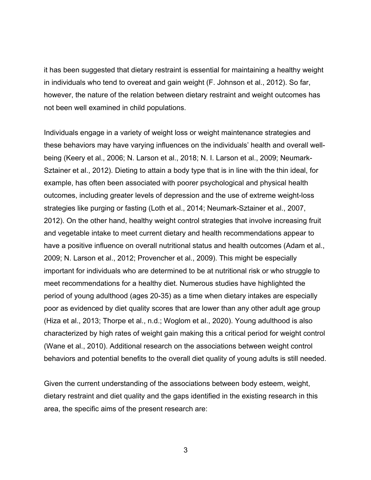it has been suggested that dietary restraint is essential for maintaining a healthy weight in individuals who tend to overeat and gain weight (F. Johnson et al., 2012). So far, however, the nature of the relation between dietary restraint and weight outcomes has not been well examined in child populations.

Individuals engage in a variety of weight loss or weight maintenance strategies and these behaviors may have varying influences on the individuals' health and overall wellbeing (Keery et al., 2006; N. Larson et al., 2018; N. I. Larson et al., 2009; Neumark-Sztainer et al., 2012). Dieting to attain a body type that is in line with the thin ideal, for example, has often been associated with poorer psychological and physical health outcomes, including greater levels of depression and the use of extreme weight-loss strategies like purging or fasting (Loth et al., 2014; Neumark-Sztainer et al., 2007, 2012). On the other hand, healthy weight control strategies that involve increasing fruit and vegetable intake to meet current dietary and health recommendations appear to have a positive influence on overall nutritional status and health outcomes (Adam et al., 2009; N. Larson et al., 2012; Provencher et al., 2009). This might be especially important for individuals who are determined to be at nutritional risk or who struggle to meet recommendations for a healthy diet. Numerous studies have highlighted the period of young adulthood (ages 20-35) as a time when dietary intakes are especially poor as evidenced by diet quality scores that are lower than any other adult age group (Hiza et al., 2013; Thorpe et al., n.d.; Woglom et al., 2020). Young adulthood is also characterized by high rates of weight gain making this a critical period for weight control (Wane et al., 2010). Additional research on the associations between weight control behaviors and potential benefits to the overall diet quality of young adults is still needed.

Given the current understanding of the associations between body esteem, weight, dietary restraint and diet quality and the gaps identified in the existing research in this area, the specific aims of the present research are: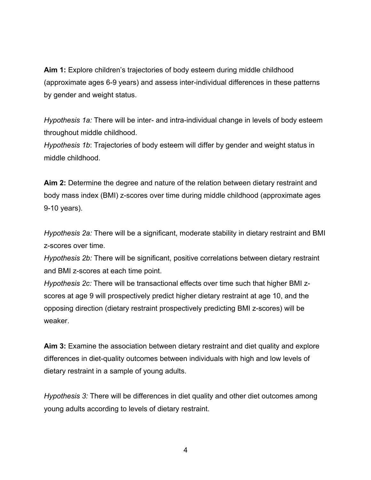**Aim 1:** Explore children's trajectories of body esteem during middle childhood (approximate ages 6-9 years) and assess inter-individual differences in these patterns by gender and weight status.

*Hypothesis 1a:* There will be inter- and intra-individual change in levels of body esteem throughout middle childhood.

*Hypothesis 1b*: Trajectories of body esteem will differ by gender and weight status in middle childhood.

**Aim 2:** Determine the degree and nature of the relation between dietary restraint and body mass index (BMI) z-scores over time during middle childhood (approximate ages 9-10 years).

*Hypothesis 2a:* There will be a significant, moderate stability in dietary restraint and BMI z-scores over time.

*Hypothesis 2b:* There will be significant, positive correlations between dietary restraint and BMI z-scores at each time point.

*Hypothesis 2c:* There will be transactional effects over time such that higher BMI zscores at age 9 will prospectively predict higher dietary restraint at age 10, and the opposing direction (dietary restraint prospectively predicting BMI z-scores) will be weaker.

**Aim 3:** Examine the association between dietary restraint and diet quality and explore differences in diet-quality outcomes between individuals with high and low levels of dietary restraint in a sample of young adults.

*Hypothesis 3:* There will be differences in diet quality and other diet outcomes among young adults according to levels of dietary restraint.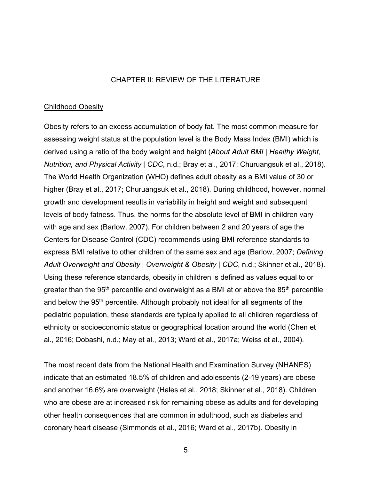### CHAPTER II: REVIEW OF THE LITERATURE

#### Childhood Obesity

Obesity refers to an excess accumulation of body fat. The most common measure for assessing weight status at the population level is the Body Mass Index (BMI) which is derived using a ratio of the body weight and height (*About Adult BMI | Healthy Weight, Nutrition, and Physical Activity | CDC*, n.d.; Bray et al., 2017; Churuangsuk et al., 2018). The World Health Organization (WHO) defines adult obesity as a BMI value of 30 or higher (Bray et al., 2017; Churuangsuk et al., 2018). During childhood, however, normal growth and development results in variability in height and weight and subsequent levels of body fatness. Thus, the norms for the absolute level of BMI in children vary with age and sex (Barlow, 2007). For children between 2 and 20 years of age the Centers for Disease Control (CDC) recommends using BMI reference standards to express BMI relative to other children of the same sex and age (Barlow, 2007; *Defining Adult Overweight and Obesity | Overweight & Obesity | CDC*, n.d.; Skinner et al., 2018). Using these reference standards, obesity in children is defined as values equal to or greater than the 95<sup>th</sup> percentile and overweight as a BMI at or above the 85<sup>th</sup> percentile and below the 95<sup>th</sup> percentile. Although probably not ideal for all segments of the pediatric population, these standards are typically applied to all children regardless of ethnicity or socioeconomic status or geographical location around the world (Chen et al., 2016; Dobashi, n.d.; May et al., 2013; Ward et al., 2017a; Weiss et al., 2004)*.*

The most recent data from the National Health and Examination Survey (NHANES) indicate that an estimated 18.5% of children and adolescents (2-19 years) are obese and another 16.6% are overweight (Hales et al., 2018; Skinner et al., 2018). Children who are obese are at increased risk for remaining obese as adults and for developing other health consequences that are common in adulthood, such as diabetes and coronary heart disease (Simmonds et al., 2016; Ward et al., 2017b). Obesity in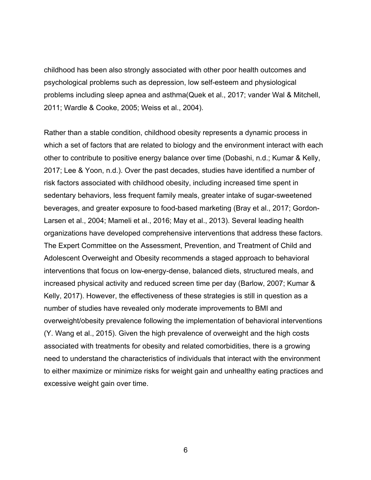childhood has been also strongly associated with other poor health outcomes and psychological problems such as depression, low self-esteem and physiological problems including sleep apnea and asthma(Quek et al., 2017; vander Wal & Mitchell, 2011; Wardle & Cooke, 2005; Weiss et al., 2004).

Rather than a stable condition, childhood obesity represents a dynamic process in which a set of factors that are related to biology and the environment interact with each other to contribute to positive energy balance over time (Dobashi, n.d.; Kumar & Kelly, 2017; Lee & Yoon, n.d.). Over the past decades, studies have identified a number of risk factors associated with childhood obesity, including increased time spent in sedentary behaviors, less frequent family meals, greater intake of sugar-sweetened beverages, and greater exposure to food-based marketing (Bray et al., 2017; Gordon-Larsen et al., 2004; Mameli et al., 2016; May et al., 2013). Several leading health organizations have developed comprehensive interventions that address these factors. The Expert Committee on the Assessment, Prevention, and Treatment of Child and Adolescent Overweight and Obesity recommends a staged approach to behavioral interventions that focus on low-energy-dense, balanced diets, structured meals, and increased physical activity and reduced screen time per day (Barlow, 2007; Kumar & Kelly, 2017). However, the effectiveness of these strategies is still in question as a number of studies have revealed only moderate improvements to BMI and overweight/obesity prevalence following the implementation of behavioral interventions (Y. Wang et al., 2015). Given the high prevalence of overweight and the high costs associated with treatments for obesity and related comorbidities, there is a growing need to understand the characteristics of individuals that interact with the environment to either maximize or minimize risks for weight gain and unhealthy eating practices and excessive weight gain over time.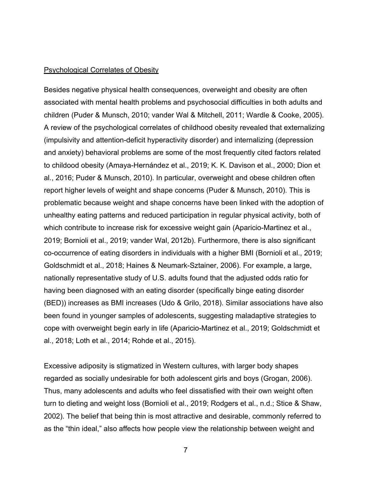#### Psychological Correlates of Obesity

Besides negative physical health consequences, overweight and obesity are often associated with mental health problems and psychosocial difficulties in both adults and children (Puder & Munsch, 2010; vander Wal & Mitchell, 2011; Wardle & Cooke, 2005). A review of the psychological correlates of childhood obesity revealed that externalizing (impulsivity and attention-deficit hyperactivity disorder) and internalizing (depression and anxiety) behavioral problems are some of the most frequently cited factors related to childood obesity (Amaya-Hernández et al., 2019; K. K. Davison et al., 2000; Dion et al., 2016; Puder & Munsch, 2010). In particular, overweight and obese children often report higher levels of weight and shape concerns (Puder & Munsch, 2010). This is problematic because weight and shape concerns have been linked with the adoption of unhealthy eating patterns and reduced participation in regular physical activity, both of which contribute to increase risk for excessive weight gain (Aparicio-Martinez et al., 2019; Bornioli et al., 2019; vander Wal, 2012b). Furthermore, there is also significant co-occurrence of eating disorders in individuals with a higher BMI (Bornioli et al., 2019; Goldschmidt et al., 2018; Haines & Neumark-Sztainer, 2006). For example, a large, nationally representative study of U.S. adults found that the adjusted odds ratio for having been diagnosed with an eating disorder (specifically binge eating disorder (BED)) increases as BMI increases (Udo & Grilo, 2018). Similar associations have also been found in younger samples of adolescents, suggesting maladaptive strategies to cope with overweight begin early in life (Aparicio-Martinez et al., 2019; Goldschmidt et al., 2018; Loth et al., 2014; Rohde et al., 2015).

Excessive adiposity is stigmatized in Western cultures, with larger body shapes regarded as socially undesirable for both adolescent girls and boys (Grogan, 2006). Thus, many adolescents and adults who feel dissatisfied with their own weight often turn to dieting and weight loss (Bornioli et al., 2019; Rodgers et al., n.d.; Stice & Shaw, 2002). The belief that being thin is most attractive and desirable, commonly referred to as the "thin ideal," also affects how people view the relationship between weight and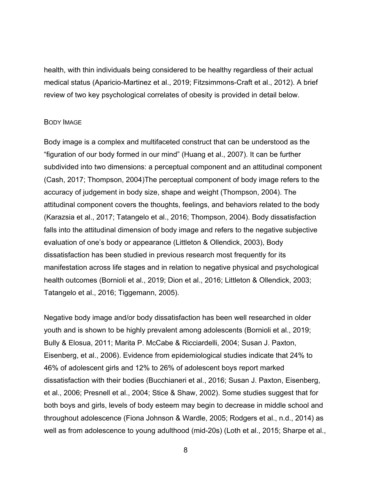health, with thin individuals being considered to be healthy regardless of their actual medical status (Aparicio-Martinez et al., 2019; Fitzsimmons-Craft et al., 2012). A brief review of two key psychological correlates of obesity is provided in detail below.

#### BODY IMAGE

Body image is a complex and multifaceted construct that can be understood as the "figuration of our body formed in our mind" (Huang et al., 2007). It can be further subdivided into two dimensions: a perceptual component and an attitudinal component (Cash, 2017; Thompson, 2004)The perceptual component of body image refers to the accuracy of judgement in body size, shape and weight (Thompson, 2004). The attitudinal component covers the thoughts, feelings, and behaviors related to the body (Karazsia et al., 2017; Tatangelo et al., 2016; Thompson, 2004). Body dissatisfaction falls into the attitudinal dimension of body image and refers to the negative subjective evaluation of one's body or appearance (Littleton & Ollendick, 2003), Body dissatisfaction has been studied in previous research most frequently for its manifestation across life stages and in relation to negative physical and psychological health outcomes (Bornioli et al., 2019; Dion et al., 2016; Littleton & Ollendick, 2003; Tatangelo et al., 2016; Tiggemann, 2005).

Negative body image and/or body dissatisfaction has been well researched in older youth and is shown to be highly prevalent among adolescents (Bornioli et al., 2019; Bully & Elosua, 2011; Marita P. McCabe & Ricciardelli, 2004; Susan J. Paxton, Eisenberg, et al., 2006). Evidence from epidemiological studies indicate that 24% to 46% of adolescent girls and 12% to 26% of adolescent boys report marked dissatisfaction with their bodies (Bucchianeri et al., 2016; Susan J. Paxton, Eisenberg, et al., 2006; Presnell et al., 2004; Stice & Shaw, 2002). Some studies suggest that for both boys and girls, levels of body esteem may begin to decrease in middle school and throughout adolescence (Fiona Johnson & Wardle, 2005; Rodgers et al., n.d., 2014) as well as from adolescence to young adulthood (mid-20s) (Loth et al., 2015; Sharpe et al.,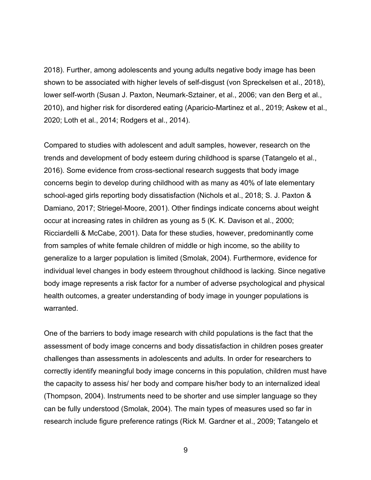2018). Further, among adolescents and young adults negative body image has been shown to be associated with higher levels of self-disgust (von Spreckelsen et al., 2018), lower self-worth (Susan J. Paxton, Neumark-Sztainer, et al., 2006; van den Berg et al., 2010), and higher risk for disordered eating (Aparicio-Martinez et al., 2019; Askew et al., 2020; Loth et al., 2014; Rodgers et al., 2014).

Compared to studies with adolescent and adult samples, however, research on the trends and development of body esteem during childhood is sparse (Tatangelo et al., 2016). Some evidence from cross-sectional research suggests that body image concerns begin to develop during childhood with as many as 40% of late elementary school-aged girls reporting body dissatisfaction (Nichols et al., 2018; S. J. Paxton & Damiano, 2017; Striegel-Moore, 2001). Other findings indicate concerns about weight occur at increasing rates in children as young as 5 (K. K. Davison et al., 2000; Ricciardelli & McCabe, 2001). Data for these studies, however, predominantly come from samples of white female children of middle or high income, so the ability to generalize to a larger population is limited (Smolak, 2004). Furthermore, evidence for individual level changes in body esteem throughout childhood is lacking. Since negative body image represents a risk factor for a number of adverse psychological and physical health outcomes, a greater understanding of body image in younger populations is warranted.

One of the barriers to body image research with child populations is the fact that the assessment of body image concerns and body dissatisfaction in children poses greater challenges than assessments in adolescents and adults. In order for researchers to correctly identify meaningful body image concerns in this population, children must have the capacity to assess his/ her body and compare his/her body to an internalized ideal (Thompson, 2004). Instruments need to be shorter and use simpler language so they can be fully understood (Smolak, 2004). The main types of measures used so far in research include figure preference ratings (Rick M. Gardner et al., 2009; Tatangelo et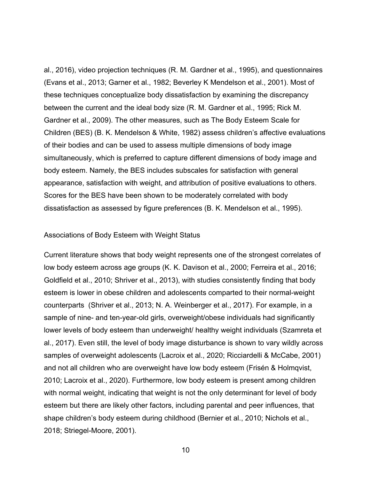al., 2016), video projection techniques (R. M. Gardner et al., 1995), and questionnaires (Evans et al., 2013; Garner et al., 1982; Beverley K Mendelson et al., 2001). Most of these techniques conceptualize body dissatisfaction by examining the discrepancy between the current and the ideal body size (R. M. Gardner et al., 1995; Rick M. Gardner et al., 2009). The other measures, such as The Body Esteem Scale for Children (BES) (B. K. Mendelson & White, 1982) assess children's affective evaluations of their bodies and can be used to assess multiple dimensions of body image simultaneously, which is preferred to capture different dimensions of body image and body esteem. Namely, the BES includes subscales for satisfaction with general appearance, satisfaction with weight, and attribution of positive evaluations to others. Scores for the BES have been shown to be moderately correlated with body dissatisfaction as assessed by figure preferences (B. K. Mendelson et al., 1995).

#### Associations of Body Esteem with Weight Status

Current literature shows that body weight represents one of the strongest correlates of low body esteem across age groups (K. K. Davison et al., 2000; Ferreira et al., 2016; Goldfield et al., 2010; Shriver et al., 2013), with studies consistently finding that body esteem is lower in obese children and adolescents comparted to their normal-weight counterparts (Shriver et al., 2013; N. A. Weinberger et al., 2017). For example, in a sample of nine- and ten-year-old girls, overweight/obese individuals had significantly lower levels of body esteem than underweight/ healthy weight individuals (Szamreta et al., 2017). Even still, the level of body image disturbance is shown to vary wildly across samples of overweight adolescents (Lacroix et al., 2020; Ricciardelli & McCabe, 2001) and not all children who are overweight have low body esteem (Frisén & Holmqvist, 2010; Lacroix et al., 2020). Furthermore, low body esteem is present among children with normal weight, indicating that weight is not the only determinant for level of body esteem but there are likely other factors, including parental and peer influences, that shape children's body esteem during childhood (Bernier et al., 2010; Nichols et al., 2018; Striegel-Moore, 2001).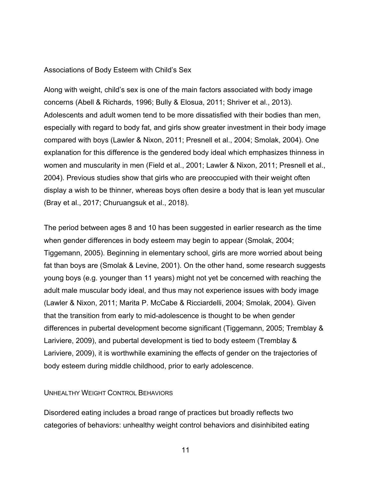### Associations of Body Esteem with Child's Sex

Along with weight, child's sex is one of the main factors associated with body image concerns (Abell & Richards, 1996; Bully & Elosua, 2011; Shriver et al., 2013). Adolescents and adult women tend to be more dissatisfied with their bodies than men, especially with regard to body fat, and girls show greater investment in their body image compared with boys (Lawler & Nixon, 2011; Presnell et al., 2004; Smolak, 2004). One explanation for this difference is the gendered body ideal which emphasizes thinness in women and muscularity in men (Field et al., 2001; Lawler & Nixon, 2011; Presnell et al., 2004). Previous studies show that girls who are preoccupied with their weight often display a wish to be thinner, whereas boys often desire a body that is lean yet muscular (Bray et al., 2017; Churuangsuk et al., 2018).

The period between ages 8 and 10 has been suggested in earlier research as the time when gender differences in body esteem may begin to appear (Smolak, 2004; Tiggemann, 2005). Beginning in elementary school, girls are more worried about being fat than boys are (Smolak & Levine, 2001). On the other hand, some research suggests young boys (e.g. younger than 11 years) might not yet be concerned with reaching the adult male muscular body ideal, and thus may not experience issues with body image (Lawler & Nixon, 2011; Marita P. McCabe & Ricciardelli, 2004; Smolak, 2004). Given that the transition from early to mid-adolescence is thought to be when gender differences in pubertal development become significant (Tiggemann, 2005; Tremblay & Lariviere, 2009), and pubertal development is tied to body esteem (Tremblay & Lariviere, 2009), it is worthwhile examining the effects of gender on the trajectories of body esteem during middle childhood, prior to early adolescence.

#### UNHEALTHY WEIGHT CONTROL BEHAVIORS

Disordered eating includes a broad range of practices but broadly reflects two categories of behaviors: unhealthy weight control behaviors and disinhibited eating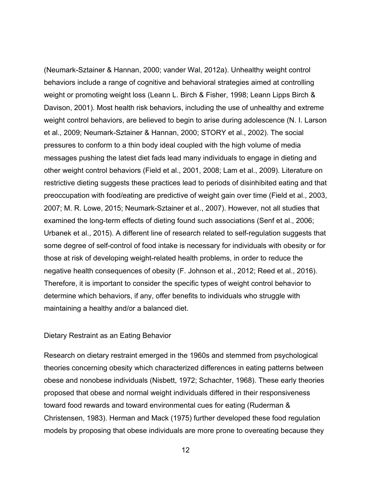(Neumark-Sztainer & Hannan, 2000; vander Wal, 2012a). Unhealthy weight control behaviors include a range of cognitive and behavioral strategies aimed at controlling weight or promoting weight loss (Leann L. Birch & Fisher, 1998; Leann Lipps Birch & Davison, 2001). Most health risk behaviors, including the use of unhealthy and extreme weight control behaviors, are believed to begin to arise during adolescence (N. I. Larson et al., 2009; Neumark-Sztainer & Hannan, 2000; STORY et al., 2002). The social pressures to conform to a thin body ideal coupled with the high volume of media messages pushing the latest diet fads lead many individuals to engage in dieting and other weight control behaviors (Field et al., 2001, 2008; Lam et al., 2009). Literature on restrictive dieting suggests these practices lead to periods of disinhibited eating and that preoccupation with food/eating are predictive of weight gain over time (Field et al., 2003, 2007; M. R. Lowe, 2015; Neumark-Sztainer et al., 2007). However, not all studies that examined the long-term effects of dieting found such associations (Senf et al., 2006; Urbanek et al., 2015). A different line of research related to self-regulation suggests that some degree of self-control of food intake is necessary for individuals with obesity or for those at risk of developing weight-related health problems, in order to reduce the negative health consequences of obesity (F. Johnson et al., 2012; Reed et al., 2016). Therefore, it is important to consider the specific types of weight control behavior to determine which behaviors, if any, offer benefits to individuals who struggle with maintaining a healthy and/or a balanced diet.

#### Dietary Restraint as an Eating Behavior

Research on dietary restraint emerged in the 1960s and stemmed from psychological theories concerning obesity which characterized differences in eating patterns between obese and nonobese individuals (Nisbett, 1972; Schachter, 1968). These early theories proposed that obese and normal weight individuals differed in their responsiveness toward food rewards and toward environmental cues for eating (Ruderman & Christensen, 1983). Herman and Mack (1975) further developed these food regulation models by proposing that obese individuals are more prone to overeating because they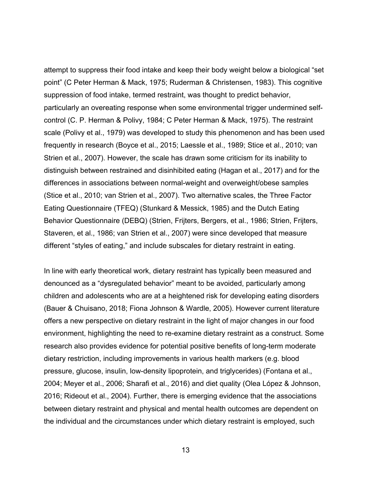attempt to suppress their food intake and keep their body weight below a biological "set point" (C Peter Herman & Mack, 1975; Ruderman & Christensen, 1983). This cognitive suppression of food intake, termed restraint, was thought to predict behavior, particularly an overeating response when some environmental trigger undermined selfcontrol (C. P. Herman & Polivy, 1984; C Peter Herman & Mack, 1975). The restraint scale (Polivy et al., 1979) was developed to study this phenomenon and has been used frequently in research (Boyce et al., 2015; Laessle et al., 1989; Stice et al., 2010; van Strien et al., 2007). However, the scale has drawn some criticism for its inability to distinguish between restrained and disinhibited eating (Hagan et al., 2017) and for the differences in associations between normal-weight and overweight/obese samples (Stice et al., 2010; van Strien et al., 2007). Two alternative scales, the Three Factor Eating Questionnaire (TFEQ) (Stunkard & Messick, 1985) and the Dutch Eating Behavior Questionnaire (DEBQ) (Strien, Frijters, Bergers, et al., 1986; Strien, Frijters, Staveren, et al., 1986; van Strien et al., 2007) were since developed that measure different "styles of eating," and include subscales for dietary restraint in eating.

In line with early theoretical work, dietary restraint has typically been measured and denounced as a "dysregulated behavior" meant to be avoided, particularly among children and adolescents who are at a heightened risk for developing eating disorders (Bauer & Chuisano, 2018; Fiona Johnson & Wardle, 2005). However current literature offers a new perspective on dietary restraint in the light of major changes in our food environment, highlighting the need to re-examine dietary restraint as a construct. Some research also provides evidence for potential positive benefits of long-term moderate dietary restriction, including improvements in various health markers (e.g. blood pressure, glucose, insulin, low-density lipoprotein, and triglycerides) (Fontana et al., 2004; Meyer et al., 2006; Sharafi et al., 2016) and diet quality (Olea López & Johnson, 2016; Rideout et al., 2004). Further, there is emerging evidence that the associations between dietary restraint and physical and mental health outcomes are dependent on the individual and the circumstances under which dietary restraint is employed, such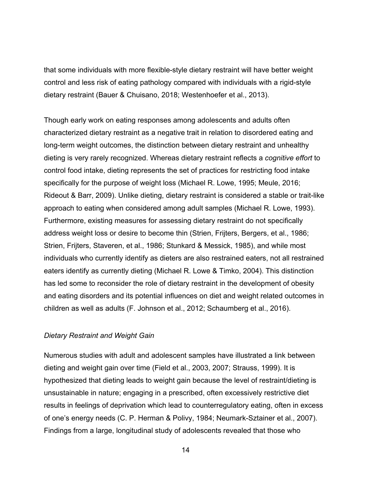that some individuals with more flexible-style dietary restraint will have better weight control and less risk of eating pathology compared with individuals with a rigid-style dietary restraint (Bauer & Chuisano, 2018; Westenhoefer et al., 2013).

Though early work on eating responses among adolescents and adults often characterized dietary restraint as a negative trait in relation to disordered eating and long-term weight outcomes, the distinction between dietary restraint and unhealthy dieting is very rarely recognized. Whereas dietary restraint reflects a *cognitive effort* to control food intake, dieting represents the set of practices for restricting food intake specifically for the purpose of weight loss (Michael R. Lowe, 1995; Meule, 2016; Rideout & Barr, 2009). Unlike dieting, dietary restraint is considered a stable or trait-like approach to eating when considered among adult samples (Michael R. Lowe, 1993). Furthermore, existing measures for assessing dietary restraint do not specifically address weight loss or desire to become thin (Strien, Frijters, Bergers, et al., 1986; Strien, Frijters, Staveren, et al., 1986; Stunkard & Messick, 1985), and while most individuals who currently identify as dieters are also restrained eaters, not all restrained eaters identify as currently dieting (Michael R. Lowe & Timko, 2004). This distinction has led some to reconsider the role of dietary restraint in the development of obesity and eating disorders and its potential influences on diet and weight related outcomes in children as well as adults (F. Johnson et al., 2012; Schaumberg et al., 2016).

#### *Dietary Restraint and Weight Gain*

Numerous studies with adult and adolescent samples have illustrated a link between dieting and weight gain over time (Field et al., 2003, 2007; Strauss, 1999). It is hypothesized that dieting leads to weight gain because the level of restraint/dieting is unsustainable in nature; engaging in a prescribed, often excessively restrictive diet results in feelings of deprivation which lead to counterregulatory eating, often in excess of one's energy needs (C. P. Herman & Polivy, 1984; Neumark-Sztainer et al., 2007). Findings from a large, longitudinal study of adolescents revealed that those who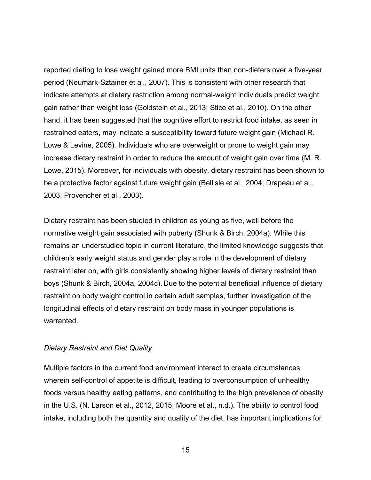reported dieting to lose weight gained more BMI units than non-dieters over a five-year period (Neumark-Sztainer et al., 2007). This is consistent with other research that indicate attempts at dietary restriction among normal-weight individuals predict weight gain rather than weight loss (Goldstein et al., 2013; Stice et al., 2010). On the other hand, it has been suggested that the cognitive effort to restrict food intake, as seen in restrained eaters, may indicate a susceptibility toward future weight gain (Michael R. Lowe & Levine, 2005). Individuals who are overweight or prone to weight gain may increase dietary restraint in order to reduce the amount of weight gain over time (M. R. Lowe, 2015). Moreover, for individuals with obesity, dietary restraint has been shown to be a protective factor against future weight gain (Bellisle et al., 2004; Drapeau et al., 2003; Provencher et al., 2003).

Dietary restraint has been studied in children as young as five, well before the normative weight gain associated with puberty (Shunk & Birch, 2004a). While this remains an understudied topic in current literature, the limited knowledge suggests that children's early weight status and gender play a role in the development of dietary restraint later on, with girls consistently showing higher levels of dietary restraint than boys (Shunk & Birch, 2004a, 2004c). Due to the potential beneficial influence of dietary restraint on body weight control in certain adult samples, further investigation of the longitudinal effects of dietary restraint on body mass in younger populations is warranted.

# *Dietary Restraint and Diet Quality*

Multiple factors in the current food environment interact to create circumstances wherein self-control of appetite is difficult, leading to overconsumption of unhealthy foods versus healthy eating patterns, and contributing to the high prevalence of obesity in the U.S. (N. Larson et al., 2012, 2015; Moore et al., n.d.). The ability to control food intake, including both the quantity and quality of the diet, has important implications for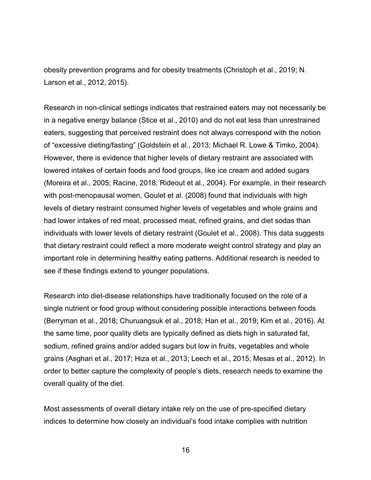obesity prevention programs and for obesity treatments (Christoph et al., 2019; N. Larson et al., 2012, 2015).

Research in non-clinical settings indicates that restrained eaters may not necessarily be in a negative energy balance (Stice et al., 2010) and do not eat less than unrestrained eaters, suggesting that perceived restraint does not always correspond with the notion of "excessive dieting/fasting" (Goldstein et al., 2013; Michael R. Lowe & Timko, 2004). However, there is evidence that higher levels of dietary restraint are associated with lowered intakes of certain foods and food groups, like ice cream and added sugars (Moreira et al., 2005; Racine, 2018; Rideout et al., 2004). For example, in their research with post-menopausal women, Goulet et al. (2008) found that individuals with high levels of dietary restraint consumed higher levels of vegetables and whole grains and had lower intakes of red meat, processed meat, refined grains, and diet sodas than individuals with lower levels of dietary restraint (Goulet et al., 2008). This data suggests that dietary restraint could reflect a more moderate weight control strategy and play an important role in determining healthy eating patterns. Additional research is needed to see if these findings extend to younger populations.

Research into diet-disease relationships have traditionally focused on the role of a single nutrient or food group without considering possible interactions between foods (Berryman et al., 2018; Churuangsuk et al., 2018; Han et al., 2019; Kim et al., 2016). At the same time, poor quality diets are typically defined as diets high in saturated fat, sodium, refined grains and/or added sugars but low in fruits, vegetables and whole grains (Asghari et al., 2017; Hiza et al., 2013; Leech et al., 2015; Mesas et al., 2012). In order to better capture the complexity of people's diets, research needs to examine the overall quality of the diet.

Most assessments of overall dietary intake rely on the use of pre-specified dietary indices to determine how closely an individual's food intake complies with nutrition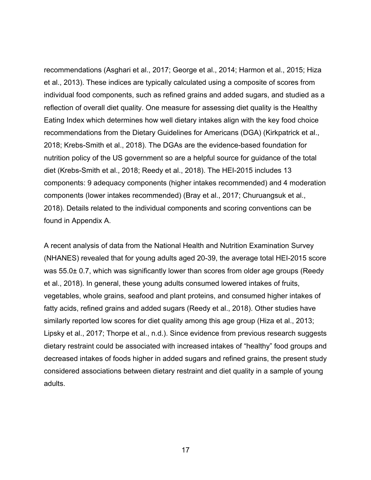recommendations (Asghari et al., 2017; George et al., 2014; Harmon et al., 2015; Hiza et al., 2013). These indices are typically calculated using a composite of scores from individual food components, such as refined grains and added sugars, and studied as a reflection of overall diet quality. One measure for assessing diet quality is the Healthy Eating Index which determines how well dietary intakes align with the key food choice recommendations from the Dietary Guidelines for Americans (DGA) (Kirkpatrick et al., 2018; Krebs-Smith et al., 2018). The DGAs are the evidence-based foundation for nutrition policy of the US government so are a helpful source for guidance of the total diet (Krebs-Smith et al., 2018; Reedy et al., 2018). The HEI-2015 includes 13 components: 9 adequacy components (higher intakes recommended) and 4 moderation components (lower intakes recommended) (Bray et al., 2017; Churuangsuk et al., 2018). Details related to the individual components and scoring conventions can be found in Appendix A.

A recent analysis of data from the National Health and Nutrition Examination Survey (NHANES) revealed that for young adults aged 20-39, the average total HEI-2015 score was 55.0± 0.7, which was significantly lower than scores from older age groups (Reedy et al., 2018). In general, these young adults consumed lowered intakes of fruits, vegetables, whole grains, seafood and plant proteins, and consumed higher intakes of fatty acids, refined grains and added sugars (Reedy et al., 2018). Other studies have similarly reported low scores for diet quality among this age group (Hiza et al., 2013; Lipsky et al., 2017; Thorpe et al., n.d.). Since evidence from previous research suggests dietary restraint could be associated with increased intakes of "healthy" food groups and decreased intakes of foods higher in added sugars and refined grains, the present study considered associations between dietary restraint and diet quality in a sample of young adults.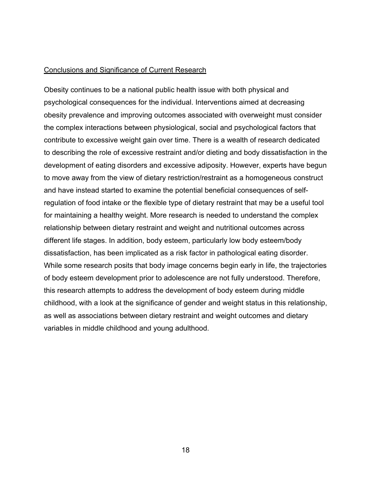#### Conclusions and Significance of Current Research

Obesity continues to be a national public health issue with both physical and psychological consequences for the individual. Interventions aimed at decreasing obesity prevalence and improving outcomes associated with overweight must consider the complex interactions between physiological, social and psychological factors that contribute to excessive weight gain over time. There is a wealth of research dedicated to describing the role of excessive restraint and/or dieting and body dissatisfaction in the development of eating disorders and excessive adiposity. However, experts have begun to move away from the view of dietary restriction/restraint as a homogeneous construct and have instead started to examine the potential beneficial consequences of selfregulation of food intake or the flexible type of dietary restraint that may be a useful tool for maintaining a healthy weight. More research is needed to understand the complex relationship between dietary restraint and weight and nutritional outcomes across different life stages. In addition, body esteem, particularly low body esteem/body dissatisfaction, has been implicated as a risk factor in pathological eating disorder. While some research posits that body image concerns begin early in life, the trajectories of body esteem development prior to adolescence are not fully understood. Therefore, this research attempts to address the development of body esteem during middle childhood, with a look at the significance of gender and weight status in this relationship, as well as associations between dietary restraint and weight outcomes and dietary variables in middle childhood and young adulthood.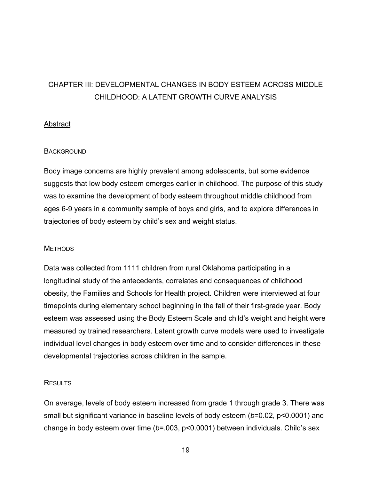# CHAPTER III: DEVELOPMENTAL CHANGES IN BODY ESTEEM ACROSS MIDDLE CHILDHOOD: A LATENT GROWTH CURVE ANALYSIS

# **Abstract**

# **BACKGROUND**

Body image concerns are highly prevalent among adolescents, but some evidence suggests that low body esteem emerges earlier in childhood. The purpose of this study was to examine the development of body esteem throughout middle childhood from ages 6-9 years in a community sample of boys and girls, and to explore differences in trajectories of body esteem by child's sex and weight status.

#### **METHODS**

Data was collected from 1111 children from rural Oklahoma participating in a longitudinal study of the antecedents, correlates and consequences of childhood obesity, the Families and Schools for Health project. Children were interviewed at four timepoints during elementary school beginning in the fall of their first-grade year. Body esteem was assessed using the Body Esteem Scale and child's weight and height were measured by trained researchers. Latent growth curve models were used to investigate individual level changes in body esteem over time and to consider differences in these developmental trajectories across children in the sample.

# **RESULTS**

On average, levels of body esteem increased from grade 1 through grade 3. There was small but significant variance in baseline levels of body esteem (*b*=0.02, p<0.0001) and change in body esteem over time (*b*=.003, p<0.0001) between individuals. Child's sex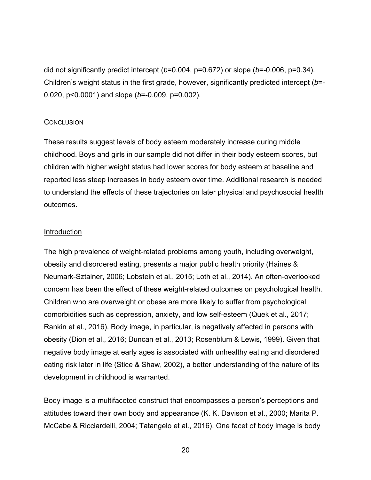did not significantly predict intercept (*b*=0.004, p=0.672) or slope (*b*=-0.006, p=0.34). Children's weight status in the first grade, however, significantly predicted intercept (*b*=- 0.020, p<0.0001) and slope (*b*=-0.009, p=0.002).

### **CONCLUSION**

These results suggest levels of body esteem moderately increase during middle childhood. Boys and girls in our sample did not differ in their body esteem scores, but children with higher weight status had lower scores for body esteem at baseline and reported less steep increases in body esteem over time. Additional research is needed to understand the effects of these trajectories on later physical and psychosocial health outcomes.

### **Introduction**

The high prevalence of weight-related problems among youth, including overweight, obesity and disordered eating, presents a major public health priority (Haines & Neumark-Sztainer, 2006; Lobstein et al., 2015; Loth et al., 2014). An often-overlooked concern has been the effect of these weight-related outcomes on psychological health. Children who are overweight or obese are more likely to suffer from psychological comorbidities such as depression, anxiety, and low self-esteem (Quek et al., 2017; Rankin et al., 2016). Body image, in particular, is negatively affected in persons with obesity (Dion et al., 2016; Duncan et al., 2013; Rosenblum & Lewis, 1999). Given that negative body image at early ages is associated with unhealthy eating and disordered eating risk later in life (Stice & Shaw, 2002), a better understanding of the nature of its development in childhood is warranted.

Body image is a multifaceted construct that encompasses a person's perceptions and attitudes toward their own body and appearance (K. K. Davison et al., 2000; Marita P. McCabe & Ricciardelli, 2004; Tatangelo et al., 2016). One facet of body image is body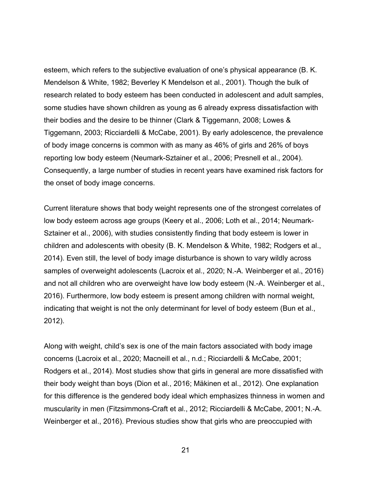esteem, which refers to the subjective evaluation of one's physical appearance (B. K. Mendelson & White, 1982; Beverley K Mendelson et al., 2001). Though the bulk of research related to body esteem has been conducted in adolescent and adult samples, some studies have shown children as young as 6 already express dissatisfaction with their bodies and the desire to be thinner (Clark & Tiggemann, 2008; Lowes & Tiggemann, 2003; Ricciardelli & McCabe, 2001). By early adolescence, the prevalence of body image concerns is common with as many as 46% of girls and 26% of boys reporting low body esteem (Neumark-Sztainer et al., 2006; Presnell et al., 2004). Consequently, a large number of studies in recent years have examined risk factors for the onset of body image concerns.

Current literature shows that body weight represents one of the strongest correlates of low body esteem across age groups (Keery et al., 2006; Loth et al., 2014; Neumark-Sztainer et al., 2006), with studies consistently finding that body esteem is lower in children and adolescents with obesity (B. K. Mendelson & White, 1982; Rodgers et al., 2014). Even still, the level of body image disturbance is shown to vary wildly across samples of overweight adolescents (Lacroix et al., 2020; N.-A. Weinberger et al., 2016) and not all children who are overweight have low body esteem (N.-A. Weinberger et al., 2016). Furthermore, low body esteem is present among children with normal weight, indicating that weight is not the only determinant for level of body esteem (Bun et al., 2012).

Along with weight, child's sex is one of the main factors associated with body image concerns (Lacroix et al., 2020; Macneill et al., n.d.; Ricciardelli & McCabe, 2001; Rodgers et al., 2014). Most studies show that girls in general are more dissatisfied with their body weight than boys (Dion et al., 2016; Mäkinen et al., 2012). One explanation for this difference is the gendered body ideal which emphasizes thinness in women and muscularity in men (Fitzsimmons-Craft et al., 2012; Ricciardelli & McCabe, 2001; N.-A. Weinberger et al., 2016). Previous studies show that girls who are preoccupied with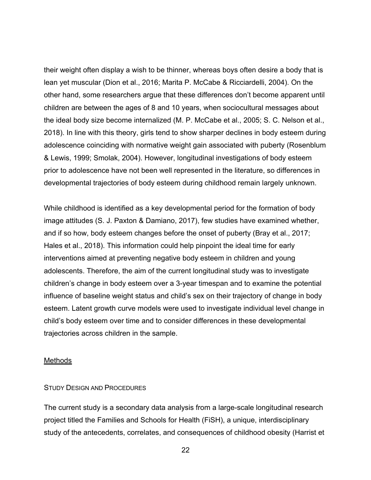their weight often display a wish to be thinner, whereas boys often desire a body that is lean yet muscular (Dion et al., 2016; Marita P. McCabe & Ricciardelli, 2004). On the other hand, some researchers argue that these differences don't become apparent until children are between the ages of 8 and 10 years, when sociocultural messages about the ideal body size become internalized (M. P. McCabe et al., 2005; S. C. Nelson et al., 2018). In line with this theory, girls tend to show sharper declines in body esteem during adolescence coinciding with normative weight gain associated with puberty (Rosenblum & Lewis, 1999; Smolak, 2004). However, longitudinal investigations of body esteem prior to adolescence have not been well represented in the literature, so differences in developmental trajectories of body esteem during childhood remain largely unknown.

While childhood is identified as a key developmental period for the formation of body image attitudes (S. J. Paxton & Damiano, 2017), few studies have examined whether, and if so how, body esteem changes before the onset of puberty (Bray et al., 2017; Hales et al., 2018). This information could help pinpoint the ideal time for early interventions aimed at preventing negative body esteem in children and young adolescents. Therefore, the aim of the current longitudinal study was to investigate children's change in body esteem over a 3-year timespan and to examine the potential influence of baseline weight status and child's sex on their trajectory of change in body esteem. Latent growth curve models were used to investigate individual level change in child's body esteem over time and to consider differences in these developmental trajectories across children in the sample.

#### **Methods**

### STUDY DESIGN AND PROCEDURES

The current study is a secondary data analysis from a large-scale longitudinal research project titled the Families and Schools for Health (FiSH), a unique, interdisciplinary study of the antecedents, correlates, and consequences of childhood obesity (Harrist et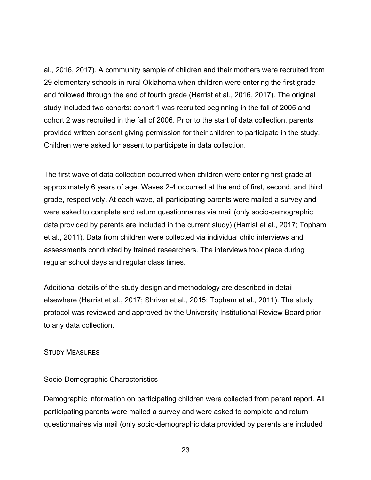al., 2016, 2017). A community sample of children and their mothers were recruited from 29 elementary schools in rural Oklahoma when children were entering the first grade and followed through the end of fourth grade (Harrist et al., 2016, 2017). The original study included two cohorts: cohort 1 was recruited beginning in the fall of 2005 and cohort 2 was recruited in the fall of 2006. Prior to the start of data collection, parents provided written consent giving permission for their children to participate in the study. Children were asked for assent to participate in data collection.

The first wave of data collection occurred when children were entering first grade at approximately 6 years of age. Waves 2-4 occurred at the end of first, second, and third grade, respectively. At each wave, all participating parents were mailed a survey and were asked to complete and return questionnaires via mail (only socio-demographic data provided by parents are included in the current study) (Harrist et al., 2017; Topham et al., 2011). Data from children were collected via individual child interviews and assessments conducted by trained researchers. The interviews took place during regular school days and regular class times.

Additional details of the study design and methodology are described in detail elsewhere (Harrist et al., 2017; Shriver et al., 2015; Topham et al., 2011). The study protocol was reviewed and approved by the University Institutional Review Board prior to any data collection.

#### STUDY MEASURES

# Socio-Demographic Characteristics

Demographic information on participating children were collected from parent report. All participating parents were mailed a survey and were asked to complete and return questionnaires via mail (only socio-demographic data provided by parents are included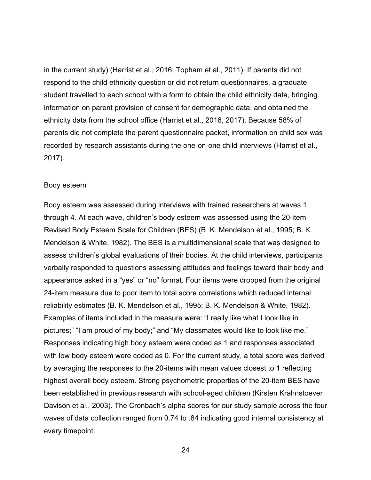in the current study) (Harrist et al., 2016; Topham et al., 2011). If parents did not respond to the child ethnicity question or did not return questionnaires, a graduate student travelled to each school with a form to obtain the child ethnicity data, bringing information on parent provision of consent for demographic data, and obtained the ethnicity data from the school office (Harrist et al., 2016, 2017). Because 58% of parents did not complete the parent questionnaire packet, information on child sex was recorded by research assistants during the one-on-one child interviews (Harrist et al., 2017).

#### Body esteem

Body esteem was assessed during interviews with trained researchers at waves 1 through 4. At each wave, children's body esteem was assessed using the 20-item Revised Body Esteem Scale for Children (BES) (B. K. Mendelson et al., 1995; B. K. Mendelson & White, 1982). The BES is a multidimensional scale that was designed to assess children's global evaluations of their bodies. At the child interviews, participants verbally responded to questions assessing attitudes and feelings toward their body and appearance asked in a "yes" or "no" format. Four items were dropped from the original 24-item measure due to poor item to total score correlations which reduced internal reliability estimates (B. K. Mendelson et al., 1995; B. K. Mendelson & White, 1982). Examples of items included in the measure were: "I really like what I look like in pictures;" "I am proud of my body;" and "My classmates would like to look like me." Responses indicating high body esteem were coded as 1 and responses associated with low body esteem were coded as 0. For the current study, a total score was derived by averaging the responses to the 20-items with mean values closest to 1 reflecting highest overall body esteem. Strong psychometric properties of the 20-item BES have been established in previous research with school-aged children (Kirsten Krahnstoever Davison et al., 2003). The Cronbach's alpha scores for our study sample across the four waves of data collection ranged from 0.74 to .84 indicating good internal consistency at every timepoint.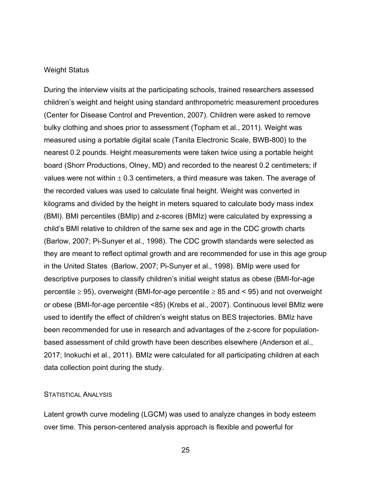#### Weight Status

During the interview visits at the participating schools, trained researchers assessed children's weight and height using standard anthropometric measurement procedures (Center for Disease Control and Prevention, 2007). Children were asked to remove bulky clothing and shoes prior to assessment (Topham et al., 2011). Weight was measured using a portable digital scale (Tanita Electronic Scale, BWB-800) to the nearest 0.2 pounds. Height measurements were taken twice using a portable height board (Shorr Productions, Olney, MD) and recorded to the nearest 0.2 centimeters; if values were not within  $\pm$  0.3 centimeters, a third measure was taken. The average of the recorded values was used to calculate final height. Weight was converted in kilograms and divided by the height in meters squared to calculate body mass index (BMI). BMI percentiles (BMIp) and z-scores (BMIz) were calculated by expressing a child's BMI relative to children of the same sex and age in the CDC growth charts (Barlow, 2007; Pi-Sunyer et al., 1998). The CDC growth standards were selected as they are meant to reflect optimal growth and are recommended for use in this age group in the United States (Barlow, 2007; Pi-Sunyer et al., 1998). BMIp were used for descriptive purposes to classify children's initial weight status as obese (BMI-for-age percentile  $\geq$  95), overweight (BMI-for-age percentile  $\geq$  85 and < 95) and not overweight or obese (BMI-for-age percentile <85) (Krebs et al., 2007). Continuous level BMIz were used to identify the effect of children's weight status on BES trajectories. BMIz have been recommended for use in research and advantages of the z-score for populationbased assessment of child growth have been describes elsewhere (Anderson et al., 2017; Inokuchi et al., 2011). BMIz were calculated for all participating children at each data collection point during the study.

#### STATISTICAL ANALYSIS

Latent growth curve modeling (LGCM) was used to analyze changes in body esteem over time. This person-centered analysis approach is flexible and powerful for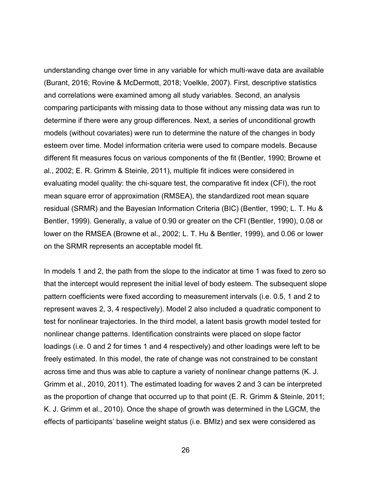understanding change over time in any variable for which multi-wave data are available (Burant, 2016; Rovine & McDermott, 2018; Voelkle, 2007). First, descriptive statistics and correlations were examined among all study variables. Second, an analysis comparing participants with missing data to those without any missing data was run to determine if there were any group differences. Next, a series of unconditional growth models (without covariates) were run to determine the nature of the changes in body esteem over time. Model information criteria were used to compare models. Because different fit measures focus on various components of the fit (Bentler, 1990; Browne et al., 2002; E. R. Grimm & Steinle, 2011), multiple fit indices were considered in evaluating model quality: the chi-square test, the comparative fit index (CFI), the root mean square error of approximation (RMSEA), the standardized root mean square residual (SRMR) and the Bayesian Information Criteria (BIC) (Bentler, 1990; L. T. Hu & Bentler, 1999). Generally, a value of 0.90 or greater on the CFI (Bentler, 1990), 0.08 or lower on the RMSEA (Browne et al., 2002; L. T. Hu & Bentler, 1999), and 0.06 or lower on the SRMR represents an acceptable model fit.

In models 1 and 2, the path from the slope to the indicator at time 1 was fixed to zero so that the intercept would represent the initial level of body esteem. The subsequent slope pattern coefficients were fixed according to measurement intervals (i.e. 0.5, 1 and 2 to represent waves 2, 3, 4 respectively). Model 2 also included a quadratic component to test for nonlinear trajectories. In the third model, a latent basis growth model tested for nonlinear change patterns. Identification constraints were placed on slope factor loadings (i.e. 0 and 2 for times 1 and 4 respectively) and other loadings were left to be freely estimated. In this model, the rate of change was not constrained to be constant across time and thus was able to capture a variety of nonlinear change patterns (K. J. Grimm et al., 2010, 2011). The estimated loading for waves 2 and 3 can be interpreted as the proportion of change that occurred up to that point (E. R. Grimm & Steinle, 2011; K. J. Grimm et al., 2010). Once the shape of growth was determined in the LGCM, the effects of participants' baseline weight status (i.e. BMIz) and sex were considered as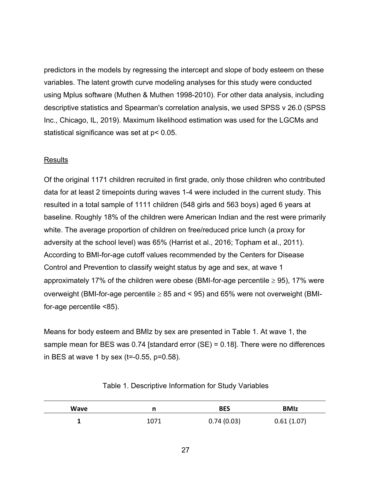predictors in the models by regressing the intercept and slope of body esteem on these variables. The latent growth curve modeling analyses for this study were conducted using Mplus software (Muthen & Muthen 1998-2010). For other data analysis, including descriptive statistics and Spearman's correlation analysis, we used SPSS v 26.0 (SPSS Inc., Chicago, IL, 2019). Maximum likelihood estimation was used for the LGCMs and statistical significance was set at p< 0.05.

# Results

Of the original 1171 children recruited in first grade, only those children who contributed data for at least 2 timepoints during waves 1-4 were included in the current study. This resulted in a total sample of 1111 children (548 girls and 563 boys) aged 6 years at baseline. Roughly 18% of the children were American Indian and the rest were primarily white. The average proportion of children on free/reduced price lunch (a proxy for adversity at the school level) was 65% (Harrist et al., 2016; Topham et al., 2011). According to BMI-for-age cutoff values recommended by the Centers for Disease Control and Prevention to classify weight status by age and sex, at wave 1 approximately 17% of the children were obese (BMI-for-age percentile  $\geq$  95), 17% were overweight (BMI-for-age percentile  $\geq 85$  and  $\leq 95$ ) and 65% were not overweight (BMIfor-age percentile <85).

Means for body esteem and BMIz by sex are presented in Table 1. At wave 1, the sample mean for BES was 0.74 [standard error (SE) = 0.18]. There were no differences in BES at wave 1 by sex (t=-0.55, p=0.58).

| Wave |      | <b>BES</b> | <b>BMIz</b> |
|------|------|------------|-------------|
|      | 1071 | 0.74(0.03) | 0.61(1.07)  |

Table 1. Descriptive Information for Study Variables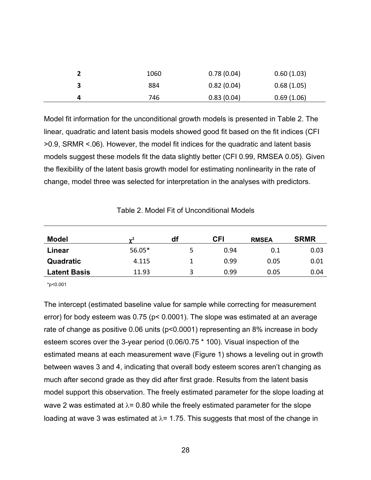| 1060 | 0.78(0.04) | 0.60(1.03) |
|------|------------|------------|
| 884  | 0.82(0.04) | 0.68(1.05) |
| 746  | 0.83(0.04) | 0.69(1.06) |

Model fit information for the unconditional growth models is presented in Table 2. The linear, quadratic and latent basis models showed good fit based on the fit indices (CFI >0.9, SRMR <.06). However, the model fit indices for the quadratic and latent basis models suggest these models fit the data slightly better (CFI 0.99, RMSEA 0.05). Given the flexibility of the latent basis growth model for estimating nonlinearity in the rate of change, model three was selected for interpretation in the analyses with predictors.

| <b>Model</b>        | $\sim$ <sup>2</sup> | df | CFI  | <b>RMSEA</b> | <b>SRMR</b> |
|---------------------|---------------------|----|------|--------------|-------------|
| Linear              | 56.05*              |    | 0.94 | 0.1          | 0.03        |
| Quadratic           | 4.115               |    | 0.99 | 0.05         | 0.01        |
| <b>Latent Basis</b> | 11.93               | っ  | 0.99 | 0.05         | 0.04        |

Table 2. Model Fit of Unconditional Models

\*p<0.001

The intercept (estimated baseline value for sample while correcting for measurement error) for body esteem was 0.75 (p< 0.0001). The slope was estimated at an average rate of change as positive 0.06 units (p<0.0001) representing an 8% increase in body esteem scores over the 3-year period (0.06/0.75 \* 100). Visual inspection of the estimated means at each measurement wave (Figure 1) shows a leveling out in growth between waves 3 and 4, indicating that overall body esteem scores aren't changing as much after second grade as they did after first grade. Results from the latent basis model support this observation. The freely estimated parameter for the slope loading at wave 2 was estimated at  $\lambda$ = 0.80 while the freely estimated parameter for the slope loading at wave 3 was estimated at  $\lambda$  = 1.75. This suggests that most of the change in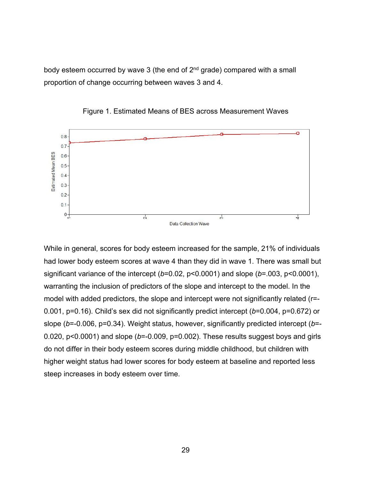body esteem occurred by wave 3 (the end of  $2<sup>nd</sup>$  grade) compared with a small proportion of change occurring between waves 3 and 4.



Figure 1. Estimated Means of BES across Measurement Waves

While in general, scores for body esteem increased for the sample, 21% of individuals had lower body esteem scores at wave 4 than they did in wave 1. There was small but significant variance of the intercept (*b*=0.02, p<0.0001) and slope (*b*=.003, p<0.0001), warranting the inclusion of predictors of the slope and intercept to the model. In the model with added predictors, the slope and intercept were not significantly related (r=- 0.001, p=0.16). Child's sex did not significantly predict intercept (*b*=0.004, p=0.672) or slope (*b*=-0.006, p=0.34). Weight status, however, significantly predicted intercept (*b*=- 0.020, p<0.0001) and slope (*b*=-0.009, p=0.002). These results suggest boys and girls do not differ in their body esteem scores during middle childhood, but children with higher weight status had lower scores for body esteem at baseline and reported less steep increases in body esteem over time.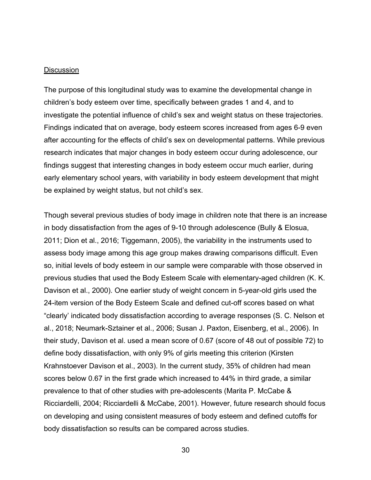### **Discussion**

The purpose of this longitudinal study was to examine the developmental change in children's body esteem over time, specifically between grades 1 and 4, and to investigate the potential influence of child's sex and weight status on these trajectories. Findings indicated that on average, body esteem scores increased from ages 6-9 even after accounting for the effects of child's sex on developmental patterns. While previous research indicates that major changes in body esteem occur during adolescence, our findings suggest that interesting changes in body esteem occur much earlier, during early elementary school years, with variability in body esteem development that might be explained by weight status, but not child's sex.

Though several previous studies of body image in children note that there is an increase in body dissatisfaction from the ages of 9-10 through adolescence (Bully & Elosua, 2011; Dion et al., 2016; Tiggemann, 2005), the variability in the instruments used to assess body image among this age group makes drawing comparisons difficult. Even so, initial levels of body esteem in our sample were comparable with those observed in previous studies that used the Body Esteem Scale with elementary-aged children (K. K. Davison et al., 2000). One earlier study of weight concern in 5-year-old girls used the 24-item version of the Body Esteem Scale and defined cut-off scores based on what "clearly' indicated body dissatisfaction according to average responses (S. C. Nelson et al., 2018; Neumark-Sztainer et al., 2006; Susan J. Paxton, Eisenberg, et al., 2006). In their study, Davison et al. used a mean score of 0.67 (score of 48 out of possible 72) to define body dissatisfaction, with only 9% of girls meeting this criterion (Kirsten Krahnstoever Davison et al., 2003). In the current study, 35% of children had mean scores below 0.67 in the first grade which increased to 44% in third grade, a similar prevalence to that of other studies with pre-adolescents (Marita P. McCabe & Ricciardelli, 2004; Ricciardelli & McCabe, 2001). However, future research should focus on developing and using consistent measures of body esteem and defined cutoffs for body dissatisfaction so results can be compared across studies.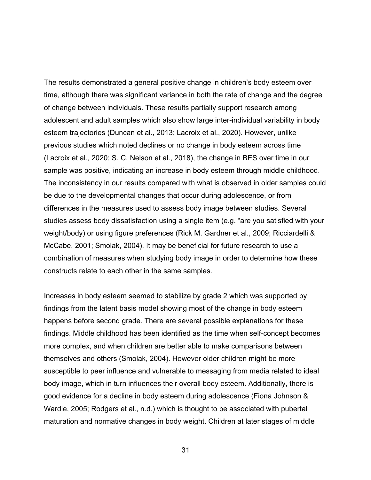The results demonstrated a general positive change in children's body esteem over time, although there was significant variance in both the rate of change and the degree of change between individuals. These results partially support research among adolescent and adult samples which also show large inter-individual variability in body esteem trajectories (Duncan et al., 2013; Lacroix et al., 2020). However, unlike previous studies which noted declines or no change in body esteem across time (Lacroix et al., 2020; S. C. Nelson et al., 2018), the change in BES over time in our sample was positive, indicating an increase in body esteem through middle childhood. The inconsistency in our results compared with what is observed in older samples could be due to the developmental changes that occur during adolescence, or from differences in the measures used to assess body image between studies. Several studies assess body dissatisfaction using a single item (e.g. "are you satisfied with your weight/body) or using figure preferences (Rick M. Gardner et al., 2009; Ricciardelli & McCabe, 2001; Smolak, 2004). It may be beneficial for future research to use a combination of measures when studying body image in order to determine how these constructs relate to each other in the same samples.

Increases in body esteem seemed to stabilize by grade 2 which was supported by findings from the latent basis model showing most of the change in body esteem happens before second grade. There are several possible explanations for these findings. Middle childhood has been identified as the time when self-concept becomes more complex, and when children are better able to make comparisons between themselves and others (Smolak, 2004). However older children might be more susceptible to peer influence and vulnerable to messaging from media related to ideal body image, which in turn influences their overall body esteem. Additionally, there is good evidence for a decline in body esteem during adolescence (Fiona Johnson & Wardle, 2005; Rodgers et al., n.d.) which is thought to be associated with pubertal maturation and normative changes in body weight. Children at later stages of middle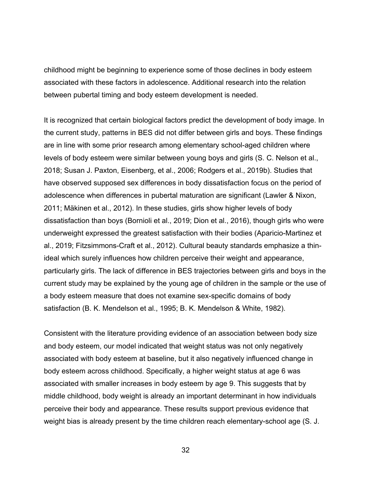childhood might be beginning to experience some of those declines in body esteem associated with these factors in adolescence. Additional research into the relation between pubertal timing and body esteem development is needed.

It is recognized that certain biological factors predict the development of body image. In the current study, patterns in BES did not differ between girls and boys. These findings are in line with some prior research among elementary school-aged children where levels of body esteem were similar between young boys and girls (S. C. Nelson et al., 2018; Susan J. Paxton, Eisenberg, et al., 2006; Rodgers et al., 2019b). Studies that have observed supposed sex differences in body dissatisfaction focus on the period of adolescence when differences in pubertal maturation are significant (Lawler & Nixon, 2011; Mäkinen et al., 2012). In these studies, girls show higher levels of body dissatisfaction than boys (Bornioli et al., 2019; Dion et al., 2016), though girls who were underweight expressed the greatest satisfaction with their bodies (Aparicio-Martinez et al., 2019; Fitzsimmons-Craft et al., 2012). Cultural beauty standards emphasize a thinideal which surely influences how children perceive their weight and appearance, particularly girls. The lack of difference in BES trajectories between girls and boys in the current study may be explained by the young age of children in the sample or the use of a body esteem measure that does not examine sex-specific domains of body satisfaction (B. K. Mendelson et al., 1995; B. K. Mendelson & White, 1982).

Consistent with the literature providing evidence of an association between body size and body esteem, our model indicated that weight status was not only negatively associated with body esteem at baseline, but it also negatively influenced change in body esteem across childhood. Specifically, a higher weight status at age 6 was associated with smaller increases in body esteem by age 9. This suggests that by middle childhood, body weight is already an important determinant in how individuals perceive their body and appearance. These results support previous evidence that weight bias is already present by the time children reach elementary-school age (S. J.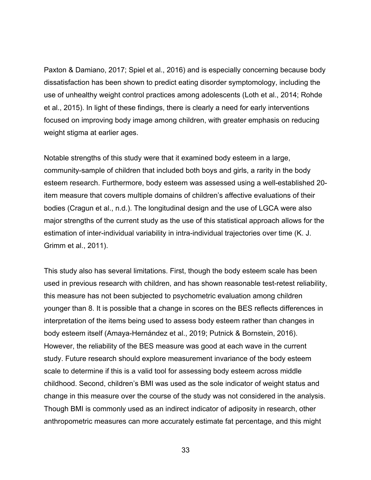Paxton & Damiano, 2017; Spiel et al., 2016) and is especially concerning because body dissatisfaction has been shown to predict eating disorder symptomology, including the use of unhealthy weight control practices among adolescents (Loth et al., 2014; Rohde et al., 2015). In light of these findings, there is clearly a need for early interventions focused on improving body image among children, with greater emphasis on reducing weight stigma at earlier ages.

Notable strengths of this study were that it examined body esteem in a large, community-sample of children that included both boys and girls, a rarity in the body esteem research. Furthermore, body esteem was assessed using a well-established 20 item measure that covers multiple domains of children's affective evaluations of their bodies (Cragun et al., n.d.). The longitudinal design and the use of LGCA were also major strengths of the current study as the use of this statistical approach allows for the estimation of inter-individual variability in intra-individual trajectories over time (K. J. Grimm et al., 2011).

This study also has several limitations. First, though the body esteem scale has been used in previous research with children, and has shown reasonable test-retest reliability, this measure has not been subjected to psychometric evaluation among children younger than 8. It is possible that a change in scores on the BES reflects differences in interpretation of the items being used to assess body esteem rather than changes in body esteem itself (Amaya-Hernández et al., 2019; Putnick & Bornstein, 2016). However, the reliability of the BES measure was good at each wave in the current study. Future research should explore measurement invariance of the body esteem scale to determine if this is a valid tool for assessing body esteem across middle childhood. Second, children's BMI was used as the sole indicator of weight status and change in this measure over the course of the study was not considered in the analysis. Though BMI is commonly used as an indirect indicator of adiposity in research, other anthropometric measures can more accurately estimate fat percentage, and this might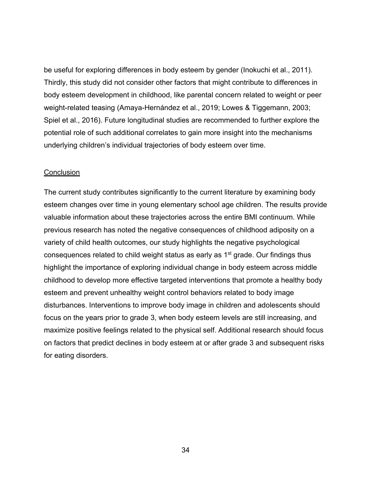be useful for exploring differences in body esteem by gender (Inokuchi et al., 2011). Thirdly, this study did not consider other factors that might contribute to differences in body esteem development in childhood, like parental concern related to weight or peer weight-related teasing (Amaya-Hernández et al., 2019; Lowes & Tiggemann, 2003; Spiel et al., 2016). Future longitudinal studies are recommended to further explore the potential role of such additional correlates to gain more insight into the mechanisms underlying children's individual trajectories of body esteem over time.

### **Conclusion**

The current study contributes significantly to the current literature by examining body esteem changes over time in young elementary school age children. The results provide valuable information about these trajectories across the entire BMI continuum. While previous research has noted the negative consequences of childhood adiposity on a variety of child health outcomes, our study highlights the negative psychological consequences related to child weight status as early as 1st grade. Our findings thus highlight the importance of exploring individual change in body esteem across middle childhood to develop more effective targeted interventions that promote a healthy body esteem and prevent unhealthy weight control behaviors related to body image disturbances. Interventions to improve body image in children and adolescents should focus on the years prior to grade 3, when body esteem levels are still increasing, and maximize positive feelings related to the physical self. Additional research should focus on factors that predict declines in body esteem at or after grade 3 and subsequent risks for eating disorders.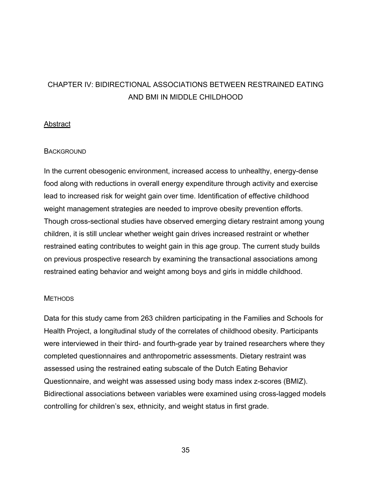# CHAPTER IV: BIDIRECTIONAL ASSOCIATIONS BETWEEN RESTRAINED EATING AND BMI IN MIDDLE CHILDHOOD

# **Abstract**

# **BACKGROUND**

In the current obesogenic environment, increased access to unhealthy, energy-dense food along with reductions in overall energy expenditure through activity and exercise lead to increased risk for weight gain over time. Identification of effective childhood weight management strategies are needed to improve obesity prevention efforts. Though cross-sectional studies have observed emerging dietary restraint among young children, it is still unclear whether weight gain drives increased restraint or whether restrained eating contributes to weight gain in this age group. The current study builds on previous prospective research by examining the transactional associations among restrained eating behavior and weight among boys and girls in middle childhood.

# **METHODS**

Data for this study came from 263 children participating in the Families and Schools for Health Project, a longitudinal study of the correlates of childhood obesity. Participants were interviewed in their third- and fourth-grade year by trained researchers where they completed questionnaires and anthropometric assessments. Dietary restraint was assessed using the restrained eating subscale of the Dutch Eating Behavior Questionnaire, and weight was assessed using body mass index z-scores (BMIZ). Bidirectional associations between variables were examined using cross-lagged models controlling for children's sex, ethnicity, and weight status in first grade.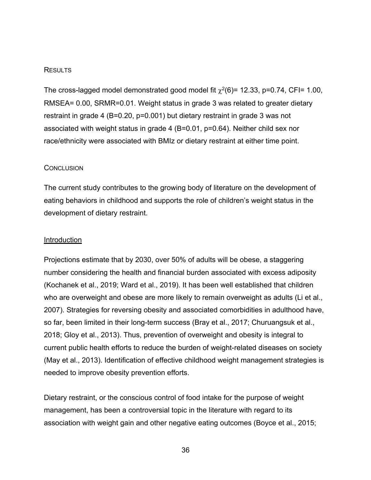### **RESULTS**

The cross-lagged model demonstrated good model fit  $\chi^2(6)$ = 12.33, p=0.74, CFI= 1.00, RMSEA= 0.00, SRMR=0.01. Weight status in grade 3 was related to greater dietary restraint in grade 4 (B=0.20, p=0.001) but dietary restraint in grade 3 was not associated with weight status in grade 4 (B=0.01, p=0.64). Neither child sex nor race/ethnicity were associated with BMIz or dietary restraint at either time point.

### **CONCLUSION**

The current study contributes to the growing body of literature on the development of eating behaviors in childhood and supports the role of children's weight status in the development of dietary restraint.

### **Introduction**

Projections estimate that by 2030, over 50% of adults will be obese, a staggering number considering the health and financial burden associated with excess adiposity (Kochanek et al., 2019; Ward et al., 2019). It has been well established that children who are overweight and obese are more likely to remain overweight as adults (Li et al., 2007). Strategies for reversing obesity and associated comorbidities in adulthood have, so far, been limited in their long-term success (Bray et al., 2017; Churuangsuk et al., 2018; Gloy et al., 2013). Thus, prevention of overweight and obesity is integral to current public health efforts to reduce the burden of weight-related diseases on society (May et al., 2013). Identification of effective childhood weight management strategies is needed to improve obesity prevention efforts.

Dietary restraint, or the conscious control of food intake for the purpose of weight management, has been a controversial topic in the literature with regard to its association with weight gain and other negative eating outcomes (Boyce et al., 2015;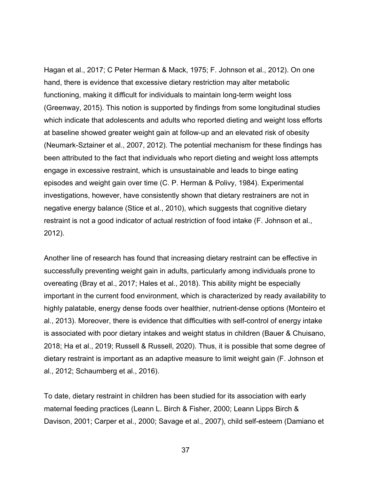Hagan et al., 2017; C Peter Herman & Mack, 1975; F. Johnson et al., 2012). On one hand, there is evidence that excessive dietary restriction may alter metabolic functioning, making it difficult for individuals to maintain long-term weight loss (Greenway, 2015). This notion is supported by findings from some longitudinal studies which indicate that adolescents and adults who reported dieting and weight loss efforts at baseline showed greater weight gain at follow-up and an elevated risk of obesity (Neumark-Sztainer et al., 2007, 2012). The potential mechanism for these findings has been attributed to the fact that individuals who report dieting and weight loss attempts engage in excessive restraint, which is unsustainable and leads to binge eating episodes and weight gain over time (C. P. Herman & Polivy, 1984). Experimental investigations, however, have consistently shown that dietary restrainers are not in negative energy balance (Stice et al., 2010), which suggests that cognitive dietary restraint is not a good indicator of actual restriction of food intake (F. Johnson et al., 2012).

Another line of research has found that increasing dietary restraint can be effective in successfully preventing weight gain in adults, particularly among individuals prone to overeating (Bray et al., 2017; Hales et al., 2018). This ability might be especially important in the current food environment, which is characterized by ready availability to highly palatable, energy dense foods over healthier, nutrient-dense options (Monteiro et al., 2013). Moreover, there is evidence that difficulties with self-control of energy intake is associated with poor dietary intakes and weight status in children (Bauer & Chuisano, 2018; Ha et al., 2019; Russell & Russell, 2020). Thus, it is possible that some degree of dietary restraint is important as an adaptive measure to limit weight gain (F. Johnson et al., 2012; Schaumberg et al., 2016).

To date, dietary restraint in children has been studied for its association with early maternal feeding practices (Leann L. Birch & Fisher, 2000; Leann Lipps Birch & Davison, 2001; Carper et al., 2000; Savage et al., 2007), child self-esteem (Damiano et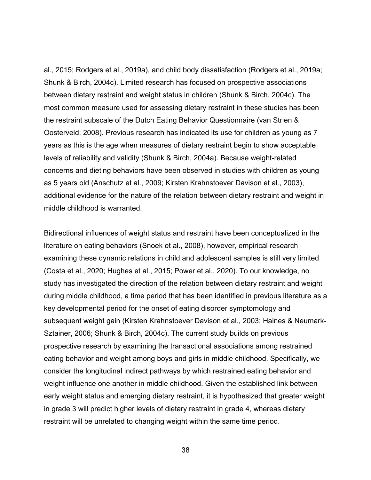al., 2015; Rodgers et al., 2019a), and child body dissatisfaction (Rodgers et al., 2019a; Shunk & Birch, 2004c). Limited research has focused on prospective associations between dietary restraint and weight status in children (Shunk & Birch, 2004c). The most common measure used for assessing dietary restraint in these studies has been the restraint subscale of the Dutch Eating Behavior Questionnaire (van Strien & Oosterveld, 2008). Previous research has indicated its use for children as young as 7 years as this is the age when measures of dietary restraint begin to show acceptable levels of reliability and validity (Shunk & Birch, 2004a). Because weight-related concerns and dieting behaviors have been observed in studies with children as young as 5 years old (Anschutz et al., 2009; Kirsten Krahnstoever Davison et al., 2003), additional evidence for the nature of the relation between dietary restraint and weight in middle childhood is warranted.

Bidirectional influences of weight status and restraint have been conceptualized in the literature on eating behaviors (Snoek et al., 2008), however, empirical research examining these dynamic relations in child and adolescent samples is still very limited (Costa et al., 2020; Hughes et al., 2015; Power et al., 2020). To our knowledge, no study has investigated the direction of the relation between dietary restraint and weight during middle childhood, a time period that has been identified in previous literature as a key developmental period for the onset of eating disorder symptomology and subsequent weight gain (Kirsten Krahnstoever Davison et al., 2003; Haines & Neumark-Sztainer, 2006; Shunk & Birch, 2004c). The current study builds on previous prospective research by examining the transactional associations among restrained eating behavior and weight among boys and girls in middle childhood. Specifically, we consider the longitudinal indirect pathways by which restrained eating behavior and weight influence one another in middle childhood. Given the established link between early weight status and emerging dietary restraint, it is hypothesized that greater weight in grade 3 will predict higher levels of dietary restraint in grade 4, whereas dietary restraint will be unrelated to changing weight within the same time period.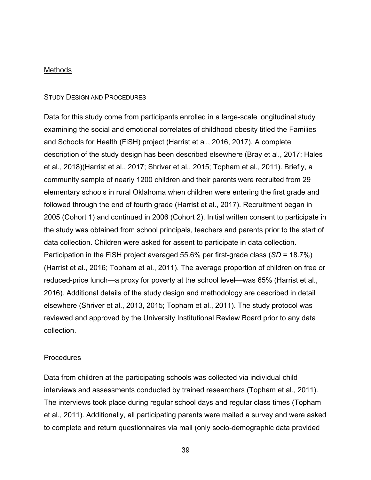### **Methods**

### STUDY DESIGN AND PROCEDURES

Data for this study come from participants enrolled in a large-scale longitudinal study examining the social and emotional correlates of childhood obesity titled the Families and Schools for Health (FiSH) project (Harrist et al., 2016, 2017). A complete description of the study design has been described elsewhere (Bray et al., 2017; Hales et al., 2018)(Harrist et al., 2017; Shriver et al., 2015; Topham et al., 2011). Briefly, a community sample of nearly 1200 children and their parents were recruited from 29 elementary schools in rural Oklahoma when children were entering the first grade and followed through the end of fourth grade (Harrist et al., 2017). Recruitment began in 2005 (Cohort 1) and continued in 2006 (Cohort 2). Initial written consent to participate in the study was obtained from school principals, teachers and parents prior to the start of data collection. Children were asked for assent to participate in data collection. Participation in the FiSH project averaged 55.6% per first-grade class (*SD* = 18.7%) (Harrist et al., 2016; Topham et al., 2011). The average proportion of children on free or reduced-price lunch—a proxy for poverty at the school level—was 65% (Harrist et al., 2016). Additional details of the study design and methodology are described in detail elsewhere (Shriver et al., 2013, 2015; Topham et al., 2011). The study protocol was reviewed and approved by the University Institutional Review Board prior to any data collection.

# **Procedures**

Data from children at the participating schools was collected via individual child interviews and assessments conducted by trained researchers (Topham et al., 2011). The interviews took place during regular school days and regular class times (Topham et al., 2011). Additionally, all participating parents were mailed a survey and were asked to complete and return questionnaires via mail (only socio-demographic data provided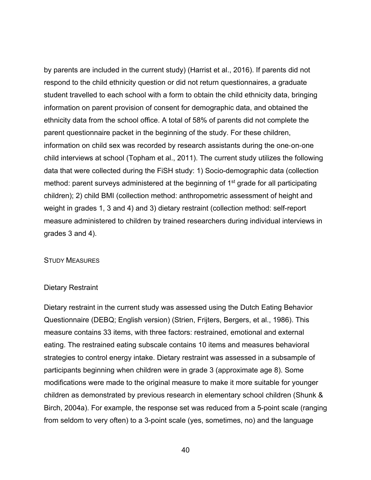by parents are included in the current study) (Harrist et al., 2016). If parents did not respond to the child ethnicity question or did not return questionnaires, a graduate student travelled to each school with a form to obtain the child ethnicity data, bringing information on parent provision of consent for demographic data, and obtained the ethnicity data from the school office. A total of 58% of parents did not complete the parent questionnaire packet in the beginning of the study. For these children, information on child sex was recorded by research assistants during the one-on-one child interviews at school (Topham et al., 2011). The current study utilizes the following data that were collected during the FiSH study: 1) Socio-demographic data (collection method: parent surveys administered at the beginning of 1<sup>st</sup> grade for all participating children); 2) child BMI (collection method: anthropometric assessment of height and weight in grades 1, 3 and 4) and 3) dietary restraint (collection method: self-report measure administered to children by trained researchers during individual interviews in grades 3 and 4).

### STUDY MEASURES

### Dietary Restraint

Dietary restraint in the current study was assessed using the Dutch Eating Behavior Questionnaire (DEBQ; English version) (Strien, Frijters, Bergers, et al., 1986). This measure contains 33 items, with three factors: restrained, emotional and external eating. The restrained eating subscale contains 10 items and measures behavioral strategies to control energy intake. Dietary restraint was assessed in a subsample of participants beginning when children were in grade 3 (approximate age 8). Some modifications were made to the original measure to make it more suitable for younger children as demonstrated by previous research in elementary school children (Shunk & Birch, 2004a). For example, the response set was reduced from a 5-point scale (ranging from seldom to very often) to a 3-point scale (yes, sometimes, no) and the language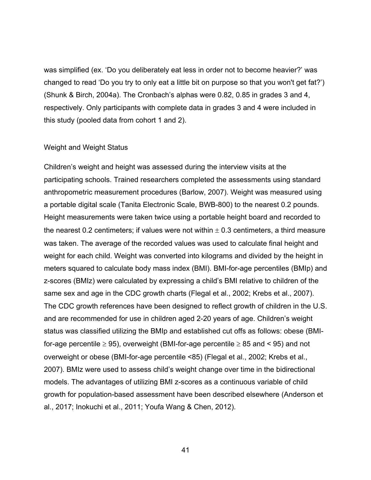was simplified (ex. 'Do you deliberately eat less in order not to become heavier?' was changed to read 'Do you try to only eat a little bit on purpose so that you won't get fat?') (Shunk & Birch, 2004a). The Cronbach's alphas were 0.82, 0.85 in grades 3 and 4, respectively. Only participants with complete data in grades 3 and 4 were included in this study (pooled data from cohort 1 and 2).

### Weight and Weight Status

Children's weight and height was assessed during the interview visits at the participating schools. Trained researchers completed the assessments using standard anthropometric measurement procedures (Barlow, 2007). Weight was measured using a portable digital scale (Tanita Electronic Scale, BWB-800) to the nearest 0.2 pounds. Height measurements were taken twice using a portable height board and recorded to the nearest 0.2 centimeters; if values were not within  $\pm$  0.3 centimeters, a third measure was taken. The average of the recorded values was used to calculate final height and weight for each child. Weight was converted into kilograms and divided by the height in meters squared to calculate body mass index (BMI). BMI-for-age percentiles (BMIp) and z-scores (BMIz) were calculated by expressing a child's BMI relative to children of the same sex and age in the CDC growth charts (Flegal et al., 2002; Krebs et al., 2007). The CDC growth references have been designed to reflect growth of children in the U.S. and are recommended for use in children aged 2-20 years of age. Children's weight status was classified utilizing the BMIp and established cut offs as follows: obese (BMIfor-age percentile  $\geq$  95), overweight (BMI-for-age percentile  $\geq$  85 and < 95) and not overweight or obese (BMI-for-age percentile <85) (Flegal et al., 2002; Krebs et al., 2007). BMIz were used to assess child's weight change over time in the bidirectional models. The advantages of utilizing BMI z-scores as a continuous variable of child growth for population-based assessment have been described elsewhere (Anderson et al., 2017; Inokuchi et al., 2011; Youfa Wang & Chen, 2012).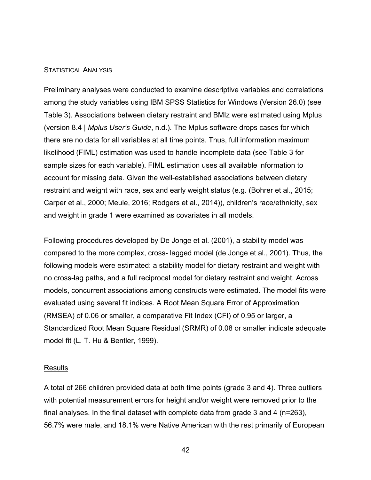### STATISTICAL ANALYSIS

Preliminary analyses were conducted to examine descriptive variables and correlations among the study variables using IBM SPSS Statistics for Windows (Version 26.0) (see Table 3). Associations between dietary restraint and BMIz were estimated using Mplus (version 8.4 | *Mplus User's Guide*, n.d.). The Mplus software drops cases for which there are no data for all variables at all time points. Thus, full information maximum likelihood (FIML) estimation was used to handle incomplete data (see Table 3 for sample sizes for each variable). FIML estimation uses all available information to account for missing data. Given the well-established associations between dietary restraint and weight with race, sex and early weight status (e.g. (Bohrer et al., 2015; Carper et al., 2000; Meule, 2016; Rodgers et al., 2014)), children's race/ethnicity, sex and weight in grade 1 were examined as covariates in all models.

Following procedures developed by De Jonge et al. (2001), a stability model was compared to the more complex, cross- lagged model (de Jonge et al., 2001). Thus, the following models were estimated: a stability model for dietary restraint and weight with no cross-lag paths, and a full reciprocal model for dietary restraint and weight. Across models, concurrent associations among constructs were estimated. The model fits were evaluated using several fit indices. A Root Mean Square Error of Approximation (RMSEA) of 0.06 or smaller, a comparative Fit Index (CFI) of 0.95 or larger, a Standardized Root Mean Square Residual (SRMR) of 0.08 or smaller indicate adequate model fit (L. T. Hu & Bentler, 1999).

### **Results**

A total of 266 children provided data at both time points (grade 3 and 4). Three outliers with potential measurement errors for height and/or weight were removed prior to the final analyses. In the final dataset with complete data from grade 3 and 4 (n=263), 56.7% were male, and 18.1% were Native American with the rest primarily of European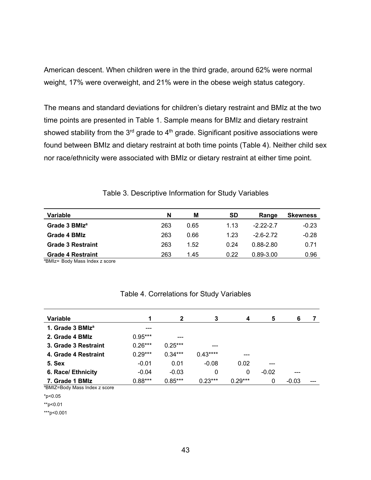American descent. When children were in the third grade, around 62% were normal weight, 17% were overweight, and 21% were in the obese weigh status category.

The means and standard deviations for children's dietary restraint and BMIz at the two time points are presented in Table 1. Sample means for BMIz and dietary restraint showed stability from the  $3<sup>rd</sup>$  grade to  $4<sup>th</sup>$  grade. Significant positive associations were found between BMIz and dietary restraint at both time points (Table 4). Neither child sex nor race/ethnicity were associated with BMIz or dietary restraint at either time point.

| Variable                  | N   | M    | <b>SD</b> | Range         | <b>Skewness</b> |
|---------------------------|-----|------|-----------|---------------|-----------------|
| Grade 3 BMIz <sup>a</sup> | 263 | 0.65 | 1.13      | $-2.22 - 2.7$ | $-0.23$         |
| Grade 4 BMIz              | 263 | 0.66 | 1.23      | $-2.6 - 2.72$ | $-0.28$         |
| <b>Grade 3 Restraint</b>  | 263 | 1.52 | 0.24      | 0.88-2.80     | 0.71            |
| <b>Grade 4 Restraint</b>  | 263 | 1.45 | 0.22      | $0.89 - 3.00$ | 0.96            |

Table 3. Descriptive Information for Study Variables

<sup>a</sup>BMIz= Body Mass Index z score

# Table 4. Correlations for Study Variables

| Variable                     |           | $\mathbf 2$ | 3         | 4         | 5       | 6       |  |
|------------------------------|-----------|-------------|-----------|-----------|---------|---------|--|
| 1. Grade 3 BMIz <sup>a</sup> | ---       |             |           |           |         |         |  |
| 2. Grade 4 BMIz              | $0.95***$ | ---         |           |           |         |         |  |
| 3. Grade 3 Restraint         | $0.26***$ | $0.25***$   | ---       |           |         |         |  |
| 4. Grade 4 Restraint         | $0.29***$ | $0.34***$   | $0.43***$ |           |         |         |  |
| 5. Sex                       | $-0.01$   | 0.01        | $-0.08$   | 0.02      | ---     |         |  |
| 6. Race/ Ethnicity           | $-0.04$   | $-0.03$     | 0         | 0         | $-0.02$ | ---     |  |
| 7. Grade 1 BMIz              | $0.88***$ | $0.85***$   | $0.23***$ | $0.29***$ | 0       | $-0.03$ |  |

a BMIZ=Body Mass Index z score

\*p<0.05

\*\*p<0.01

\*\*\*p<0.001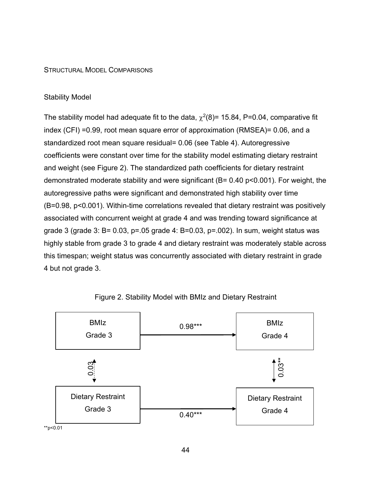# STRUCTURAL MODEL COMPARISONS

# Stability Model

The stability model had adequate fit to the data,  $\chi^2(8)$ = 15.84, P=0.04, comparative fit index (CFI) =0.99, root mean square error of approximation (RMSEA)= 0.06, and a standardized root mean square residual= 0.06 (see Table 4). Autoregressive coefficients were constant over time for the stability model estimating dietary restraint and weight (see Figure 2). The standardized path coefficients for dietary restraint demonstrated moderate stability and were significant (B= 0.40 p<0.001). For weight, the autoregressive paths were significant and demonstrated high stability over time (B=0.98, p<0.001). Within-time correlations revealed that dietary restraint was positively associated with concurrent weight at grade 4 and was trending toward significance at grade 3 (grade 3: B= 0.03, p=.05 grade 4: B=0.03, p=.002). In sum, weight status was highly stable from grade 3 to grade 4 and dietary restraint was moderately stable across this timespan; weight status was concurrently associated with dietary restraint in grade 4 but not grade 3.



Figure 2. Stability Model with BMIz and Dietary Restraint

\*\*p<0.01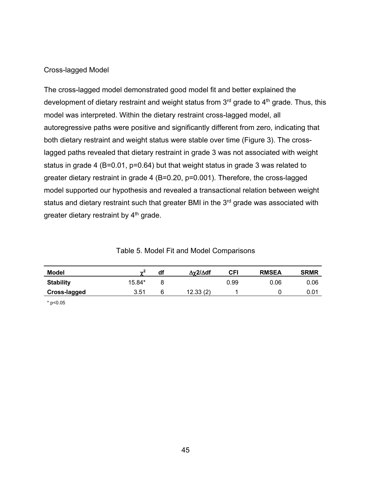# Cross-lagged Model

The cross-lagged model demonstrated good model fit and better explained the development of dietary restraint and weight status from 3<sup>rd</sup> grade to 4<sup>th</sup> grade. Thus, this model was interpreted. Within the dietary restraint cross-lagged model, all autoregressive paths were positive and significantly different from zero, indicating that both dietary restraint and weight status were stable over time (Figure 3). The crosslagged paths revealed that dietary restraint in grade 3 was not associated with weight status in grade 4 (B=0.01, p=0.64) but that weight status in grade 3 was related to greater dietary restraint in grade 4 (B=0.20, p=0.001). Therefore, the cross-lagged model supported our hypothesis and revealed a transactional relation between weight status and dietary restraint such that greater BMI in the 3<sup>rd</sup> grade was associated with greater dietary restraint by 4<sup>th</sup> grade.

| Model               | $\sim$ <sup>2</sup> | df | $\Delta \chi$ 2/ $\Delta$ df | CFI  | <b>RMSEA</b> | <b>SRMR</b>    |
|---------------------|---------------------|----|------------------------------|------|--------------|----------------|
| <b>Stability</b>    | 15.84*              |    |                              | 0.99 | 0.06         | 0.06           |
| <b>Cross-lagged</b> | 3.51                |    | 12.33(2)                     |      |              | $0.0^{\prime}$ |

| Table 5. Model Fit and Model Comparisons |  |
|------------------------------------------|--|
|------------------------------------------|--|

\* p<0.05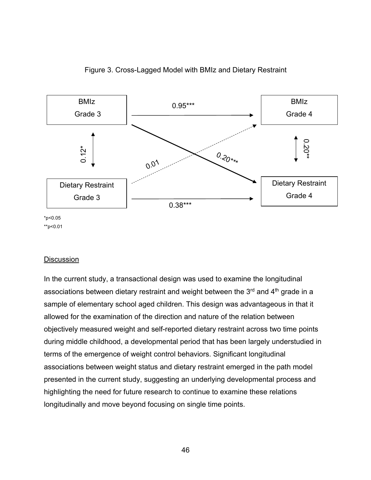

# Figure 3. Cross-Lagged Model with BMIz and Dietary Restraint

\*\*p<0.01

# **Discussion**

In the current study, a transactional design was used to examine the longitudinal associations between dietary restraint and weight between the  $3<sup>rd</sup>$  and  $4<sup>th</sup>$  grade in a sample of elementary school aged children. This design was advantageous in that it allowed for the examination of the direction and nature of the relation between objectively measured weight and self-reported dietary restraint across two time points during middle childhood, a developmental period that has been largely understudied in terms of the emergence of weight control behaviors. Significant longitudinal associations between weight status and dietary restraint emerged in the path model presented in the current study, suggesting an underlying developmental process and highlighting the need for future research to continue to examine these relations longitudinally and move beyond focusing on single time points.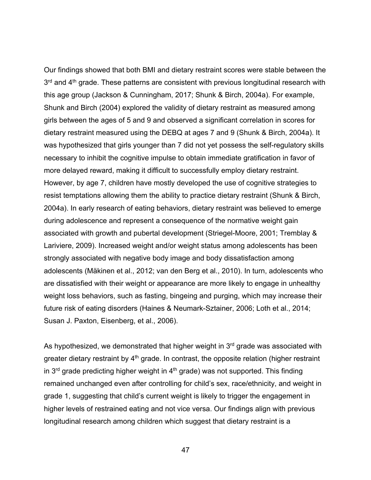Our findings showed that both BMI and dietary restraint scores were stable between the  $3<sup>rd</sup>$  and  $4<sup>th</sup>$  grade. These patterns are consistent with previous longitudinal research with this age group (Jackson & Cunningham, 2017; Shunk & Birch, 2004a). For example, Shunk and Birch (2004) explored the validity of dietary restraint as measured among girls between the ages of 5 and 9 and observed a significant correlation in scores for dietary restraint measured using the DEBQ at ages 7 and 9 (Shunk & Birch, 2004a). It was hypothesized that girls younger than 7 did not yet possess the self-regulatory skills necessary to inhibit the cognitive impulse to obtain immediate gratification in favor of more delayed reward, making it difficult to successfully employ dietary restraint. However, by age 7, children have mostly developed the use of cognitive strategies to resist temptations allowing them the ability to practice dietary restraint (Shunk & Birch, 2004a). In early research of eating behaviors, dietary restraint was believed to emerge during adolescence and represent a consequence of the normative weight gain associated with growth and pubertal development (Striegel-Moore, 2001; Tremblay & Lariviere, 2009). Increased weight and/or weight status among adolescents has been strongly associated with negative body image and body dissatisfaction among adolescents (Mäkinen et al., 2012; van den Berg et al., 2010). In turn, adolescents who are dissatisfied with their weight or appearance are more likely to engage in unhealthy weight loss behaviors, such as fasting, bingeing and purging, which may increase their future risk of eating disorders (Haines & Neumark-Sztainer, 2006; Loth et al., 2014; Susan J. Paxton, Eisenberg, et al., 2006).

As hypothesized, we demonstrated that higher weight in 3<sup>rd</sup> grade was associated with greater dietary restraint by  $4<sup>th</sup>$  grade. In contrast, the opposite relation (higher restraint in  $3<sup>rd</sup>$  grade predicting higher weight in  $4<sup>th</sup>$  grade) was not supported. This finding remained unchanged even after controlling for child's sex, race/ethnicity, and weight in grade 1, suggesting that child's current weight is likely to trigger the engagement in higher levels of restrained eating and not vice versa. Our findings align with previous longitudinal research among children which suggest that dietary restraint is a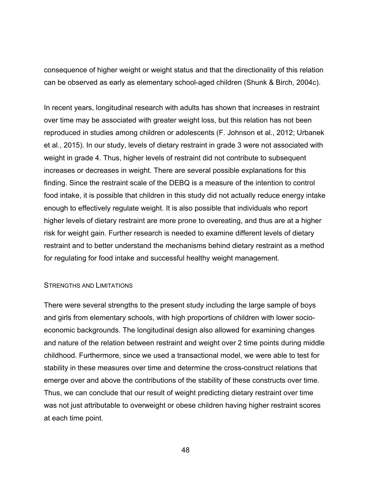consequence of higher weight or weight status and that the directionality of this relation can be observed as early as elementary school-aged children (Shunk & Birch, 2004c).

In recent years, longitudinal research with adults has shown that increases in restraint over time may be associated with greater weight loss, but this relation has not been reproduced in studies among children or adolescents (F. Johnson et al., 2012; Urbanek et al., 2015). In our study, levels of dietary restraint in grade 3 were not associated with weight in grade 4. Thus, higher levels of restraint did not contribute to subsequent increases or decreases in weight. There are several possible explanations for this finding. Since the restraint scale of the DEBQ is a measure of the intention to control food intake, it is possible that children in this study did not actually reduce energy intake enough to effectively regulate weight. It is also possible that individuals who report higher levels of dietary restraint are more prone to overeating, and thus are at a higher risk for weight gain. Further research is needed to examine different levels of dietary restraint and to better understand the mechanisms behind dietary restraint as a method for regulating for food intake and successful healthy weight management.

#### STRENGTHS AND LIMITATIONS

There were several strengths to the present study including the large sample of boys and girls from elementary schools, with high proportions of children with lower socioeconomic backgrounds. The longitudinal design also allowed for examining changes and nature of the relation between restraint and weight over 2 time points during middle childhood. Furthermore, since we used a transactional model, we were able to test for stability in these measures over time and determine the cross-construct relations that emerge over and above the contributions of the stability of these constructs over time. Thus, we can conclude that our result of weight predicting dietary restraint over time was not just attributable to overweight or obese children having higher restraint scores at each time point.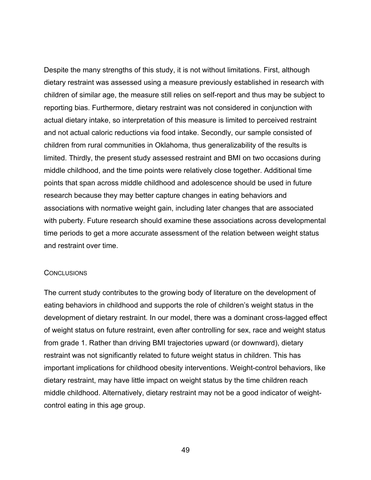Despite the many strengths of this study, it is not without limitations. First, although dietary restraint was assessed using a measure previously established in research with children of similar age, the measure still relies on self-report and thus may be subject to reporting bias. Furthermore, dietary restraint was not considered in conjunction with actual dietary intake, so interpretation of this measure is limited to perceived restraint and not actual caloric reductions via food intake. Secondly, our sample consisted of children from rural communities in Oklahoma, thus generalizability of the results is limited. Thirdly, the present study assessed restraint and BMI on two occasions during middle childhood, and the time points were relatively close together. Additional time points that span across middle childhood and adolescence should be used in future research because they may better capture changes in eating behaviors and associations with normative weight gain, including later changes that are associated with puberty. Future research should examine these associations across developmental time periods to get a more accurate assessment of the relation between weight status and restraint over time.

### **CONCLUSIONS**

The current study contributes to the growing body of literature on the development of eating behaviors in childhood and supports the role of children's weight status in the development of dietary restraint. In our model, there was a dominant cross-lagged effect of weight status on future restraint, even after controlling for sex, race and weight status from grade 1. Rather than driving BMI trajectories upward (or downward), dietary restraint was not significantly related to future weight status in children. This has important implications for childhood obesity interventions. Weight-control behaviors, like dietary restraint, may have little impact on weight status by the time children reach middle childhood. Alternatively, dietary restraint may not be a good indicator of weightcontrol eating in this age group.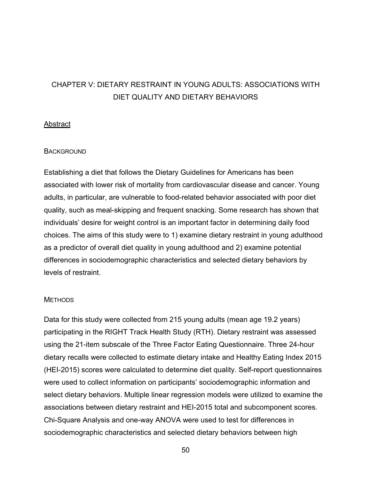# CHAPTER V: DIETARY RESTRAINT IN YOUNG ADULTS: ASSOCIATIONS WITH DIET QUALITY AND DIETARY BEHAVIORS

# **Abstract**

# **BACKGROUND**

Establishing a diet that follows the Dietary Guidelines for Americans has been associated with lower risk of mortality from cardiovascular disease and cancer. Young adults, in particular, are vulnerable to food-related behavior associated with poor diet quality, such as meal-skipping and frequent snacking. Some research has shown that individuals' desire for weight control is an important factor in determining daily food choices. The aims of this study were to 1) examine dietary restraint in young adulthood as a predictor of overall diet quality in young adulthood and 2) examine potential differences in sociodemographic characteristics and selected dietary behaviors by levels of restraint.

### **METHODS**

Data for this study were collected from 215 young adults (mean age 19.2 years) participating in the RIGHT Track Health Study (RTH). Dietary restraint was assessed using the 21-item subscale of the Three Factor Eating Questionnaire. Three 24-hour dietary recalls were collected to estimate dietary intake and Healthy Eating Index 2015 (HEI-2015) scores were calculated to determine diet quality. Self-report questionnaires were used to collect information on participants' sociodemographic information and select dietary behaviors. Multiple linear regression models were utilized to examine the associations between dietary restraint and HEI-2015 total and subcomponent scores. Chi-Square Analysis and one-way ANOVA were used to test for differences in sociodemographic characteristics and selected dietary behaviors between high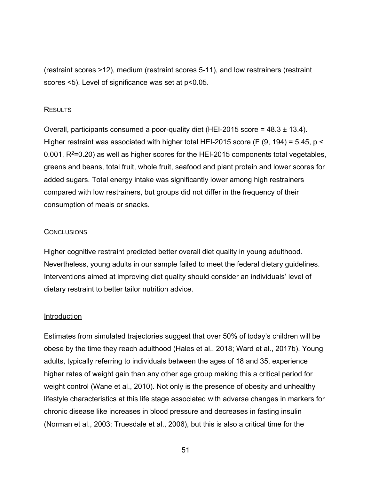(restraint scores >12), medium (restraint scores 5-11), and low restrainers (restraint scores <5). Level of significance was set at p<0.05.

# **RESULTS**

Overall, participants consumed a poor-quality diet (HEI-2015 score = 48.3 ± 13.4). Higher restraint was associated with higher total HEI-2015 score (F (9, 194) = 5.45, p < 0.001,  $R^2$ =0.20) as well as higher scores for the HEI-2015 components total vegetables, greens and beans, total fruit, whole fruit, seafood and plant protein and lower scores for added sugars. Total energy intake was significantly lower among high restrainers compared with low restrainers, but groups did not differ in the frequency of their consumption of meals or snacks.

### **CONCLUSIONS**

Higher cognitive restraint predicted better overall diet quality in young adulthood. Nevertheless, young adults in our sample failed to meet the federal dietary guidelines. Interventions aimed at improving diet quality should consider an individuals' level of dietary restraint to better tailor nutrition advice.

### **Introduction**

Estimates from simulated trajectories suggest that over 50% of today's children will be obese by the time they reach adulthood (Hales et al., 2018; Ward et al., 2017b). Young adults, typically referring to individuals between the ages of 18 and 35, experience higher rates of weight gain than any other age group making this a critical period for weight control (Wane et al., 2010). Not only is the presence of obesity and unhealthy lifestyle characteristics at this life stage associated with adverse changes in markers for chronic disease like increases in blood pressure and decreases in fasting insulin (Norman et al., 2003; Truesdale et al., 2006), but this is also a critical time for the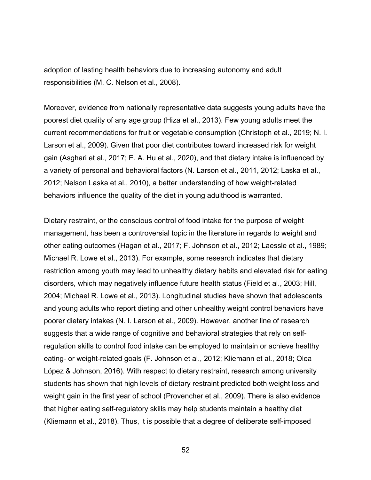adoption of lasting health behaviors due to increasing autonomy and adult responsibilities (M. C. Nelson et al., 2008).

Moreover, evidence from nationally representative data suggests young adults have the poorest diet quality of any age group (Hiza et al., 2013). Few young adults meet the current recommendations for fruit or vegetable consumption (Christoph et al., 2019; N. I. Larson et al., 2009). Given that poor diet contributes toward increased risk for weight gain (Asghari et al., 2017; E. A. Hu et al., 2020), and that dietary intake is influenced by a variety of personal and behavioral factors (N. Larson et al., 2011, 2012; Laska et al., 2012; Nelson Laska et al., 2010), a better understanding of how weight-related behaviors influence the quality of the diet in young adulthood is warranted.

Dietary restraint, or the conscious control of food intake for the purpose of weight management, has been a controversial topic in the literature in regards to weight and other eating outcomes (Hagan et al., 2017; F. Johnson et al., 2012; Laessle et al., 1989; Michael R. Lowe et al., 2013). For example, some research indicates that dietary restriction among youth may lead to unhealthy dietary habits and elevated risk for eating disorders, which may negatively influence future health status (Field et al., 2003; Hill, 2004; Michael R. Lowe et al., 2013). Longitudinal studies have shown that adolescents and young adults who report dieting and other unhealthy weight control behaviors have poorer dietary intakes (N. I. Larson et al., 2009). However, another line of research suggests that a wide range of cognitive and behavioral strategies that rely on selfregulation skills to control food intake can be employed to maintain or achieve healthy eating- or weight-related goals (F. Johnson et al., 2012; Kliemann et al., 2018; Olea López & Johnson, 2016). With respect to dietary restraint, research among university students has shown that high levels of dietary restraint predicted both weight loss and weight gain in the first year of school (Provencher et al., 2009). There is also evidence that higher eating self-regulatory skills may help students maintain a healthy diet (Kliemann et al., 2018). Thus, it is possible that a degree of deliberate self-imposed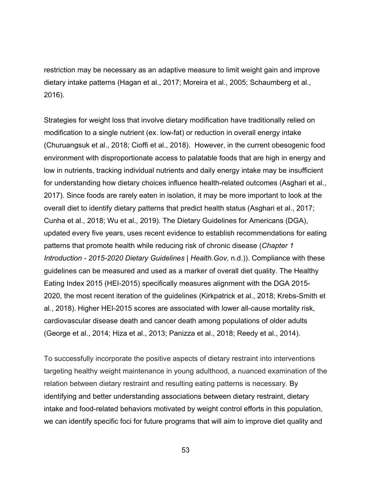restriction may be necessary as an adaptive measure to limit weight gain and improve dietary intake patterns (Hagan et al., 2017; Moreira et al., 2005; Schaumberg et al., 2016).

Strategies for weight loss that involve dietary modification have traditionally relied on modification to a single nutrient (ex. low-fat) or reduction in overall energy intake (Churuangsuk et al., 2018; Cioffi et al., 2018). However, in the current obesogenic food environment with disproportionate access to palatable foods that are high in energy and low in nutrients, tracking individual nutrients and daily energy intake may be insufficient for understanding how dietary choices influence health-related outcomes (Asghari et al., 2017). Since foods are rarely eaten in isolation, it may be more important to look at the overall diet to identify dietary patterns that predict health status (Asghari et al., 2017; Cunha et al., 2018; Wu et al., 2019). The Dietary Guidelines for Americans (DGA), updated every five years, uses recent evidence to establish recommendations for eating patterns that promote health while reducing risk of chronic disease (*Chapter 1 Introduction - 2015-2020 Dietary Guidelines | Health.Gov*, n.d.)). Compliance with these guidelines can be measured and used as a marker of overall diet quality. The Healthy Eating Index 2015 (HEI-2015) specifically measures alignment with the DGA 2015- 2020, the most recent iteration of the guidelines (Kirkpatrick et al., 2018; Krebs-Smith et al., 2018). Higher HEI-2015 scores are associated with lower all-cause mortality risk, cardiovascular disease death and cancer death among populations of older adults (George et al., 2014; Hiza et al., 2013; Panizza et al., 2018; Reedy et al., 2014).

To successfully incorporate the positive aspects of dietary restraint into interventions targeting healthy weight maintenance in young adulthood, a nuanced examination of the relation between dietary restraint and resulting eating patterns is necessary. By identifying and better understanding associations between dietary restraint, dietary intake and food-related behaviors motivated by weight control efforts in this population, we can identify specific foci for future programs that will aim to improve diet quality and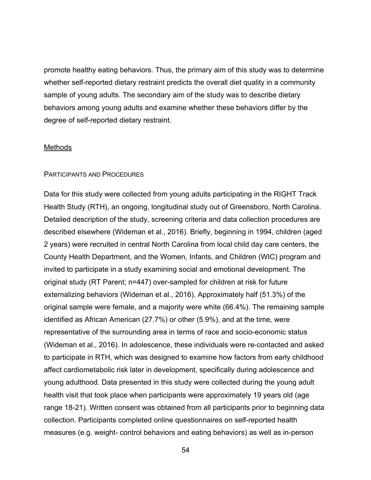promote healthy eating behaviors. Thus, the primary aim of this study was to determine whether self-reported dietary restraint predicts the overall diet quality in a community sample of young adults. The secondary aim of the study was to describe dietary behaviors among young adults and examine whether these behaviors differ by the degree of self-reported dietary restraint.

### **Methods**

### PARTICIPANTS AND PROCEDURES

Data for this study were collected from young adults participating in the RIGHT Track Health Study (RTH), an ongoing, longitudinal study out of Greensboro, North Carolina. Detailed description of the study, screening criteria and data collection procedures are described elsewhere (Wideman et al., 2016). Briefly, beginning in 1994, children (aged 2 years) were recruited in central North Carolina from local child day care centers, the County Health Department, and the Women, Infants, and Children (WIC) program and invited to participate in a study examining social and emotional development. The original study (RT Parent; n=447) over-sampled for children at risk for future externalizing behaviors (Wideman et al., 2016). Approximately half (51.3%) of the original sample were female, and a majority were white (66.4%). The remaining sample identified as African American (27.7%) or other (5.9%), and at the time, were representative of the surrounding area in terms of race and socio-economic status (Wideman et al., 2016). In adolescence, these individuals were re-contacted and asked to participate in RTH, which was designed to examine how factors from early childhood affect cardiometabolic risk later in development, specifically during adolescence and young adulthood. Data presented in this study were collected during the young adult health visit that took place when participants were approximately 19 years old (age range 18-21). Written consent was obtained from all participants prior to beginning data collection. Participants completed online questionnaires on self-reported health measures (e.g. weight- control behaviors and eating behaviors) as well as in-person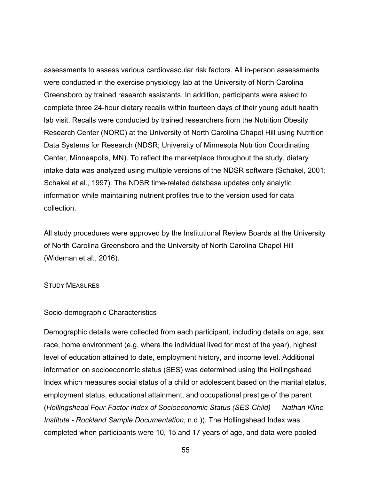assessments to assess various cardiovascular risk factors. All in-person assessments were conducted in the exercise physiology lab at the University of North Carolina Greensboro by trained research assistants. In addition, participants were asked to complete three 24-hour dietary recalls within fourteen days of their young adult health lab visit. Recalls were conducted by trained researchers from the Nutrition Obesity Research Center (NORC) at the University of North Carolina Chapel Hill using Nutrition Data Systems for Research (NDSR; University of Minnesota Nutrition Coordinating Center, Minneapolis, MN). To reflect the marketplace throughout the study, dietary intake data was analyzed using multiple versions of the NDSR software (Schakel, 2001; Schakel et al., 1997). The NDSR time-related database updates only analytic information while maintaining nutrient profiles true to the version used for data collection.

All study procedures were approved by the Institutional Review Boards at the University of North Carolina Greensboro and the University of North Carolina Chapel Hill (Wideman et al., 2016).

### STUDY MEASURES

### Socio-demographic Characteristics

Demographic details were collected from each participant, including details on age, sex, race, home environment (e.g. where the individual lived for most of the year), highest level of education attained to date, employment history, and income level. Additional information on socioeconomic status (SES) was determined using the Hollingshead Index which measures social status of a child or adolescent based on the marital status, employment status, educational attainment, and occupational prestige of the parent (*Hollingshead Four-Factor Index of Socioeconomic Status (SES-Child) — Nathan Kline Institute - Rockland Sample Documentation*, n.d.)). The Hollingshead Index was completed when participants were 10, 15 and 17 years of age, and data were pooled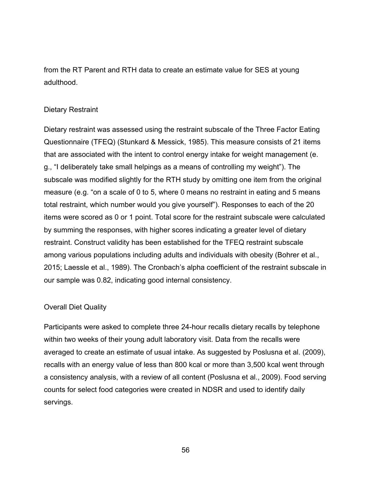from the RT Parent and RTH data to create an estimate value for SES at young adulthood.

# Dietary Restraint

Dietary restraint was assessed using the restraint subscale of the Three Factor Eating Questionnaire (TFEQ) (Stunkard & Messick, 1985). This measure consists of 21 items that are associated with the intent to control energy intake for weight management (e. g., "I deliberately take small helpings as a means of controlling my weight"). The subscale was modified slightly for the RTH study by omitting one item from the original measure (e.g. "on a scale of 0 to 5, where 0 means no restraint in eating and 5 means total restraint, which number would you give yourself"). Responses to each of the 20 items were scored as 0 or 1 point. Total score for the restraint subscale were calculated by summing the responses, with higher scores indicating a greater level of dietary restraint. Construct validity has been established for the TFEQ restraint subscale among various populations including adults and individuals with obesity (Bohrer et al., 2015; Laessle et al., 1989). The Cronbach's alpha coefficient of the restraint subscale in our sample was 0.82, indicating good internal consistency.

# Overall Diet Quality

Participants were asked to complete three 24-hour recalls dietary recalls by telephone within two weeks of their young adult laboratory visit. Data from the recalls were averaged to create an estimate of usual intake. As suggested by Poslusna et al. (2009), recalls with an energy value of less than 800 kcal or more than 3,500 kcal went through a consistency analysis, with a review of all content (Poslusna et al., 2009). Food serving counts for select food categories were created in NDSR and used to identify daily servings.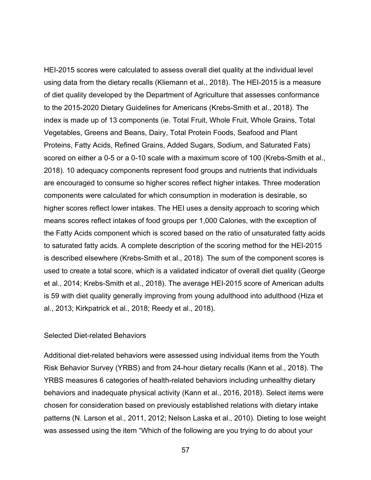HEI-2015 scores were calculated to assess overall diet quality at the individual level using data from the dietary recalls (Kliemann et al., 2018). The HEI-2015 is a measure of diet quality developed by the Department of Agriculture that assesses conformance to the 2015-2020 Dietary Guidelines for Americans (Krebs-Smith et al., 2018). The index is made up of 13 components (ie. Total Fruit, Whole Fruit, Whole Grains, Total Vegetables, Greens and Beans, Dairy, Total Protein Foods, Seafood and Plant Proteins, Fatty Acids, Refined Grains, Added Sugars, Sodium, and Saturated Fats) scored on either a 0-5 or a 0-10 scale with a maximum score of 100 (Krebs-Smith et al., 2018). 10 adequacy components represent food groups and nutrients that individuals are encouraged to consume so higher scores reflect higher intakes. Three moderation components were calculated for which consumption in moderation is desirable, so higher scores reflect lower intakes. The HEI uses a density approach to scoring which means scores reflect intakes of food groups per 1,000 Calories, with the exception of the Fatty Acids component which is scored based on the ratio of unsaturated fatty acids to saturated fatty acids. A complete description of the scoring method for the HEI-2015 is described elsewhere (Krebs-Smith et al., 2018). The sum of the component scores is used to create a total score, which is a validated indicator of overall diet quality (George et al., 2014; Krebs-Smith et al., 2018). The average HEI-2015 score of American adults is 59 with diet quality generally improving from young adulthood into adulthood (Hiza et al., 2013; Kirkpatrick et al., 2018; Reedy et al., 2018).

### Selected Diet-related Behaviors

Additional diet-related behaviors were assessed using individual items from the Youth Risk Behavior Survey (YRBS) and from 24-hour dietary recalls (Kann et al., 2018). The YRBS measures 6 categories of health-related behaviors including unhealthy dietary behaviors and inadequate physical activity (Kann et al., 2016, 2018). Select items were chosen for consideration based on previously established relations with dietary intake patterns (N. Larson et al., 2011, 2012; Nelson Laska et al., 2010). Dieting to lose weight was assessed using the item "Which of the following are you trying to do about your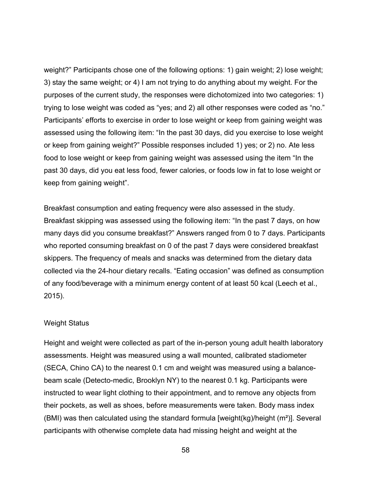weight?" Participants chose one of the following options: 1) gain weight; 2) lose weight; 3) stay the same weight; or 4) I am not trying to do anything about my weight. For the purposes of the current study, the responses were dichotomized into two categories: 1) trying to lose weight was coded as "yes; and 2) all other responses were coded as "no." Participants' efforts to exercise in order to lose weight or keep from gaining weight was assessed using the following item: "In the past 30 days, did you exercise to lose weight or keep from gaining weight?" Possible responses included 1) yes; or 2) no. Ate less food to lose weight or keep from gaining weight was assessed using the item "In the past 30 days, did you eat less food, fewer calories, or foods low in fat to lose weight or keep from gaining weight".

Breakfast consumption and eating frequency were also assessed in the study. Breakfast skipping was assessed using the following item: "In the past 7 days, on how many days did you consume breakfast?" Answers ranged from 0 to 7 days. Participants who reported consuming breakfast on 0 of the past 7 days were considered breakfast skippers. The frequency of meals and snacks was determined from the dietary data collected via the 24-hour dietary recalls. "Eating occasion" was defined as consumption of any food/beverage with a minimum energy content of at least 50 kcal (Leech et al., 2015).

# Weight Status

Height and weight were collected as part of the in-person young adult health laboratory assessments. Height was measured using a wall mounted, calibrated stadiometer (SECA, Chino CA) to the nearest 0.1 cm and weight was measured using a balancebeam scale (Detecto-medic, Brooklyn NY) to the nearest 0.1 kg. Participants were instructed to wear light clothing to their appointment, and to remove any objects from their pockets, as well as shoes, before measurements were taken. Body mass index (BMI) was then calculated using the standard formula [weight(kg)/height (m²)]. Several participants with otherwise complete data had missing height and weight at the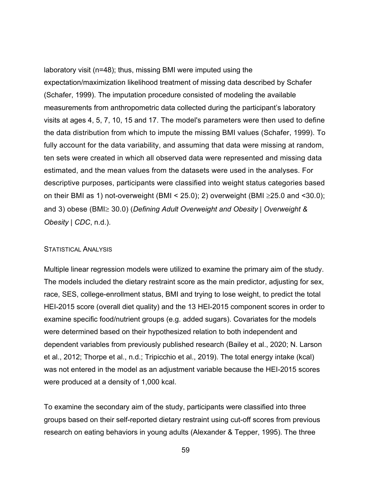laboratory visit (n=48); thus, missing BMI were imputed using the expectation/maximization likelihood treatment of missing data described by Schafer (Schafer, 1999). The imputation procedure consisted of modeling the available measurements from anthropometric data collected during the participant's laboratory visits at ages 4, 5, 7, 10, 15 and 17. The model's parameters were then used to define the data distribution from which to impute the missing BMI values (Schafer, 1999). To fully account for the data variability, and assuming that data were missing at random, ten sets were created in which all observed data were represented and missing data estimated, and the mean values from the datasets were used in the analyses. For descriptive purposes, participants were classified into weight status categories based on their BMI as 1) not-overweight (BMI < 25.0); 2) overweight (BMI  $\geq$ 25.0 and <30.0); and 3) obese (BMI $\geq$  30.0) (*Defining Adult Overweight and Obesity* | Overweight & *Obesity | CDC*, n.d.).

### STATISTICAL ANALYSIS

Multiple linear regression models were utilized to examine the primary aim of the study. The models included the dietary restraint score as the main predictor, adjusting for sex, race, SES, college-enrollment status, BMI and trying to lose weight, to predict the total HEI-2015 score (overall diet quality) and the 13 HEI-2015 component scores in order to examine specific food/nutrient groups (e.g. added sugars). Covariates for the models were determined based on their hypothesized relation to both independent and dependent variables from previously published research (Bailey et al., 2020; N. Larson et al., 2012; Thorpe et al., n.d.; Tripicchio et al., 2019). The total energy intake (kcal) was not entered in the model as an adjustment variable because the HEI-2015 scores were produced at a density of 1,000 kcal.

To examine the secondary aim of the study, participants were classified into three groups based on their self-reported dietary restraint using cut-off scores from previous research on eating behaviors in young adults (Alexander & Tepper, 1995). The three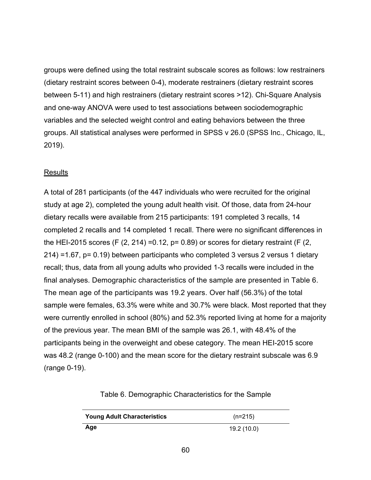groups were defined using the total restraint subscale scores as follows: low restrainers (dietary restraint scores between 0-4), moderate restrainers (dietary restraint scores between 5-11) and high restrainers (dietary restraint scores >12). Chi-Square Analysis and one-way ANOVA were used to test associations between sociodemographic variables and the selected weight control and eating behaviors between the three groups. All statistical analyses were performed in SPSS v 26.0 (SPSS Inc., Chicago, IL, 2019).

# Results

A total of 281 participants (of the 447 individuals who were recruited for the original study at age 2), completed the young adult health visit. Of those, data from 24-hour dietary recalls were available from 215 participants: 191 completed 3 recalls, 14 completed 2 recalls and 14 completed 1 recall. There were no significant differences in the HEI-2015 scores (F  $(2, 214)$  =0.12, p= 0.89) or scores for dietary restraint (F  $(2, 14)$ ) 214) =1.67, p= 0.19) between participants who completed 3 versus 2 versus 1 dietary recall; thus, data from all young adults who provided 1-3 recalls were included in the final analyses. Demographic characteristics of the sample are presented in Table 6. The mean age of the participants was 19.2 years. Over half (56.3%) of the total sample were females, 63.3% were white and 30.7% were black. Most reported that they were currently enrolled in school (80%) and 52.3% reported living at home for a majority of the previous year. The mean BMI of the sample was 26.1, with 48.4% of the participants being in the overweight and obese category. The mean HEI-2015 score was 48.2 (range 0-100) and the mean score for the dietary restraint subscale was 6.9 (range 0-19).

Table 6. Demographic Characteristics for the Sample

| <b>Young Adult Characteristics</b> | $(n=215)$   |
|------------------------------------|-------------|
| Age                                | 19.2 (10.0) |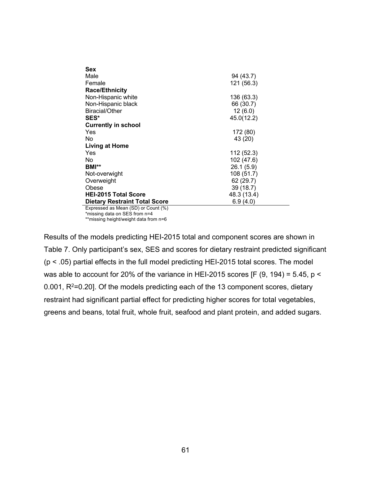| Sex                                     |             |
|-----------------------------------------|-------------|
| Male                                    | 94 (43.7)   |
| Female                                  | 121 (56.3)  |
| <b>Race/Ethnicity</b>                   |             |
| Non-Hispanic white                      | 136 (63.3)  |
| Non-Hispanic black                      | 66 (30.7)   |
| <b>Biracial/Other</b>                   | 12(6.0)     |
| SES*                                    | 45.0(12.2)  |
| <b>Currently in school</b>              |             |
| Yes                                     | 172 (80)    |
| No.                                     | 43 (20)     |
| <b>Living at Home</b>                   |             |
| Yes                                     | 112 (52.3)  |
| No.                                     | 102 (47.6)  |
| BMI**                                   | 26.1(5.9)   |
| Not-overwight                           | 108 (51.7)  |
| Overweight                              | 62 (29.7)   |
| Obese                                   | 39 (18.7)   |
| <b>HEI-2015 Total Score</b>             | 48.3 (13.4) |
| <b>Dietary Restraint Total Score</b>    | 6.9(4.0)    |
| Expressed as Mean $(SD)$ or Count $(S)$ |             |

Expressed as Mean (SD) or Count (%) \*missing data on SES from n=4 \*\*missing height/weight data from n=6

Results of the models predicting HEI-2015 total and component scores are shown in Table 7. Only participant's sex, SES and scores for dietary restraint predicted significant (p < .05) partial effects in the full model predicting HEI-2015 total scores. The model was able to account for 20% of the variance in HEI-2015 scores [F (9, 194) = 5.45,  $p <$ 0.001,  $R^2$ =0.20]. Of the models predicting each of the 13 component scores, dietary restraint had significant partial effect for predicting higher scores for total vegetables, greens and beans, total fruit, whole fruit, seafood and plant protein, and added sugars.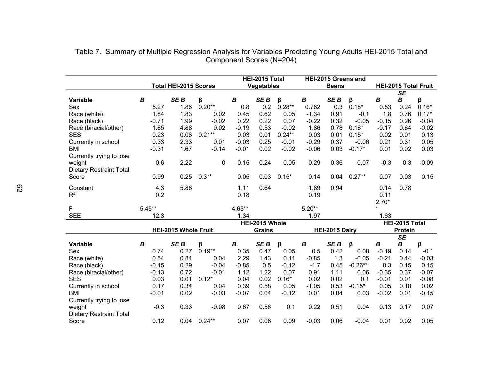|                                |                  | <b>Total HEI-2015 Scores</b> |             |                  | HEI-2015 Total<br><b>Vegetables</b> |                |                  | HEI-2015 Greens and<br><b>Beans</b> |           |         |                | <b>HEI-2015 Total Fruit</b> |
|--------------------------------|------------------|------------------------------|-------------|------------------|-------------------------------------|----------------|------------------|-------------------------------------|-----------|---------|----------------|-----------------------------|
|                                |                  |                              |             |                  |                                     |                |                  |                                     |           |         | <b>SE</b>      |                             |
| Variable                       | B                | SE <sub>B</sub>              | β           | $\boldsymbol{B}$ | SE <sub>B</sub>                     | β              | $\boldsymbol{B}$ | SE <sub>B</sub>                     | β         | B       | B              | β                           |
| Sex                            | 5.27             | 1.86                         | $0.20**$    | 0.8              | 0.2                                 | $0.28**$       | 0.762            | 0.3                                 | $0.18*$   | 0.53    | 0.24           | $0.16*$                     |
| Race (white)                   | 1.84             | 1.83                         | 0.02        | 0.45             | 0.62                                | 0.05           | $-1.34$          | 0.91                                | $-0.1$    | 1.8     | 0.76           | $0.17*$                     |
| Race (black)                   | $-0.71$          | 1.99                         | $-0.02$     | 0.22             | 0.22                                | 0.07           | $-0.22$          | 0.32                                | $-0.05$   | $-0.15$ | 0.26           | $-0.04$                     |
| Race (biracial/other)          | 1.65             | 4.88                         | 0.02        | $-0.19$          | 0.53                                | $-0.02$        | 1.86             | 0.78                                | $0.16*$   | $-0.17$ | 0.64           | $-0.02$                     |
| <b>SES</b>                     | 0.23             | 0.08                         | $0.21**$    | 0.03             | 0.01                                | $0.24**$       | 0.03             | 0.01                                | $0.15*$   | 0.02    | 0.01           | 0.13                        |
| Currently in school            | 0.33             | 2.33                         | 0.01        | $-0.03$          | 0.25                                | $-0.01$        | $-0.29$          | 0.37                                | $-0.06$   | 0.21    | 0.31           | 0.05                        |
| <b>BMI</b>                     | $-0.31$          | 1.67                         | $-0.14$     | $-0.01$          | 0.02                                | $-0.02$        | $-0.06$          | 0.03                                | $-0.17*$  | 0.01    | 0.02           | 0.03                        |
| Currently trying to lose       |                  |                              |             |                  |                                     |                |                  |                                     |           |         |                |                             |
| weight                         | 0.6              | 2.22                         | $\mathbf 0$ | 0.15             | 0.24                                | 0.05           | 0.29             | 0.36                                | 0.07      | $-0.3$  | 0.3            | $-0.09$                     |
| <b>Dietary Restraint Total</b> |                  |                              |             |                  |                                     |                |                  |                                     |           |         |                |                             |
| Score                          | 0.99             | 0.25                         | $0.3**$     | 0.05             | 0.03                                | $0.15*$        | 0.14             | 0.04                                | $0.27**$  | 0.07    | 0.03           | 0.15                        |
| Constant                       | 4.3              | 5.86                         |             | 1.11             | 0.64                                |                | 1.89             | 0.94                                |           | 0.14    | 0.78           |                             |
| $R^2$                          | 0.2              |                              |             | 0.18             |                                     |                | 0.19             |                                     |           | 0.11    |                |                             |
|                                |                  |                              |             |                  |                                     |                |                  |                                     |           | $2.70*$ |                |                             |
| F                              | $5.45***$        |                              |             | 4.65**           |                                     |                | $5.20**$         |                                     |           | $\star$ |                |                             |
| <b>SEE</b>                     | 12.3             |                              |             | 1.34             |                                     |                | 1.97             |                                     |           | 1.63    |                |                             |
|                                |                  |                              |             |                  | HEI-2015 Whole                      |                |                  |                                     |           |         | HEI-2015 Total |                             |
|                                |                  | HEI-2015 Whole Fruit         |             | <b>Grains</b>    |                                     | HEI-2015 Dairy |                  |                                     | Protein   |         |                |                             |
|                                |                  |                              |             |                  |                                     |                |                  |                                     |           |         | <b>SE</b>      |                             |
| <b>Variable</b>                | $\boldsymbol{B}$ | SE <sub>B</sub>              | β           | $\boldsymbol{B}$ | SE <sub>B</sub>                     | β              | $\boldsymbol{B}$ | SE <sub>B</sub>                     | $\beta$   | B       | B              | β                           |
| Sex                            | 0.74             | 0.27                         | $0.19**$    | 0.35             | 0.47                                | 0.05           | 0.5              | 0.42                                | 0.08      | $-0.19$ | 0.14           | $-0.1$                      |
| Race (white)                   | 0.54             | 0.84                         | 0.04        | 2.29             | 1.43                                | 0.11           | $-0.85$          | 1.3                                 | $-0.05$   | $-0.21$ | 0.44           | $-0.03$                     |
| Race (black)                   | $-0.15$          | 0.29                         | $-0.04$     | $-0.85$          | 0.5                                 | $-0.12$        | $-1.7$           | 0.45                                | $-0.26**$ | 0.3     | 0.15           | 0.15                        |
| Race (biracial/other)          | $-0.13$          | 0.72                         | $-0.01$     | 1.12             | 1.22                                | 0.07           | 0.91             | 1.11                                | 0.06      | $-0.35$ | 0.37           | $-0.07$                     |
| <b>SES</b>                     | 0.03             | 0.01                         | $0.12*$     | 0.04             | 0.02                                | $0.16*$        | 0.02             | 0.02                                | 0.1       | $-0.01$ | 0.01           | $-0.08$                     |
| Currently in school            | 0.17             | 0.34                         | 0.04        | 0.39             | 0.58                                | 0.05           | $-1.05$          | 0.53                                | $-0.15*$  | 0.05    | 0.18           | 0.02                        |
| <b>BMI</b>                     | $-0.01$          | 0.02                         | $-0.03$     | $-0.07$          | 0.04                                | $-0.12$        | 0.01             | 0.04                                | 0.03      | $-0.02$ | 0.01           | $-0.15$                     |
| Currently trying to lose       |                  |                              |             |                  |                                     |                |                  |                                     |           |         |                |                             |
| weight                         | $-0.3$           | 0.33                         | $-0.08$     | 0.67             | 0.56                                | 0.1            | 0.22             | 0.51                                | 0.04      | 0.13    | 0.17           | 0.07                        |
| <b>Dietary Restraint Total</b> |                  |                              |             |                  |                                     |                |                  |                                     |           |         |                |                             |
| Score                          | 0.12             | 0.04                         | $0.24**$    | 0.07             | 0.06                                | 0.09           | $-0.03$          | 0.06                                | $-0.04$   | 0.01    | 0.02           | 0.05                        |

| Table 7. Summary of Multiple Regression Analysis for Variables Predicting Young Adults HEI-2015 Total and |  |
|-----------------------------------------------------------------------------------------------------------|--|
| Component Scores (N=204)                                                                                  |  |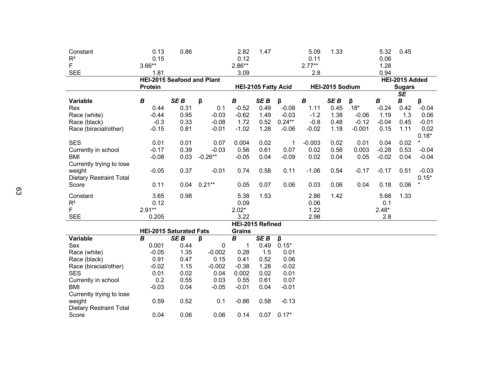| Constant                       | 0.13                           | 0.86                              |           | 2.82                                          | 1.47             |          | 5.09             | 1.33            |          | 5.32             | 0.45                     |         |
|--------------------------------|--------------------------------|-----------------------------------|-----------|-----------------------------------------------|------------------|----------|------------------|-----------------|----------|------------------|--------------------------|---------|
| $R^2$                          | 0.15                           |                                   |           | 0.12                                          |                  |          | 0.11             |                 |          | 0.06             |                          |         |
| F                              | $3.66**$                       |                                   |           | $2.86**$                                      |                  |          | $2.77**$         |                 |          | 1.28             |                          |         |
| <b>SEE</b>                     | 1.81                           |                                   |           | 3.09                                          |                  |          | 2.8              |                 |          | 0.94             |                          |         |
|                                |                                | <b>HEI-2015 Seafood and Plant</b> |           |                                               | HEI-2015 Added   |          |                  |                 |          |                  |                          |         |
|                                | Protein                        |                                   |           | HEI-2015 Sodium<br><b>HEI-2105 Fatty Acid</b> |                  |          | <b>Sugars</b>    |                 |          |                  |                          |         |
|                                |                                |                                   |           |                                               |                  |          |                  |                 |          |                  | $\overline{\mathsf{SE}}$ |         |
| <b>Variable</b>                | $\boldsymbol{B}$               | SE <sub>B</sub>                   | β         | $\boldsymbol{B}$                              | SE <sub>B</sub>  | β        | $\boldsymbol{B}$ | SE <sub>B</sub> | β        | $\boldsymbol{B}$ | $\boldsymbol{B}$         | β       |
| Rex                            | 0.44                           | 0.31                              | 0.1       | $-0.52$                                       | 0.49             | $-0.08$  | 1.11             | 0.45            | $.18*$   | $-0.24$          | 0.42                     | $-0.04$ |
| Race (white)                   | $-0.44$                        | 0.95                              | $-0.03$   | $-0.62$                                       | 1.49             | $-0.03$  | $-1.2$           | 1.38            | $-0.06$  | 1.19             | 1.3                      | 0.06    |
| Race (black)                   | $-0.3$                         | 0.33                              | $-0.08$   | 1.72                                          | 0.52             | $0.24**$ | $-0.8$           | 0.48            | $-0.12$  | $-0.04$          | 0.45                     | $-0.01$ |
| Race (biracial/other)          | $-0.15$                        | 0.81                              | $-0.01$   | $-1.02$                                       | 1.28             | $-0.06$  | $-0.02$          | 1.18            | $-0.001$ | 0.15             | 1.11                     | 0.02    |
|                                |                                |                                   |           |                                               |                  |          |                  |                 |          |                  |                          | $0.18*$ |
| <b>SES</b>                     | 0.01                           | 0.01                              | 0.07      | 0.004                                         | 0.02             | 1        | $-0.003$         | 0.02            | 0.01     | 0.04             | 0.02                     | $\star$ |
| Currently in school            | $-0.17$                        | 0.39                              | $-0.03$   | 0.56                                          | 0.61             | 0.07     | 0.02             | 0.56            | 0.003    | $-0.28$          | 0.53                     | $-0.04$ |
| <b>BMI</b>                     | $-0.08$                        | 0.03                              | $-0.26**$ | $-0.05$                                       | 0.04             | $-0.09$  | 0.02             | 0.04            | 0.05     | $-0.02$          | 0.04                     | $-0.04$ |
| Currently trying to lose       |                                |                                   |           |                                               |                  |          |                  |                 |          |                  |                          |         |
| weight                         | $-0.05$                        | 0.37                              | $-0.01$   | 0.74                                          | 0.58             | 0.11     | $-1.06$          | 0.54            | $-0.17$  | $-0.17$          | 0.51                     | $-0.03$ |
| <b>Dietary Restraint Total</b> |                                |                                   |           |                                               |                  |          |                  |                 |          |                  |                          | $0.15*$ |
| Score                          | 0.11                           | 0.04                              | $0.21***$ | 0.05                                          | 0.07             | 0.06     | 0.03             | 0.06            | 0.04     | 0.18             | 0.06                     | $\star$ |
| Constant                       | 3.65                           | 0.98                              |           | 5.38                                          | 1.53             |          | 2.86             | 1.42            |          | 5.68             | 1.33                     |         |
| $\mathsf{R}^2$                 | 0.12                           |                                   |           | 0.09                                          |                  |          | 0.06             |                 |          | 0.1              |                          |         |
| F                              | $2.91**$                       |                                   |           | $2.02*$                                       |                  |          | 1.22             |                 |          | $2.48*$          |                          |         |
| <b>SEE</b>                     | 0.205                          |                                   |           | 3.22                                          |                  |          | 2.98             |                 |          | 2.8              |                          |         |
|                                |                                |                                   |           |                                               | HEI-2015 Refined |          |                  |                 |          |                  |                          |         |
|                                | <b>HEI-2015 Saturated Fats</b> |                                   |           | <b>Grains</b>                                 |                  |          |                  |                 |          |                  |                          |         |
| Variable                       | $\overline{B}$                 | SE <sub>B</sub>                   | β         | $\overline{B}$                                | SE <sub>B</sub>  | β        |                  |                 |          |                  |                          |         |
| Sex                            | 0.001                          | 0.44                              | 0         | $\mathbf 1$                                   | 0.49             | $0.15*$  |                  |                 |          |                  |                          |         |
| Race (white)                   | $-0.05$                        | 1.35                              | $-0.002$  | 0.28                                          | 1.5              | 0.01     |                  |                 |          |                  |                          |         |
| Race (black)                   | 0.91                           | 0.47                              | 0.15      | 0.41                                          | 0.52             | 0.06     |                  |                 |          |                  |                          |         |
| Race (biracial/other)          | $-0.02$                        | 1.15                              | $-0.002$  | $-0.38$                                       | 1.28             | $-0.02$  |                  |                 |          |                  |                          |         |
| <b>SES</b>                     | 0.01                           | 0.02                              | 0.04      | 0.002                                         | 0.02             | 0.01     |                  |                 |          |                  |                          |         |
| Currently in school            | 0.2                            | 0.55                              | 0.03      | 0.55                                          | 0.61             | 0.07     |                  |                 |          |                  |                          |         |
| <b>BMI</b>                     | $-0.03$                        | 0.04                              | $-0.05$   | $-0.01$                                       | 0.04             | $-0.01$  |                  |                 |          |                  |                          |         |
| Currently trying to lose       |                                |                                   |           |                                               |                  |          |                  |                 |          |                  |                          |         |
| weight                         | 0.59                           | 0.52                              | 0.1       | $-0.86$                                       | 0.58             | $-0.13$  |                  |                 |          |                  |                          |         |
| <b>Dietary Restraint Total</b> |                                |                                   |           |                                               |                  |          |                  |                 |          |                  |                          |         |
| Score                          | 0.04                           | 0.06                              | 0.06      | 0.14                                          | 0.07             | $0.17*$  |                  |                 |          |                  |                          |         |
|                                |                                |                                   |           |                                               |                  |          |                  |                 |          |                  |                          |         |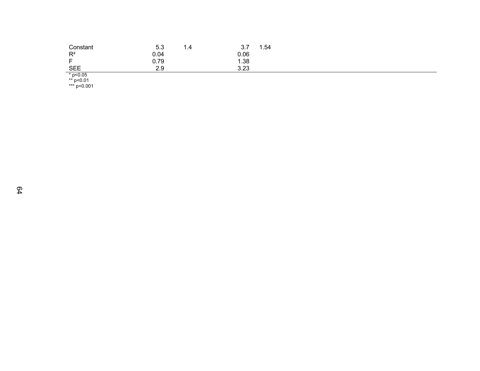| Constant       | 5.3       | 1.4 | ن ب          | . .54 |  |  |  |
|----------------|-----------|-----|--------------|-------|--|--|--|
| $R^2$          | 0.04      |     | 0.06         |       |  |  |  |
| $\blacksquare$ | 0.79      |     | 1.38         |       |  |  |  |
| <b>SEE</b>     | 2Q<br>∠.ರ |     | מח מ<br>ن∠.د |       |  |  |  |
| $+$ $  -$      |           |     |              |       |  |  |  |

\* p<0.05 \*\* p<0.01

\*\*\* p<0.001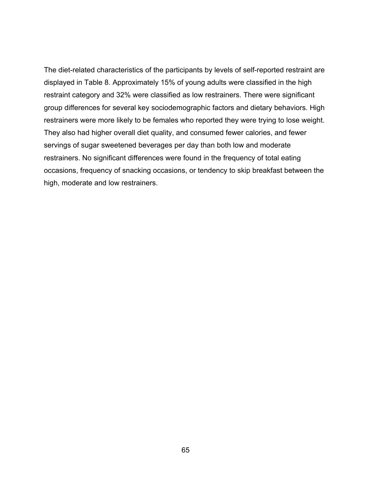The diet-related characteristics of the participants by levels of self-reported restraint are displayed in Table 8. Approximately 15% of young adults were classified in the high restraint category and 32% were classified as low restrainers. There were significant group differences for several key sociodemographic factors and dietary behaviors. High restrainers were more likely to be females who reported they were trying to lose weight. They also had higher overall diet quality, and consumed fewer calories, and fewer servings of sugar sweetened beverages per day than both low and moderate restrainers. No significant differences were found in the frequency of total eating occasions, frequency of snacking occasions, or tendency to skip breakfast between the high, moderate and low restrainers.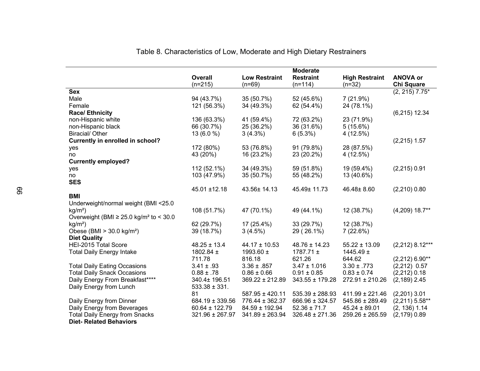|                                                         | <b>Overall</b><br>$(n=215)$ | <b>Low Restraint</b><br>$(n=69)$ | <b>Moderate</b><br><b>Restraint</b><br>$(n=114)$ | <b>High Restraint</b><br>$(n=32)$ | <b>ANOVA or</b><br><b>Chi Square</b> |
|---------------------------------------------------------|-----------------------------|----------------------------------|--------------------------------------------------|-----------------------------------|--------------------------------------|
| <b>Sex</b>                                              |                             |                                  |                                                  |                                   | $(2, 215)$ 7.75*                     |
| Male                                                    | 94 (43.7%)                  | 35 (50.7%)                       | 52 (45.6%)                                       | 7(21.9%)                          |                                      |
| Female                                                  | 121 (56.3%)                 | 34 (49.3%)                       | 62 (54.4%)                                       | 24 (78.1%)                        |                                      |
| <b>Race/ Ethnicity</b>                                  |                             |                                  |                                                  |                                   | $(6,215)$ 12.34                      |
| non-Hispanic white                                      | 136 (63.3%)                 | 41 (59.4%)                       | 72 (63.2%)                                       | 23 (71.9%)                        |                                      |
| non-Hispanic black                                      | 66 (30.7%)                  | 25 (36.2%)                       | 36 (31.6%)                                       | 5(15.6%)                          |                                      |
| <b>Biracial/ Other</b>                                  | $13(6.0\%)$                 | $3(4.3\%)$                       | $6(5.3\%)$                                       | 4 (12.5%)                         |                                      |
| <b>Currently in enrolled in school?</b>                 |                             |                                  |                                                  |                                   | $(2,215)$ 1.57                       |
| yes                                                     | 172 (80%)                   | 53 (76.8%)                       | 91 (79.8%)                                       | 28 (87.5%)                        |                                      |
| no                                                      | 43 (20%)                    | 16 (23.2%)                       | 23 (20.2%)                                       | 4 (12.5%)                         |                                      |
| <b>Currently employed?</b>                              |                             |                                  |                                                  |                                   |                                      |
| yes                                                     | 112 (52.1%)                 | 34 (49.3%)                       | 59 (51.8%)                                       | 19 (59.4%)                        | $(2,215)$ 0.91                       |
| no                                                      | 103 (47.9%)                 | 35 (50.7%)                       | 55 (48.2%)                                       | 13 (40.6%)                        |                                      |
| <b>SES</b>                                              |                             |                                  |                                                  |                                   |                                      |
|                                                         | 45.01 ±12.18                | 43.56± 14.13                     | 45.49± 11.73                                     | 46.48±8.60                        | $(2,210)$ 0.80                       |
| <b>BMI</b>                                              |                             |                                  |                                                  |                                   |                                      |
| Underweight/normal weight (BMI <25.0                    |                             |                                  |                                                  |                                   |                                      |
| $kg/m2$ )                                               | 108 (51.7%)                 | 47 (70.1%)                       | 49 (44.1%)                                       | 12 (38.7%)                        | $(4,209)$ 18.7**                     |
| Overweight (BMI $\geq$ 25.0 kg/m <sup>2</sup> to < 30.0 |                             |                                  |                                                  |                                   |                                      |
| $kg/m2$ )                                               | 62 (29.7%)                  | 17 (25.4%)                       | 33 (29.7%)                                       | 12 (38.7%)                        |                                      |
| Obese (BMI $>$ 30.0 kg/m <sup>2</sup> )                 | 39 (18.7%)                  | 3(4.5%)                          | 29 (26.1%)                                       | 7(22.6%)                          |                                      |
| <b>Diet Quality</b>                                     |                             |                                  |                                                  |                                   |                                      |
| HEI-2015 Total Score                                    | $48.25 \pm 13.4$            | $44.17 \pm 10.53$                | $48.76 \pm 14.23$                                | $55.22 \pm 13.09$                 | $(2,212)$ 8.12***                    |
| <b>Total Daily Energy Intake</b>                        | 1802.84 ±                   | 1993.60 ±                        | 1787.71 $\pm$                                    | 1445.49 $\pm$                     |                                      |
|                                                         | 711.78                      | 816.18                           | 621.26                                           | 644.62                            | $(2,212)$ 6.90**                     |
| <b>Total Daily Eating Occasions</b>                     | $3.41 \pm .93$              | $3.36 \pm .857$                  | $3.47 \pm 1.016$                                 | $3.30 \pm .773$                   | $(2,212)$ 0.57                       |
| <b>Total Daily Snack Occasions</b>                      | $0.88 \pm .78$              | $0.86 \pm 0.66$                  | $0.91 \pm 0.85$                                  | $0.83 \pm 0.74$                   | $(2,212)$ 0.18                       |
| Daily Energy From Breakfast****                         | 340.4± 196.51               | $369.22 \pm 212.89$              | 343.55 ± 179.28                                  | $272.91 \pm 210.26$               | $(2, 189)$ 2.45                      |
| Daily Energy from Lunch                                 | $533.38 \pm 331.$           |                                  |                                                  |                                   |                                      |
|                                                         | 81                          | 587.95 ± 420.11                  | $535.39 \pm 288.93$                              | $411.99 \pm 221.46$               | $(2,201)$ 3.01                       |
| Daily Energy from Dinner                                | $684.19 \pm 339.56$         | 776.44 ± 362.37                  | 666.96 ± 324.57                                  | 545.86 ± 289.49                   | $(2,211)$ 5.58**                     |
| Daily Energy from Beverages                             | $60.64 \pm 122.79$          | $84.59 \pm 192.94$               | $52.36 \pm 71.7$                                 | $45.24 \pm 89.01$                 | $(2, 136)$ 1.14                      |
| <b>Total Daily Energy from Snacks</b>                   | 321.96 ± 267.97             | 341.89 ± 263.94                  | $326.48 \pm 271.36$                              | $259.26 \pm 265.59$               | $(2, 179)$ 0.89                      |
| <b>Diet-Related Behaviors</b>                           |                             |                                  |                                                  |                                   |                                      |

Table 8. Characteristics of Low, Moderate and High Dietary Restrainers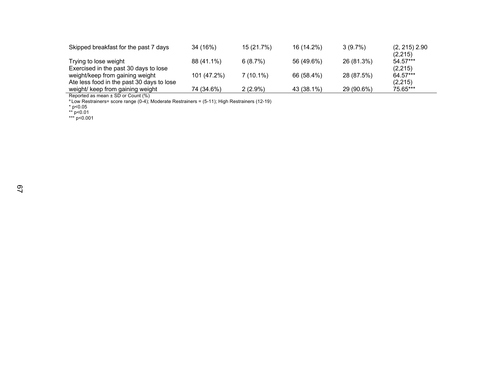| Skipped breakfast for the past 7 days                                        | 34 (16%)    | 15 (21.7%)  | 16 (14.2%) | $3(9.7\%)$ | $(2, 215)$ 2.90<br>(2,215) |
|------------------------------------------------------------------------------|-------------|-------------|------------|------------|----------------------------|
| Trying to lose weight<br>Exercised in the past 30 days to lose               | 88 (41.1%)  | 6(8.7%)     | 56 (49.6%) | 26 (81.3%) | 54.57***<br>(2,215)        |
| weight/keep from gaining weight<br>Ate less food in the past 30 days to lose | 101 (47.2%) | $7(10.1\%)$ | 66 (58.4%) | 28 (87.5%) | 64.57***<br>(2,215)        |
| weight/ keep from gaining weight                                             | 74 (34.6%)  | $2(2.9\%)$  | 43 (38.1%) | 29 (90.6%) | 75.65***                   |

Reported as mean ± SD or Count (%)

 $a$  Low Restrainers= score range (0-4); Moderate Restrainers = (5-11); High Restrainers (12-19)

\* p<0.05

\*\* p<0.01

\*\*\* p<0.001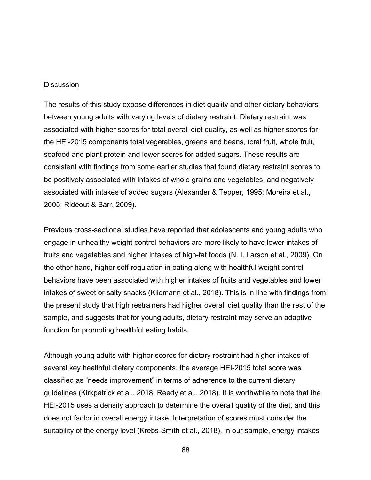#### **Discussion**

The results of this study expose differences in diet quality and other dietary behaviors between young adults with varying levels of dietary restraint. Dietary restraint was associated with higher scores for total overall diet quality, as well as higher scores for the HEI-2015 components total vegetables, greens and beans, total fruit, whole fruit, seafood and plant protein and lower scores for added sugars. These results are consistent with findings from some earlier studies that found dietary restraint scores to be positively associated with intakes of whole grains and vegetables, and negatively associated with intakes of added sugars (Alexander & Tepper, 1995; Moreira et al., 2005; Rideout & Barr, 2009).

Previous cross-sectional studies have reported that adolescents and young adults who engage in unhealthy weight control behaviors are more likely to have lower intakes of fruits and vegetables and higher intakes of high-fat foods (N. I. Larson et al., 2009). On the other hand, higher self-regulation in eating along with healthful weight control behaviors have been associated with higher intakes of fruits and vegetables and lower intakes of sweet or salty snacks (Kliemann et al., 2018). This is in line with findings from the present study that high restrainers had higher overall diet quality than the rest of the sample, and suggests that for young adults, dietary restraint may serve an adaptive function for promoting healthful eating habits.

Although young adults with higher scores for dietary restraint had higher intakes of several key healthful dietary components, the average HEI-2015 total score was classified as "needs improvement" in terms of adherence to the current dietary guidelines (Kirkpatrick et al., 2018; Reedy et al., 2018). It is worthwhile to note that the HEI-2015 uses a density approach to determine the overall quality of the diet, and this does not factor in overall energy intake. Interpretation of scores must consider the suitability of the energy level (Krebs-Smith et al., 2018). In our sample, energy intakes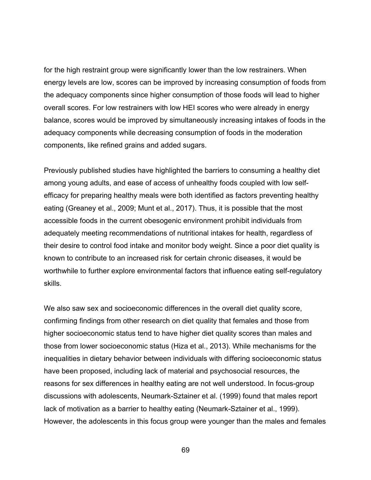for the high restraint group were significantly lower than the low restrainers. When energy levels are low, scores can be improved by increasing consumption of foods from the adequacy components since higher consumption of those foods will lead to higher overall scores. For low restrainers with low HEI scores who were already in energy balance, scores would be improved by simultaneously increasing intakes of foods in the adequacy components while decreasing consumption of foods in the moderation components, like refined grains and added sugars.

Previously published studies have highlighted the barriers to consuming a healthy diet among young adults, and ease of access of unhealthy foods coupled with low selfefficacy for preparing healthy meals were both identified as factors preventing healthy eating (Greaney et al., 2009; Munt et al., 2017). Thus, it is possible that the most accessible foods in the current obesogenic environment prohibit individuals from adequately meeting recommendations of nutritional intakes for health, regardless of their desire to control food intake and monitor body weight. Since a poor diet quality is known to contribute to an increased risk for certain chronic diseases, it would be worthwhile to further explore environmental factors that influence eating self-regulatory skills.

We also saw sex and socioeconomic differences in the overall diet quality score, confirming findings from other research on diet quality that females and those from higher socioeconomic status tend to have higher diet quality scores than males and those from lower socioeconomic status (Hiza et al., 2013). While mechanisms for the inequalities in dietary behavior between individuals with differing socioeconomic status have been proposed, including lack of material and psychosocial resources, the reasons for sex differences in healthy eating are not well understood. In focus-group discussions with adolescents, Neumark-Sztainer et al. (1999) found that males report lack of motivation as a barrier to healthy eating (Neumark-Sztainer et al., 1999). However, the adolescents in this focus group were younger than the males and females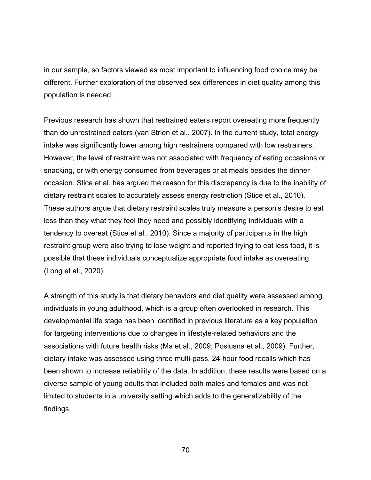in our sample, so factors viewed as most important to influencing food choice may be different. Further exploration of the observed sex differences in diet quality among this population is needed.

Previous research has shown that restrained eaters report overeating more frequently than do unrestrained eaters (van Strien et al., 2007). In the current study, total energy intake was significantly lower among high restrainers compared with low restrainers. However, the level of restraint was not associated with frequency of eating occasions or snacking, or with energy consumed from beverages or at meals besides the dinner occasion. Stice et al. has argued the reason for this discrepancy is due to the inability of dietary restraint scales to accurately assess energy restriction (Stice et al., 2010). These authors argue that dietary restraint scales truly measure a person's desire to eat less than they what they feel they need and possibly identifying individuals with a tendency to overeat (Stice et al., 2010). Since a majority of participants in the high restraint group were also trying to lose weight and reported trying to eat less food, it is possible that these individuals conceptualize appropriate food intake as overeating (Long et al., 2020).

A strength of this study is that dietary behaviors and diet quality were assessed among individuals in young adulthood, which is a group often overlooked in research. This developmental life stage has been identified in previous literature as a key population for targeting interventions due to changes in lifestyle-related behaviors and the associations with future health risks (Ma et al., 2009; Poslusna et al., 2009). Further, dietary intake was assessed using three multi-pass, 24-hour food recalls which has been shown to increase reliability of the data. In addition, these results were based on a diverse sample of young adults that included both males and females and was not limited to students in a university setting which adds to the generalizability of the findings.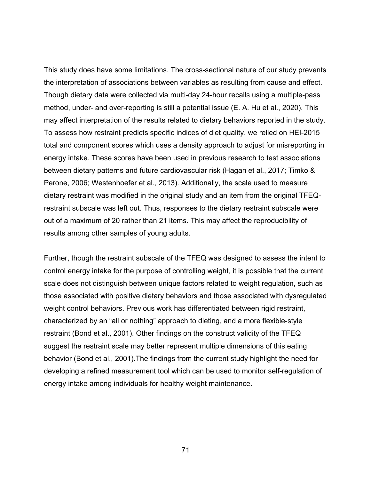This study does have some limitations. The cross-sectional nature of our study prevents the interpretation of associations between variables as resulting from cause and effect. Though dietary data were collected via multi-day 24-hour recalls using a multiple-pass method, under- and over-reporting is still a potential issue (E. A. Hu et al., 2020). This may affect interpretation of the results related to dietary behaviors reported in the study. To assess how restraint predicts specific indices of diet quality, we relied on HEI-2015 total and component scores which uses a density approach to adjust for misreporting in energy intake. These scores have been used in previous research to test associations between dietary patterns and future cardiovascular risk (Hagan et al., 2017; Timko & Perone, 2006; Westenhoefer et al., 2013). Additionally, the scale used to measure dietary restraint was modified in the original study and an item from the original TFEQrestraint subscale was left out. Thus, responses to the dietary restraint subscale were out of a maximum of 20 rather than 21 items. This may affect the reproducibility of results among other samples of young adults.

Further, though the restraint subscale of the TFEQ was designed to assess the intent to control energy intake for the purpose of controlling weight, it is possible that the current scale does not distinguish between unique factors related to weight regulation, such as those associated with positive dietary behaviors and those associated with dysregulated weight control behaviors. Previous work has differentiated between rigid restraint, characterized by an "all or nothing" approach to dieting, and a more flexible-style restraint (Bond et al., 2001). Other findings on the construct validity of the TFEQ suggest the restraint scale may better represent multiple dimensions of this eating behavior (Bond et al., 2001).The findings from the current study highlight the need for developing a refined measurement tool which can be used to monitor self-regulation of energy intake among individuals for healthy weight maintenance.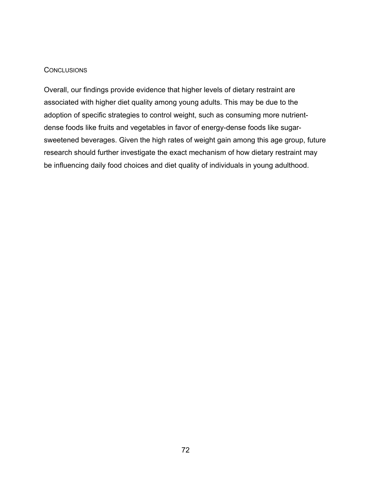# **CONCLUSIONS**

Overall, our findings provide evidence that higher levels of dietary restraint are associated with higher diet quality among young adults. This may be due to the adoption of specific strategies to control weight, such as consuming more nutrientdense foods like fruits and vegetables in favor of energy-dense foods like sugarsweetened beverages. Given the high rates of weight gain among this age group, future research should further investigate the exact mechanism of how dietary restraint may be influencing daily food choices and diet quality of individuals in young adulthood.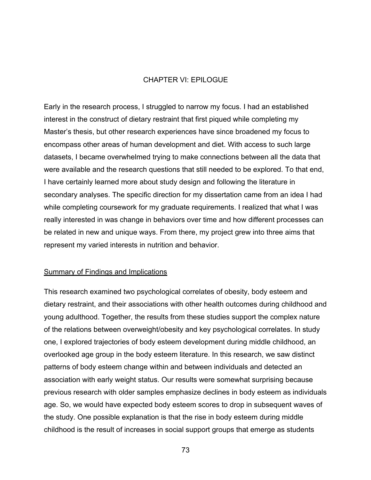# CHAPTER VI: EPILOGUE

Early in the research process, I struggled to narrow my focus. I had an established interest in the construct of dietary restraint that first piqued while completing my Master's thesis, but other research experiences have since broadened my focus to encompass other areas of human development and diet. With access to such large datasets, I became overwhelmed trying to make connections between all the data that were available and the research questions that still needed to be explored. To that end, I have certainly learned more about study design and following the literature in secondary analyses. The specific direction for my dissertation came from an idea I had while completing coursework for my graduate requirements. I realized that what I was really interested in was change in behaviors over time and how different processes can be related in new and unique ways. From there, my project grew into three aims that represent my varied interests in nutrition and behavior.

## Summary of Findings and Implications

This research examined two psychological correlates of obesity, body esteem and dietary restraint, and their associations with other health outcomes during childhood and young adulthood. Together, the results from these studies support the complex nature of the relations between overweight/obesity and key psychological correlates. In study one, I explored trajectories of body esteem development during middle childhood, an overlooked age group in the body esteem literature. In this research, we saw distinct patterns of body esteem change within and between individuals and detected an association with early weight status. Our results were somewhat surprising because previous research with older samples emphasize declines in body esteem as individuals age. So, we would have expected body esteem scores to drop in subsequent waves of the study. One possible explanation is that the rise in body esteem during middle childhood is the result of increases in social support groups that emerge as students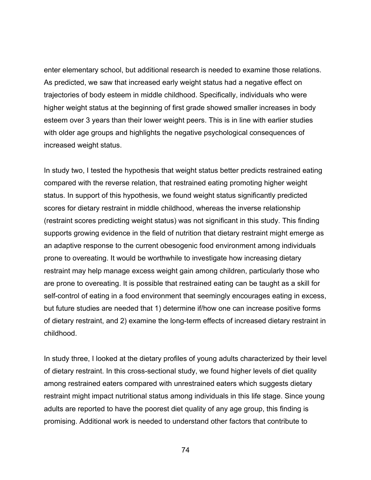enter elementary school, but additional research is needed to examine those relations. As predicted, we saw that increased early weight status had a negative effect on trajectories of body esteem in middle childhood. Specifically, individuals who were higher weight status at the beginning of first grade showed smaller increases in body esteem over 3 years than their lower weight peers. This is in line with earlier studies with older age groups and highlights the negative psychological consequences of increased weight status.

In study two, I tested the hypothesis that weight status better predicts restrained eating compared with the reverse relation, that restrained eating promoting higher weight status. In support of this hypothesis, we found weight status significantly predicted scores for dietary restraint in middle childhood, whereas the inverse relationship (restraint scores predicting weight status) was not significant in this study. This finding supports growing evidence in the field of nutrition that dietary restraint might emerge as an adaptive response to the current obesogenic food environment among individuals prone to overeating. It would be worthwhile to investigate how increasing dietary restraint may help manage excess weight gain among children, particularly those who are prone to overeating. It is possible that restrained eating can be taught as a skill for self-control of eating in a food environment that seemingly encourages eating in excess, but future studies are needed that 1) determine if/how one can increase positive forms of dietary restraint, and 2) examine the long-term effects of increased dietary restraint in childhood.

In study three, I looked at the dietary profiles of young adults characterized by their level of dietary restraint. In this cross-sectional study, we found higher levels of diet quality among restrained eaters compared with unrestrained eaters which suggests dietary restraint might impact nutritional status among individuals in this life stage. Since young adults are reported to have the poorest diet quality of any age group, this finding is promising. Additional work is needed to understand other factors that contribute to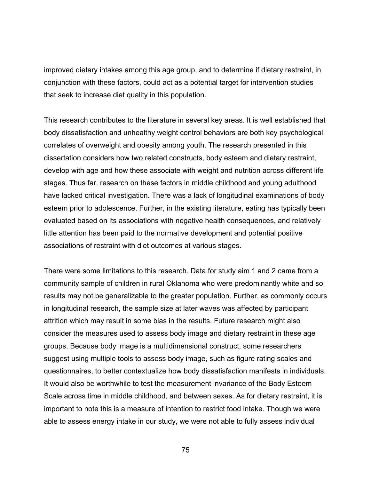improved dietary intakes among this age group, and to determine if dietary restraint, in conjunction with these factors, could act as a potential target for intervention studies that seek to increase diet quality in this population.

This research contributes to the literature in several key areas. It is well established that body dissatisfaction and unhealthy weight control behaviors are both key psychological correlates of overweight and obesity among youth. The research presented in this dissertation considers how two related constructs, body esteem and dietary restraint, develop with age and how these associate with weight and nutrition across different life stages. Thus far, research on these factors in middle childhood and young adulthood have lacked critical investigation. There was a lack of longitudinal examinations of body esteem prior to adolescence. Further, in the existing literature, eating has typically been evaluated based on its associations with negative health consequences, and relatively little attention has been paid to the normative development and potential positive associations of restraint with diet outcomes at various stages.

There were some limitations to this research. Data for study aim 1 and 2 came from a community sample of children in rural Oklahoma who were predominantly white and so results may not be generalizable to the greater population. Further, as commonly occurs in longitudinal research, the sample size at later waves was affected by participant attrition which may result in some bias in the results. Future research might also consider the measures used to assess body image and dietary restraint in these age groups. Because body image is a multidimensional construct, some researchers suggest using multiple tools to assess body image, such as figure rating scales and questionnaires, to better contextualize how body dissatisfaction manifests in individuals. It would also be worthwhile to test the measurement invariance of the Body Esteem Scale across time in middle childhood, and between sexes. As for dietary restraint, it is important to note this is a measure of intention to restrict food intake. Though we were able to assess energy intake in our study, we were not able to fully assess individual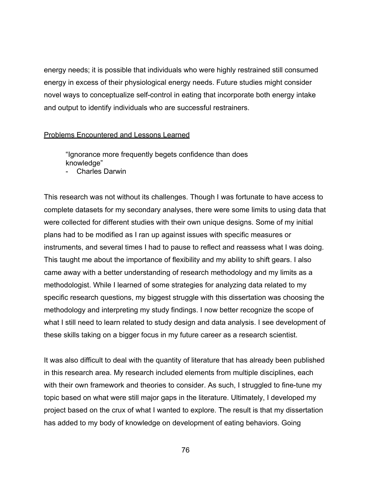energy needs; it is possible that individuals who were highly restrained still consumed energy in excess of their physiological energy needs. Future studies might consider novel ways to conceptualize self-control in eating that incorporate both energy intake and output to identify individuals who are successful restrainers.

## Problems Encountered and Lessons Learned

"Ignorance more frequently begets confidence than does knowledge"

Charles Darwin

This research was not without its challenges. Though I was fortunate to have access to complete datasets for my secondary analyses, there were some limits to using data that were collected for different studies with their own unique designs. Some of my initial plans had to be modified as I ran up against issues with specific measures or instruments, and several times I had to pause to reflect and reassess what I was doing. This taught me about the importance of flexibility and my ability to shift gears. I also came away with a better understanding of research methodology and my limits as a methodologist. While I learned of some strategies for analyzing data related to my specific research questions, my biggest struggle with this dissertation was choosing the methodology and interpreting my study findings. I now better recognize the scope of what I still need to learn related to study design and data analysis. I see development of these skills taking on a bigger focus in my future career as a research scientist.

It was also difficult to deal with the quantity of literature that has already been published in this research area. My research included elements from multiple disciplines, each with their own framework and theories to consider. As such, I struggled to fine-tune my topic based on what were still major gaps in the literature. Ultimately, I developed my project based on the crux of what I wanted to explore. The result is that my dissertation has added to my body of knowledge on development of eating behaviors. Going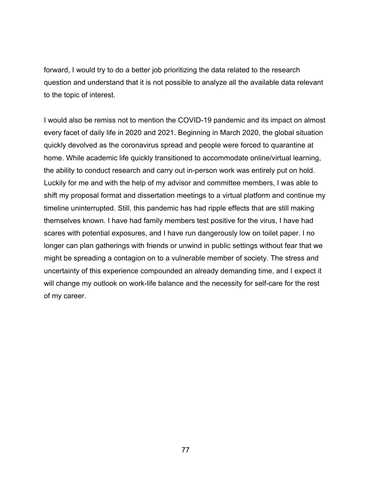forward, I would try to do a better job prioritizing the data related to the research question and understand that it is not possible to analyze all the available data relevant to the topic of interest.

I would also be remiss not to mention the COVID-19 pandemic and its impact on almost every facet of daily life in 2020 and 2021. Beginning in March 2020, the global situation quickly devolved as the coronavirus spread and people were forced to quarantine at home. While academic life quickly transitioned to accommodate online/virtual learning, the ability to conduct research and carry out in-person work was entirely put on hold. Luckily for me and with the help of my advisor and committee members, I was able to shift my proposal format and dissertation meetings to a virtual platform and continue my timeline uninterrupted. Still, this pandemic has had ripple effects that are still making themselves known. I have had family members test positive for the virus, I have had scares with potential exposures, and I have run dangerously low on toilet paper. I no longer can plan gatherings with friends or unwind in public settings without fear that we might be spreading a contagion on to a vulnerable member of society. The stress and uncertainty of this experience compounded an already demanding time, and I expect it will change my outlook on work-life balance and the necessity for self-care for the rest of my career.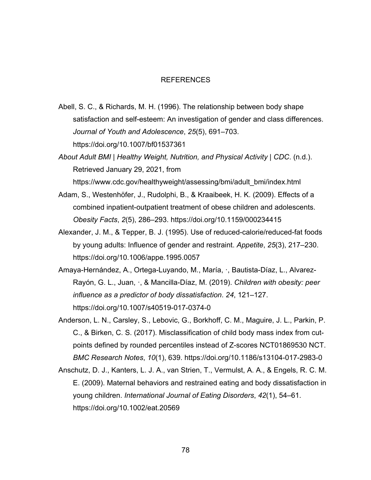#### REFERENCES

Abell, S. C., & Richards, M. H. (1996). The relationship between body shape satisfaction and self-esteem: An investigation of gender and class differences. *Journal of Youth and Adolescence*, *25*(5), 691–703. https://doi.org/10.1007/bf01537361

*About Adult BMI | Healthy Weight, Nutrition, and Physical Activity | CDC*. (n.d.). Retrieved January 29, 2021, from

https://www.cdc.gov/healthyweight/assessing/bmi/adult\_bmi/index.html

- Adam, S., Westenhöfer, J., Rudolphi, B., & Kraaibeek, H. K. (2009). Effects of a combined inpatient-outpatient treatment of obese children and adolescents. *Obesity Facts*, *2*(5), 286–293. https://doi.org/10.1159/000234415
- Alexander, J. M., & Tepper, B. J. (1995). Use of reduced-calorie/reduced-fat foods by young adults: Influence of gender and restraint. *Appetite*, *25*(3), 217–230. https://doi.org/10.1006/appe.1995.0057
- Amaya-Hernández, A., Ortega-Luyando, M., María, ·, Bautista-Díaz, L., Alvarez-Rayón, G. L., Juan, ·, & Mancilla-Díaz, M. (2019). *Children with obesity: peer influence as a predictor of body dissatisfaction*. *24*, 121–127. https://doi.org/10.1007/s40519-017-0374-0
- Anderson, L. N., Carsley, S., Lebovic, G., Borkhoff, C. M., Maguire, J. L., Parkin, P. C., & Birken, C. S. (2017). Misclassification of child body mass index from cutpoints defined by rounded percentiles instead of Z-scores NCT01869530 NCT. *BMC Research Notes*, *10*(1), 639. https://doi.org/10.1186/s13104-017-2983-0
- Anschutz, D. J., Kanters, L. J. A., van Strien, T., Vermulst, A. A., & Engels, R. C. M. E. (2009). Maternal behaviors and restrained eating and body dissatisfaction in young children. *International Journal of Eating Disorders*, *42*(1), 54–61. https://doi.org/10.1002/eat.20569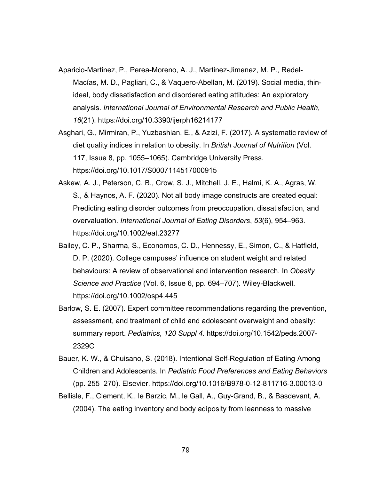- Aparicio-Martinez, P., Perea-Moreno, A. J., Martinez-Jimenez, M. P., Redel-Macías, M. D., Pagliari, C., & Vaquero-Abellan, M. (2019). Social media, thinideal, body dissatisfaction and disordered eating attitudes: An exploratory analysis. *International Journal of Environmental Research and Public Health*, *16*(21). https://doi.org/10.3390/ijerph16214177
- Asghari, G., Mirmiran, P., Yuzbashian, E., & Azizi, F. (2017). A systematic review of diet quality indices in relation to obesity. In *British Journal of Nutrition* (Vol. 117, Issue 8, pp. 1055–1065). Cambridge University Press. https://doi.org/10.1017/S0007114517000915
- Askew, A. J., Peterson, C. B., Crow, S. J., Mitchell, J. E., Halmi, K. A., Agras, W. S., & Haynos, A. F. (2020). Not all body image constructs are created equal: Predicting eating disorder outcomes from preoccupation, dissatisfaction, and overvaluation. *International Journal of Eating Disorders*, *53*(6), 954–963. https://doi.org/10.1002/eat.23277
- Bailey, C. P., Sharma, S., Economos, C. D., Hennessy, E., Simon, C., & Hatfield, D. P. (2020). College campuses' influence on student weight and related behaviours: A review of observational and intervention research. In *Obesity Science and Practice* (Vol. 6, Issue 6, pp. 694–707). Wiley-Blackwell. https://doi.org/10.1002/osp4.445
- Barlow, S. E. (2007). Expert committee recommendations regarding the prevention, assessment, and treatment of child and adolescent overweight and obesity: summary report. *Pediatrics*, *120 Suppl 4*. https://doi.org/10.1542/peds.2007- 2329C
- Bauer, K. W., & Chuisano, S. (2018). Intentional Self-Regulation of Eating Among Children and Adolescents. In *Pediatric Food Preferences and Eating Behaviors* (pp. 255–270). Elsevier. https://doi.org/10.1016/B978-0-12-811716-3.00013-0
- Bellisle, F., Clement, K., le Barzic, M., le Gall, A., Guy-Grand, B., & Basdevant, A. (2004). The eating inventory and body adiposity from leanness to massive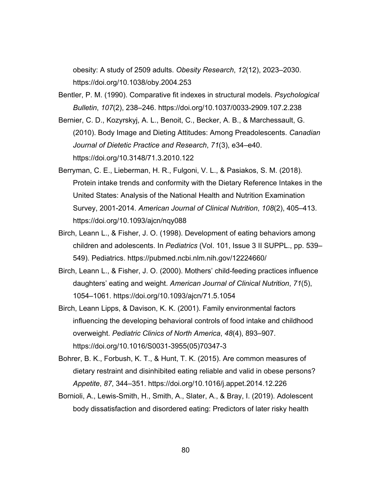obesity: A study of 2509 adults. *Obesity Research*, *12*(12), 2023–2030. https://doi.org/10.1038/oby.2004.253

Bentler, P. M. (1990). Comparative fit indexes in structural models. *Psychological Bulletin*, *107*(2), 238–246. https://doi.org/10.1037/0033-2909.107.2.238

Bernier, C. D., Kozyrskyj, A. L., Benoit, C., Becker, A. B., & Marchessault, G. (2010). Body Image and Dieting Attitudes: Among Preadolescents. *Canadian Journal of Dietetic Practice and Research*, *71*(3), e34–e40. https://doi.org/10.3148/71.3.2010.122

- Berryman, C. E., Lieberman, H. R., Fulgoni, V. L., & Pasiakos, S. M. (2018). Protein intake trends and conformity with the Dietary Reference Intakes in the United States: Analysis of the National Health and Nutrition Examination Survey, 2001-2014. *American Journal of Clinical Nutrition*, *108*(2), 405–413. https://doi.org/10.1093/ajcn/nqy088
- Birch, Leann L., & Fisher, J. O. (1998). Development of eating behaviors among children and adolescents. In *Pediatrics* (Vol. 101, Issue 3 II SUPPL., pp. 539– 549). Pediatrics. https://pubmed.ncbi.nlm.nih.gov/12224660/
- Birch, Leann L., & Fisher, J. O. (2000). Mothers' child-feeding practices influence daughters' eating and weight. *American Journal of Clinical Nutrition*, *71*(5), 1054–1061. https://doi.org/10.1093/ajcn/71.5.1054
- Birch, Leann Lipps, & Davison, K. K. (2001). Family environmental factors influencing the developing behavioral controls of food intake and childhood overweight. *Pediatric Clinics of North America*, *48*(4), 893–907. https://doi.org/10.1016/S0031-3955(05)70347-3
- Bohrer, B. K., Forbush, K. T., & Hunt, T. K. (2015). Are common measures of dietary restraint and disinhibited eating reliable and valid in obese persons? *Appetite*, *87*, 344–351. https://doi.org/10.1016/j.appet.2014.12.226
- Bornioli, A., Lewis-Smith, H., Smith, A., Slater, A., & Bray, I. (2019). Adolescent body dissatisfaction and disordered eating: Predictors of later risky health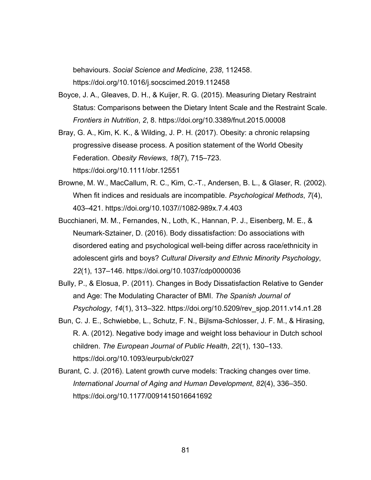behaviours. *Social Science and Medicine*, *238*, 112458. https://doi.org/10.1016/j.socscimed.2019.112458

- Boyce, J. A., Gleaves, D. H., & Kuijer, R. G. (2015). Measuring Dietary Restraint Status: Comparisons between the Dietary Intent Scale and the Restraint Scale. *Frontiers in Nutrition*, *2*, 8. https://doi.org/10.3389/fnut.2015.00008
- Bray, G. A., Kim, K. K., & Wilding, J. P. H. (2017). Obesity: a chronic relapsing progressive disease process. A position statement of the World Obesity Federation. *Obesity Reviews*, *18*(7), 715–723. https://doi.org/10.1111/obr.12551
- Browne, M. W., MacCallum, R. C., Kim, C.-T., Andersen, B. L., & Glaser, R. (2002). When fit indices and residuals are incompatible. *Psychological Methods*, *7*(4), 403–421. https://doi.org/10.1037//1082-989x.7.4.403
- Bucchianeri, M. M., Fernandes, N., Loth, K., Hannan, P. J., Eisenberg, M. E., & Neumark-Sztainer, D. (2016). Body dissatisfaction: Do associations with disordered eating and psychological well-being differ across race/ethnicity in adolescent girls and boys? *Cultural Diversity and Ethnic Minority Psychology*, *22*(1), 137–146. https://doi.org/10.1037/cdp0000036
- Bully, P., & Elosua, P. (2011). Changes in Body Dissatisfaction Relative to Gender and Age: The Modulating Character of BMI. *The Spanish Journal of Psychology*, *14*(1), 313–322. https://doi.org/10.5209/rev\_sjop.2011.v14.n1.28
- Bun, C. J. E., Schwiebbe, L., Schutz, F. N., Bijlsma-Schlosser, J. F. M., & Hirasing, R. A. (2012). Negative body image and weight loss behaviour in Dutch school children. *The European Journal of Public Health*, *22*(1), 130–133. https://doi.org/10.1093/eurpub/ckr027
- Burant, C. J. (2016). Latent growth curve models: Tracking changes over time. *International Journal of Aging and Human Development*, *82*(4), 336–350. https://doi.org/10.1177/0091415016641692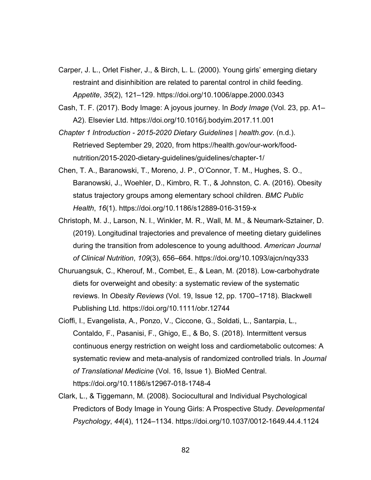- Carper, J. L., Orlet Fisher, J., & Birch, L. L. (2000). Young girls' emerging dietary restraint and disinhibition are related to parental control in child feeding. *Appetite*, *35*(2), 121–129. https://doi.org/10.1006/appe.2000.0343
- Cash, T. F. (2017). Body Image: A joyous journey. In *Body Image* (Vol. 23, pp. A1– A2). Elsevier Ltd. https://doi.org/10.1016/j.bodyim.2017.11.001
- *Chapter 1 Introduction - 2015-2020 Dietary Guidelines | health.gov*. (n.d.). Retrieved September 29, 2020, from https://health.gov/our-work/foodnutrition/2015-2020-dietary-guidelines/guidelines/chapter-1/
- Chen, T. A., Baranowski, T., Moreno, J. P., O'Connor, T. M., Hughes, S. O., Baranowski, J., Woehler, D., Kimbro, R. T., & Johnston, C. A. (2016). Obesity status trajectory groups among elementary school children. *BMC Public Health*, *16*(1). https://doi.org/10.1186/s12889-016-3159-x
- Christoph, M. J., Larson, N. I., Winkler, M. R., Wall, M. M., & Neumark-Sztainer, D. (2019). Longitudinal trajectories and prevalence of meeting dietary guidelines during the transition from adolescence to young adulthood. *American Journal of Clinical Nutrition*, *109*(3), 656–664. https://doi.org/10.1093/ajcn/nqy333
- Churuangsuk, C., Kherouf, M., Combet, E., & Lean, M. (2018). Low-carbohydrate diets for overweight and obesity: a systematic review of the systematic reviews. In *Obesity Reviews* (Vol. 19, Issue 12, pp. 1700–1718). Blackwell Publishing Ltd. https://doi.org/10.1111/obr.12744
- Cioffi, I., Evangelista, A., Ponzo, V., Ciccone, G., Soldati, L., Santarpia, L., Contaldo, F., Pasanisi, F., Ghigo, E., & Bo, S. (2018). Intermittent versus continuous energy restriction on weight loss and cardiometabolic outcomes: A systematic review and meta-analysis of randomized controlled trials. In *Journal of Translational Medicine* (Vol. 16, Issue 1). BioMed Central. https://doi.org/10.1186/s12967-018-1748-4
- Clark, L., & Tiggemann, M. (2008). Sociocultural and Individual Psychological Predictors of Body Image in Young Girls: A Prospective Study. *Developmental Psychology*, *44*(4), 1124–1134. https://doi.org/10.1037/0012-1649.44.4.1124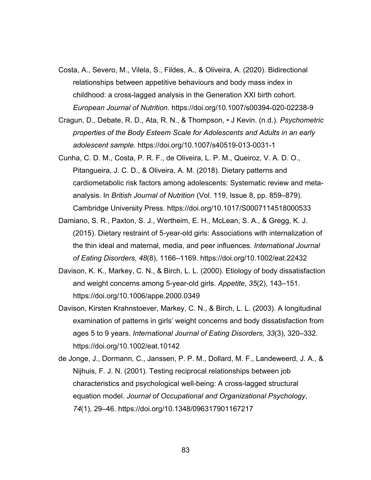- Costa, A., Severo, M., Vilela, S., Fildes, A., & Oliveira, A. (2020). Bidirectional relationships between appetitive behaviours and body mass index in childhood: a cross-lagged analysis in the Generation XXI birth cohort. *European Journal of Nutrition*. https://doi.org/10.1007/s00394-020-02238-9
- Cragun, D., Debate, R. D., Ata, R. N., & Thompson, J Kevin. (n.d.). *Psychometric properties of the Body Esteem Scale for Adolescents and Adults in an early adolescent sample*. https://doi.org/10.1007/s40519-013-0031-1
- Cunha, C. D. M., Costa, P. R. F., de Oliveira, L. P. M., Queiroz, V. A. D. O., Pitangueira, J. C. D., & Oliveira, A. M. (2018). Dietary patterns and cardiometabolic risk factors among adolescents: Systematic review and metaanalysis. In *British Journal of Nutrition* (Vol. 119, Issue 8, pp. 859–879). Cambridge University Press. https://doi.org/10.1017/S0007114518000533
- Damiano, S. R., Paxton, S. J., Wertheim, E. H., McLean, S. A., & Gregg, K. J. (2015). Dietary restraint of 5-year-old girls: Associations with internalization of the thin ideal and maternal, media, and peer influences. *International Journal of Eating Disorders*, *48*(8), 1166–1169. https://doi.org/10.1002/eat.22432
- Davison, K. K., Markey, C. N., & Birch, L. L. (2000). Etiology of body dissatisfaction and weight concerns among 5-year-old girls. *Appetite*, *35*(2), 143–151. https://doi.org/10.1006/appe.2000.0349
- Davison, Kirsten Krahnstoever, Markey, C. N., & Birch, L. L. (2003). A longitudinal examination of patterns in girls' weight concerns and body dissatisfaction from ages 5 to 9 years. *International Journal of Eating Disorders*, *33*(3), 320–332. https://doi.org/10.1002/eat.10142
- de Jonge, J., Dormann, C., Janssen, P. P. M., Dollard, M. F., Landeweerd, J. A., & Nijhuis, F. J. N. (2001). Testing reciprocal relationships between job characteristics and psychological well-being: A cross-lagged structural equation model. *Journal of Occupational and Organizational Psychology*, *74*(1), 29–46. https://doi.org/10.1348/096317901167217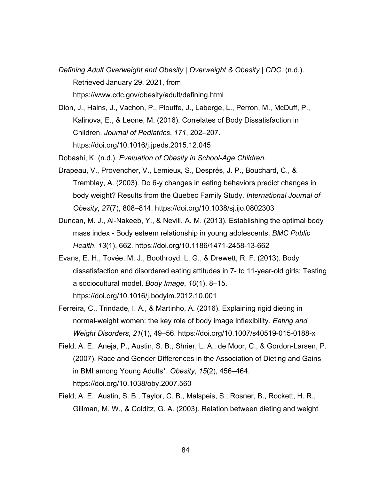- *Defining Adult Overweight and Obesity | Overweight & Obesity | CDC*. (n.d.). Retrieved January 29, 2021, from https://www.cdc.gov/obesity/adult/defining.html
- Dion, J., Hains, J., Vachon, P., Plouffe, J., Laberge, L., Perron, M., McDuff, P., Kalinova, E., & Leone, M. (2016). Correlates of Body Dissatisfaction in Children. *Journal of Pediatrics*, *171*, 202–207. https://doi.org/10.1016/j.jpeds.2015.12.045

Dobashi, K. (n.d.). *Evaluation of Obesity in School-Age Children*.

- Drapeau, V., Provencher, V., Lemieux, S., Després, J. P., Bouchard, C., & Tremblay, A. (2003). Do 6-y changes in eating behaviors predict changes in body weight? Results from the Quebec Family Study. *International Journal of Obesity*, *27*(7), 808–814. https://doi.org/10.1038/sj.ijo.0802303
- Duncan, M. J., Al-Nakeeb, Y., & Nevill, A. M. (2013). Establishing the optimal body mass index - Body esteem relationship in young adolescents. *BMC Public Health*, *13*(1), 662. https://doi.org/10.1186/1471-2458-13-662
- Evans, E. H., Tovée, M. J., Boothroyd, L. G., & Drewett, R. F. (2013). Body dissatisfaction and disordered eating attitudes in 7- to 11-year-old girls: Testing a sociocultural model. *Body Image*, *10*(1), 8–15. https://doi.org/10.1016/j.bodyim.2012.10.001
- Ferreira, C., Trindade, I. A., & Martinho, A. (2016). Explaining rigid dieting in normal-weight women: the key role of body image inflexibility. *Eating and Weight Disorders*, *21*(1), 49–56. https://doi.org/10.1007/s40519-015-0188-x
- Field, A. E., Aneja, P., Austin, S. B., Shrier, L. A., de Moor, C., & Gordon-Larsen, P. (2007). Race and Gender Differences in the Association of Dieting and Gains in BMI among Young Adults\*. *Obesity*, *15*(2), 456–464. https://doi.org/10.1038/oby.2007.560
- Field, A. E., Austin, S. B., Taylor, C. B., Malspeis, S., Rosner, B., Rockett, H. R., Gillman, M. W., & Colditz, G. A. (2003). Relation between dieting and weight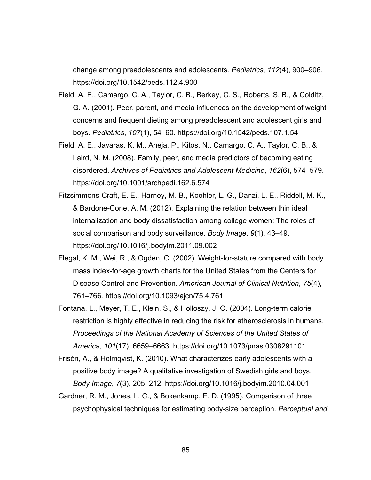change among preadolescents and adolescents. *Pediatrics*, *112*(4), 900–906. https://doi.org/10.1542/peds.112.4.900

- Field, A. E., Camargo, C. A., Taylor, C. B., Berkey, C. S., Roberts, S. B., & Colditz, G. A. (2001). Peer, parent, and media influences on the development of weight concerns and frequent dieting among preadolescent and adolescent girls and boys. *Pediatrics*, *107*(1), 54–60. https://doi.org/10.1542/peds.107.1.54
- Field, A. E., Javaras, K. M., Aneja, P., Kitos, N., Camargo, C. A., Taylor, C. B., & Laird, N. M. (2008). Family, peer, and media predictors of becoming eating disordered. *Archives of Pediatrics and Adolescent Medicine*, *162*(6), 574–579. https://doi.org/10.1001/archpedi.162.6.574
- Fitzsimmons-Craft, E. E., Harney, M. B., Koehler, L. G., Danzi, L. E., Riddell, M. K., & Bardone-Cone, A. M. (2012). Explaining the relation between thin ideal internalization and body dissatisfaction among college women: The roles of social comparison and body surveillance. *Body Image*, *9*(1), 43–49. https://doi.org/10.1016/j.bodyim.2011.09.002
- Flegal, K. M., Wei, R., & Ogden, C. (2002). Weight-for-stature compared with body mass index-for-age growth charts for the United States from the Centers for Disease Control and Prevention. *American Journal of Clinical Nutrition*, *75*(4), 761–766. https://doi.org/10.1093/ajcn/75.4.761
- Fontana, L., Meyer, T. E., Klein, S., & Holloszy, J. O. (2004). Long-term calorie restriction is highly effective in reducing the risk for atherosclerosis in humans. *Proceedings of the National Academy of Sciences of the United States of America*, *101*(17), 6659–6663. https://doi.org/10.1073/pnas.0308291101
- Frisén, A., & Holmqvist, K. (2010). What characterizes early adolescents with a positive body image? A qualitative investigation of Swedish girls and boys. *Body Image*, *7*(3), 205–212. https://doi.org/10.1016/j.bodyim.2010.04.001
- Gardner, R. M., Jones, L. C., & Bokenkamp, E. D. (1995). Comparison of three psychophysical techniques for estimating body-size perception. *Perceptual and*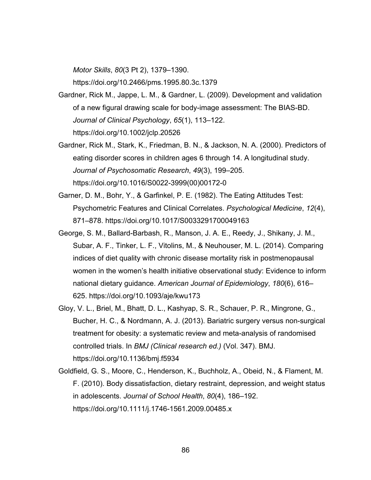*Motor Skills*, *80*(3 Pt 2), 1379–1390.

https://doi.org/10.2466/pms.1995.80.3c.1379

- Gardner, Rick M., Jappe, L. M., & Gardner, L. (2009). Development and validation of a new figural drawing scale for body-image assessment: The BIAS-BD. *Journal of Clinical Psychology*, *65*(1), 113–122. https://doi.org/10.1002/jclp.20526
- Gardner, Rick M., Stark, K., Friedman, B. N., & Jackson, N. A. (2000). Predictors of eating disorder scores in children ages 6 through 14. A longitudinal study. *Journal of Psychosomatic Research*, *49*(3), 199–205. https://doi.org/10.1016/S0022-3999(00)00172-0
- Garner, D. M., Bohr, Y., & Garfinkel, P. E. (1982). The Eating Attitudes Test: Psychometric Features and Clinical Correlates. *Psychological Medicine*, *12*(4), 871–878. https://doi.org/10.1017/S0033291700049163
- George, S. M., Ballard-Barbash, R., Manson, J. A. E., Reedy, J., Shikany, J. M., Subar, A. F., Tinker, L. F., Vitolins, M., & Neuhouser, M. L. (2014). Comparing indices of diet quality with chronic disease mortality risk in postmenopausal women in the women's health initiative observational study: Evidence to inform national dietary guidance. *American Journal of Epidemiology*, *180*(6), 616– 625. https://doi.org/10.1093/aje/kwu173
- Gloy, V. L., Briel, M., Bhatt, D. L., Kashyap, S. R., Schauer, P. R., Mingrone, G., Bucher, H. C., & Nordmann, A. J. (2013). Bariatric surgery versus non-surgical treatment for obesity: a systematic review and meta-analysis of randomised controlled trials. In *BMJ (Clinical research ed.)* (Vol. 347). BMJ. https://doi.org/10.1136/bmj.f5934
- Goldfield, G. S., Moore, C., Henderson, K., Buchholz, A., Obeid, N., & Flament, M. F. (2010). Body dissatisfaction, dietary restraint, depression, and weight status in adolescents. *Journal of School Health*, *80*(4), 186–192. https://doi.org/10.1111/j.1746-1561.2009.00485.x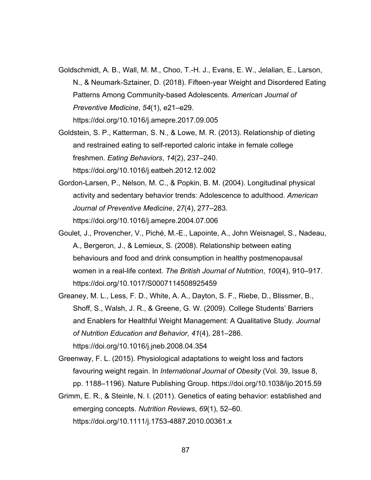- Goldschmidt, A. B., Wall, M. M., Choo, T.-H. J., Evans, E. W., Jelalian, E., Larson, N., & Neumark-Sztainer, D. (2018). Fifteen-year Weight and Disordered Eating Patterns Among Community-based Adolescents. *American Journal of Preventive Medicine*, *54*(1), e21–e29. https://doi.org/10.1016/j.amepre.2017.09.005
- Goldstein, S. P., Katterman, S. N., & Lowe, M. R. (2013). Relationship of dieting and restrained eating to self-reported caloric intake in female college freshmen. *Eating Behaviors*, *14*(2), 237–240. https://doi.org/10.1016/j.eatbeh.2012.12.002
- Gordon-Larsen, P., Nelson, M. C., & Popkin, B. M. (2004). Longitudinal physical activity and sedentary behavior trends: Adolescence to adulthood. *American Journal of Preventive Medicine*, *27*(4), 277–283. https://doi.org/10.1016/j.amepre.2004.07.006
- Goulet, J., Provencher, V., Piché, M.-E., Lapointe, A., John Weisnagel, S., Nadeau, A., Bergeron, J., & Lemieux, S. (2008). Relationship between eating behaviours and food and drink consumption in healthy postmenopausal women in a real-life context. *The British Journal of Nutrition*, *100*(4), 910–917. https://doi.org/10.1017/S0007114508925459
- Greaney, M. L., Less, F. D., White, A. A., Dayton, S. F., Riebe, D., Blissmer, B., Shoff, S., Walsh, J. R., & Greene, G. W. (2009). College Students' Barriers and Enablers for Healthful Weight Management: A Qualitative Study. *Journal of Nutrition Education and Behavior*, *41*(4), 281–286. https://doi.org/10.1016/j.jneb.2008.04.354
- Greenway, F. L. (2015). Physiological adaptations to weight loss and factors favouring weight regain. In *International Journal of Obesity* (Vol. 39, Issue 8, pp. 1188–1196). Nature Publishing Group. https://doi.org/10.1038/ijo.2015.59
- Grimm, E. R., & Steinle, N. I. (2011). Genetics of eating behavior: established and emerging concepts. *Nutrition Reviews*, *69*(1), 52–60. https://doi.org/10.1111/j.1753-4887.2010.00361.x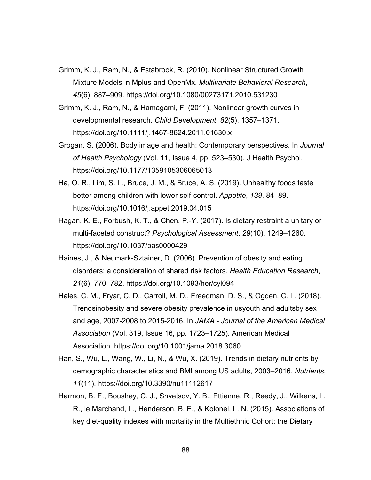- Grimm, K. J., Ram, N., & Estabrook, R. (2010). Nonlinear Structured Growth Mixture Models in Mplus and OpenMx. *Multivariate Behavioral Research*, *45*(6), 887–909. https://doi.org/10.1080/00273171.2010.531230
- Grimm, K. J., Ram, N., & Hamagami, F. (2011). Nonlinear growth curves in developmental research. *Child Development*, *82*(5), 1357–1371. https://doi.org/10.1111/j.1467-8624.2011.01630.x
- Grogan, S. (2006). Body image and health: Contemporary perspectives. In *Journal of Health Psychology* (Vol. 11, Issue 4, pp. 523–530). J Health Psychol. https://doi.org/10.1177/1359105306065013
- Ha, O. R., Lim, S. L., Bruce, J. M., & Bruce, A. S. (2019). Unhealthy foods taste better among children with lower self-control. *Appetite*, *139*, 84–89. https://doi.org/10.1016/j.appet.2019.04.015
- Hagan, K. E., Forbush, K. T., & Chen, P.-Y. (2017). Is dietary restraint a unitary or multi-faceted construct? *Psychological Assessment*, *29*(10), 1249–1260. https://doi.org/10.1037/pas0000429
- Haines, J., & Neumark-Sztainer, D. (2006). Prevention of obesity and eating disorders: a consideration of shared risk factors. *Health Education Research*, *21*(6), 770–782. https://doi.org/10.1093/her/cyl094
- Hales, C. M., Fryar, C. D., Carroll, M. D., Freedman, D. S., & Ogden, C. L. (2018). Trendsinobesity and severe obesity prevalence in usyouth and adultsby sex and age, 2007-2008 to 2015-2016. In *JAMA - Journal of the American Medical Association* (Vol. 319, Issue 16, pp. 1723–1725). American Medical Association. https://doi.org/10.1001/jama.2018.3060
- Han, S., Wu, L., Wang, W., Li, N., & Wu, X. (2019). Trends in dietary nutrients by demographic characteristics and BMI among US adults, 2003–2016. *Nutrients*, *11*(11). https://doi.org/10.3390/nu11112617
- Harmon, B. E., Boushey, C. J., Shvetsov, Y. B., Ettienne, R., Reedy, J., Wilkens, L. R., le Marchand, L., Henderson, B. E., & Kolonel, L. N. (2015). Associations of key diet-quality indexes with mortality in the Multiethnic Cohort: the Dietary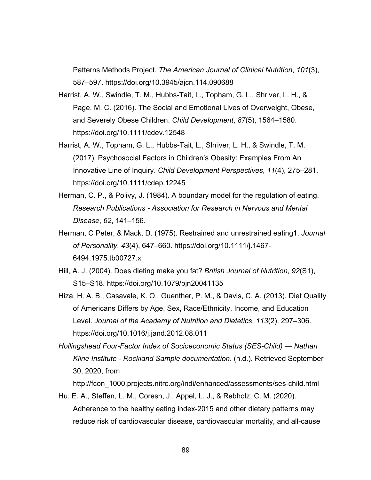Patterns Methods Project. *The American Journal of Clinical Nutrition*, *101*(3), 587–597. https://doi.org/10.3945/ajcn.114.090688

- Harrist, A. W., Swindle, T. M., Hubbs-Tait, L., Topham, G. L., Shriver, L. H., & Page, M. C. (2016). The Social and Emotional Lives of Overweight, Obese, and Severely Obese Children. *Child Development*, *87*(5), 1564–1580. https://doi.org/10.1111/cdev.12548
- Harrist, A. W., Topham, G. L., Hubbs-Tait, L., Shriver, L. H., & Swindle, T. M. (2017). Psychosocial Factors in Children's Obesity: Examples From An Innovative Line of Inquiry. *Child Development Perspectives*, *11*(4), 275–281. https://doi.org/10.1111/cdep.12245
- Herman, C. P., & Polivy, J. (1984). A boundary model for the regulation of eating. *Research Publications - Association for Research in Nervous and Mental Disease*, *62*, 141–156.
- Herman, C Peter, & Mack, D. (1975). Restrained and unrestrained eating1. *Journal of Personality*, *43*(4), 647–660. https://doi.org/10.1111/j.1467- 6494.1975.tb00727.x
- Hill, A. J. (2004). Does dieting make you fat? *British Journal of Nutrition*, *92*(S1), S15–S18. https://doi.org/10.1079/bjn20041135
- Hiza, H. A. B., Casavale, K. O., Guenther, P. M., & Davis, C. A. (2013). Diet Quality of Americans Differs by Age, Sex, Race/Ethnicity, Income, and Education Level. *Journal of the Academy of Nutrition and Dietetics*, *113*(2), 297–306. https://doi.org/10.1016/j.jand.2012.08.011
- *Hollingshead Four-Factor Index of Socioeconomic Status (SES-Child) — Nathan Kline Institute - Rockland Sample documentation*. (n.d.). Retrieved September 30, 2020, from

http://fcon\_1000.projects.nitrc.org/indi/enhanced/assessments/ses-child.html

Hu, E. A., Steffen, L. M., Coresh, J., Appel, L. J., & Rebholz, C. M. (2020). Adherence to the healthy eating index-2015 and other dietary patterns may reduce risk of cardiovascular disease, cardiovascular mortality, and all-cause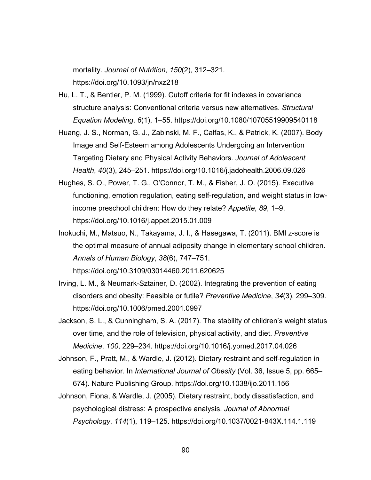mortality. *Journal of Nutrition*, *150*(2), 312–321. https://doi.org/10.1093/jn/nxz218

- Hu, L. T., & Bentler, P. M. (1999). Cutoff criteria for fit indexes in covariance structure analysis: Conventional criteria versus new alternatives. *Structural Equation Modeling*, *6*(1), 1–55. https://doi.org/10.1080/10705519909540118
- Huang, J. S., Norman, G. J., Zabinski, M. F., Calfas, K., & Patrick, K. (2007). Body Image and Self-Esteem among Adolescents Undergoing an Intervention Targeting Dietary and Physical Activity Behaviors. *Journal of Adolescent Health*, *40*(3), 245–251. https://doi.org/10.1016/j.jadohealth.2006.09.026
- Hughes, S. O., Power, T. G., O'Connor, T. M., & Fisher, J. O. (2015). Executive functioning, emotion regulation, eating self-regulation, and weight status in lowincome preschool children: How do they relate? *Appetite*, *89*, 1–9. https://doi.org/10.1016/j.appet.2015.01.009
- Inokuchi, M., Matsuo, N., Takayama, J. I., & Hasegawa, T. (2011). BMI z-score is the optimal measure of annual adiposity change in elementary school children. *Annals of Human Biology*, *38*(6), 747–751. https://doi.org/10.3109/03014460.2011.620625
- Irving, L. M., & Neumark-Sztainer, D. (2002). Integrating the prevention of eating disorders and obesity: Feasible or futile? *Preventive Medicine*, *34*(3), 299–309. https://doi.org/10.1006/pmed.2001.0997
- Jackson, S. L., & Cunningham, S. A. (2017). The stability of children's weight status over time, and the role of television, physical activity, and diet. *Preventive Medicine*, *100*, 229–234. https://doi.org/10.1016/j.ypmed.2017.04.026
- Johnson, F., Pratt, M., & Wardle, J. (2012). Dietary restraint and self-regulation in eating behavior. In *International Journal of Obesity* (Vol. 36, Issue 5, pp. 665– 674). Nature Publishing Group. https://doi.org/10.1038/ijo.2011.156
- Johnson, Fiona, & Wardle, J. (2005). Dietary restraint, body dissatisfaction, and psychological distress: A prospective analysis. *Journal of Abnormal Psychology*, *114*(1), 119–125. https://doi.org/10.1037/0021-843X.114.1.119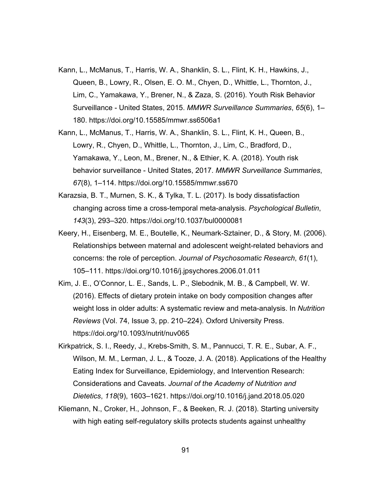- Kann, L., McManus, T., Harris, W. A., Shanklin, S. L., Flint, K. H., Hawkins, J., Queen, B., Lowry, R., Olsen, E. O. M., Chyen, D., Whittle, L., Thornton, J., Lim, C., Yamakawa, Y., Brener, N., & Zaza, S. (2016). Youth Risk Behavior Surveillance - United States, 2015. *MMWR Surveillance Summaries*, *65*(6), 1– 180. https://doi.org/10.15585/mmwr.ss6506a1
- Kann, L., McManus, T., Harris, W. A., Shanklin, S. L., Flint, K. H., Queen, B., Lowry, R., Chyen, D., Whittle, L., Thornton, J., Lim, C., Bradford, D., Yamakawa, Y., Leon, M., Brener, N., & Ethier, K. A. (2018). Youth risk behavior surveillance - United States, 2017. *MMWR Surveillance Summaries*, *67*(8), 1–114. https://doi.org/10.15585/mmwr.ss670
- Karazsia, B. T., Murnen, S. K., & Tylka, T. L. (2017). Is body dissatisfaction changing across time a cross-temporal meta-analysis. *Psychological Bulletin*, *143*(3), 293–320. https://doi.org/10.1037/bul0000081
- Keery, H., Eisenberg, M. E., Boutelle, K., Neumark-Sztainer, D., & Story, M. (2006). Relationships between maternal and adolescent weight-related behaviors and concerns: the role of perception. *Journal of Psychosomatic Research*, *61*(1), 105–111. https://doi.org/10.1016/j.jpsychores.2006.01.011
- Kim, J. E., O'Connor, L. E., Sands, L. P., Slebodnik, M. B., & Campbell, W. W. (2016). Effects of dietary protein intake on body composition changes after weight loss in older adults: A systematic review and meta-analysis. In *Nutrition Reviews* (Vol. 74, Issue 3, pp. 210–224). Oxford University Press. https://doi.org/10.1093/nutrit/nuv065
- Kirkpatrick, S. I., Reedy, J., Krebs-Smith, S. M., Pannucci, T. R. E., Subar, A. F., Wilson, M. M., Lerman, J. L., & Tooze, J. A. (2018). Applications of the Healthy Eating Index for Surveillance, Epidemiology, and Intervention Research: Considerations and Caveats. *Journal of the Academy of Nutrition and Dietetics*, *118*(9), 1603–1621. https://doi.org/10.1016/j.jand.2018.05.020
- Kliemann, N., Croker, H., Johnson, F., & Beeken, R. J. (2018). Starting university with high eating self-regulatory skills protects students against unhealthy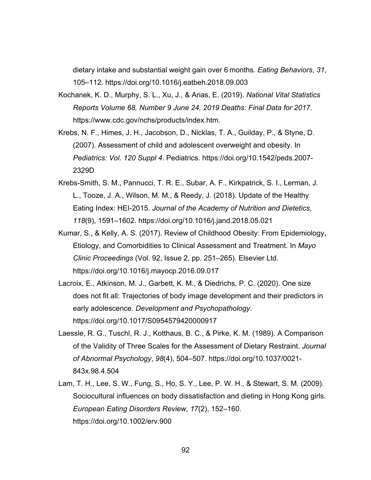dietary intake and substantial weight gain over 6 months. *Eating Behaviors*, *31*, 105–112. https://doi.org/10.1016/j.eatbeh.2018.09.003

- Kochanek, K. D., Murphy, S. L., Xu, J., & Arias, E. (2019). *National Vital Statistics Reports Volume 68, Number 9 June 24, 2019 Deaths: Final Data for 2017*. https://www.cdc.gov/nchs/products/index.htm.
- Krebs, N. F., Himes, J. H., Jacobson, D., Nicklas, T. A., Guilday, P., & Styne, D. (2007). Assessment of child and adolescent overweight and obesity. In *Pediatrics: Vol. 120 Suppl 4*. Pediatrics. https://doi.org/10.1542/peds.2007- 2329D
- Krebs-Smith, S. M., Pannucci, T. R. E., Subar, A. F., Kirkpatrick, S. I., Lerman, J. L., Tooze, J. A., Wilson, M. M., & Reedy, J. (2018). Update of the Healthy Eating Index: HEI-2015. *Journal of the Academy of Nutrition and Dietetics*, *118*(9), 1591–1602. https://doi.org/10.1016/j.jand.2018.05.021
- Kumar, S., & Kelly, A. S. (2017). Review of Childhood Obesity: From Epidemiology, Etiology, and Comorbidities to Clinical Assessment and Treatment. In *Mayo Clinic Proceedings* (Vol. 92, Issue 2, pp. 251–265). Elsevier Ltd. https://doi.org/10.1016/j.mayocp.2016.09.017
- Lacroix, E., Atkinson, M. J., Garbett, K. M., & Diedrichs, P. C. (2020). One size does not fit all: Trajectories of body image development and their predictors in early adolescence. *Development and Psychopathology*. https://doi.org/10.1017/S0954579420000917
- Laessle, R. G., Tuschl, R. J., Kotthaus, B. C., & Pirke, K. M. (1989). A Comparison of the Validity of Three Scales for the Assessment of Dietary Restraint. *Journal of Abnormal Psychology*, *98*(4), 504–507. https://doi.org/10.1037/0021- 843x.98.4.504
- Lam, T. H., Lee, S. W., Fung, S., Ho, S. Y., Lee, P. W. H., & Stewart, S. M. (2009). Sociocultural influences on body dissatisfaction and dieting in Hong Kong girls. *European Eating Disorders Review*, *17*(2), 152–160. https://doi.org/10.1002/erv.900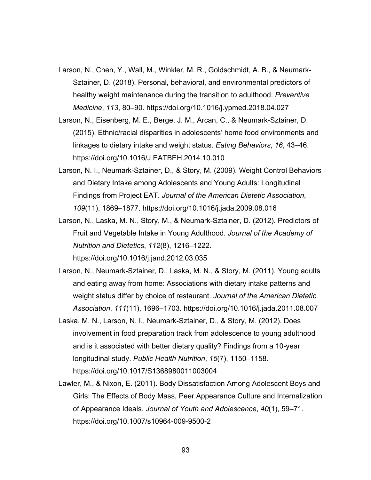- Larson, N., Chen, Y., Wall, M., Winkler, M. R., Goldschmidt, A. B., & Neumark-Sztainer, D. (2018). Personal, behavioral, and environmental predictors of healthy weight maintenance during the transition to adulthood. *Preventive Medicine*, *113*, 80–90. https://doi.org/10.1016/j.ypmed.2018.04.027
- Larson, N., Eisenberg, M. E., Berge, J. M., Arcan, C., & Neumark-Sztainer, D. (2015). Ethnic/racial disparities in adolescents' home food environments and linkages to dietary intake and weight status. *Eating Behaviors*, *16*, 43–46. https://doi.org/10.1016/J.EATBEH.2014.10.010
- Larson, N. I., Neumark-Sztainer, D., & Story, M. (2009). Weight Control Behaviors and Dietary Intake among Adolescents and Young Adults: Longitudinal Findings from Project EAT. *Journal of the American Dietetic Association*, *109*(11), 1869–1877. https://doi.org/10.1016/j.jada.2009.08.016
- Larson, N., Laska, M. N., Story, M., & Neumark-Sztainer, D. (2012). Predictors of Fruit and Vegetable Intake in Young Adulthood. *Journal of the Academy of Nutrition and Dietetics*, *112*(8), 1216–1222.

```
https://doi.org/10.1016/j.jand.2012.03.035
```
- Larson, N., Neumark-Sztainer, D., Laska, M. N., & Story, M. (2011). Young adults and eating away from home: Associations with dietary intake patterns and weight status differ by choice of restaurant. *Journal of the American Dietetic Association*, *111*(11), 1696–1703. https://doi.org/10.1016/j.jada.2011.08.007
- Laska, M. N., Larson, N. I., Neumark-Sztainer, D., & Story, M. (2012). Does involvement in food preparation track from adolescence to young adulthood and is it associated with better dietary quality? Findings from a 10-year longitudinal study. *Public Health Nutrition*, *15*(7), 1150–1158. https://doi.org/10.1017/S1368980011003004
- Lawler, M., & Nixon, E. (2011). Body Dissatisfaction Among Adolescent Boys and Girls: The Effects of Body Mass, Peer Appearance Culture and Internalization of Appearance Ideals. *Journal of Youth and Adolescence*, *40*(1), 59–71. https://doi.org/10.1007/s10964-009-9500-2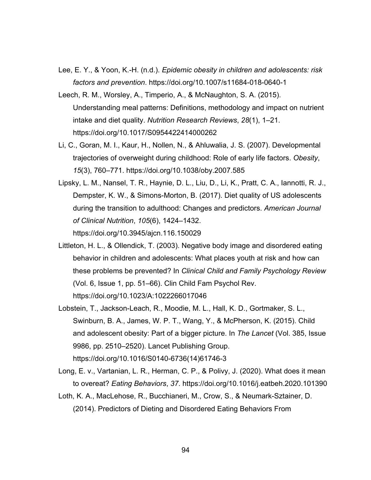- Lee, E. Y., & Yoon, K.-H. (n.d.). *Epidemic obesity in children and adolescents: risk factors and prevention*. https://doi.org/10.1007/s11684-018-0640-1
- Leech, R. M., Worsley, A., Timperio, A., & McNaughton, S. A. (2015). Understanding meal patterns: Definitions, methodology and impact on nutrient intake and diet quality. *Nutrition Research Reviews*, *28*(1), 1–21. https://doi.org/10.1017/S0954422414000262
- Li, C., Goran, M. I., Kaur, H., Nollen, N., & Ahluwalia, J. S. (2007). Developmental trajectories of overweight during childhood: Role of early life factors. *Obesity*, *15*(3), 760–771. https://doi.org/10.1038/oby.2007.585
- Lipsky, L. M., Nansel, T. R., Haynie, D. L., Liu, D., Li, K., Pratt, C. A., Iannotti, R. J., Dempster, K. W., & Simons-Morton, B. (2017). Diet quality of US adolescents during the transition to adulthood: Changes and predictors. *American Journal of Clinical Nutrition*, *105*(6), 1424–1432. https://doi.org/10.3945/ajcn.116.150029
- Littleton, H. L., & Ollendick, T. (2003). Negative body image and disordered eating behavior in children and adolescents: What places youth at risk and how can these problems be prevented? In *Clinical Child and Family Psychology Review* (Vol. 6, Issue 1, pp. 51–66). Clin Child Fam Psychol Rev. https://doi.org/10.1023/A:1022266017046
- Lobstein, T., Jackson-Leach, R., Moodie, M. L., Hall, K. D., Gortmaker, S. L., Swinburn, B. A., James, W. P. T., Wang, Y., & McPherson, K. (2015). Child and adolescent obesity: Part of a bigger picture. In *The Lancet* (Vol. 385, Issue 9986, pp. 2510–2520). Lancet Publishing Group. https://doi.org/10.1016/S0140-6736(14)61746-3
- Long, E. v., Vartanian, L. R., Herman, C. P., & Polivy, J. (2020). What does it mean to overeat? *Eating Behaviors*, *37*. https://doi.org/10.1016/j.eatbeh.2020.101390
- Loth, K. A., MacLehose, R., Bucchianeri, M., Crow, S., & Neumark-Sztainer, D. (2014). Predictors of Dieting and Disordered Eating Behaviors From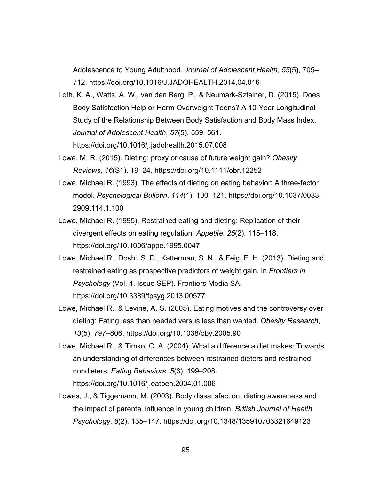Adolescence to Young Adulthood. *Journal of Adolescent Health*, *55*(5), 705– 712. https://doi.org/10.1016/J.JADOHEALTH.2014.04.016

- Loth, K. A., Watts, A. W., van den Berg, P., & Neumark-Sztainer, D. (2015). Does Body Satisfaction Help or Harm Overweight Teens? A 10-Year Longitudinal Study of the Relationship Between Body Satisfaction and Body Mass Index. *Journal of Adolescent Health*, *57*(5), 559–561. https://doi.org/10.1016/j.jadohealth.2015.07.008
- Lowe, M. R. (2015). Dieting: proxy or cause of future weight gain? *Obesity Reviews*, *16*(S1), 19–24. https://doi.org/10.1111/obr.12252
- Lowe, Michael R. (1993). The effects of dieting on eating behavior: A three-factor model. *Psychological Bulletin*, *114*(1), 100–121. https://doi.org/10.1037/0033- 2909.114.1.100
- Lowe, Michael R. (1995). Restrained eating and dieting: Replication of their divergent effects on eating regulation. *Appetite*, *25*(2), 115–118. https://doi.org/10.1006/appe.1995.0047
- Lowe, Michael R., Doshi, S. D., Katterman, S. N., & Feig, E. H. (2013). Dieting and restrained eating as prospective predictors of weight gain. In *Frontiers in Psychology* (Vol. 4, Issue SEP). Frontiers Media SA. https://doi.org/10.3389/fpsyg.2013.00577
- Lowe, Michael R., & Levine, A. S. (2005). Eating motives and the controversy over dieting: Eating less than needed versus less than wanted. *Obesity Research*, *13*(5), 797–806. https://doi.org/10.1038/oby.2005.90
- Lowe, Michael R., & Timko, C. A. (2004). What a difference a diet makes: Towards an understanding of differences between restrained dieters and restrained nondieters. *Eating Behaviors*, *5*(3), 199–208. https://doi.org/10.1016/j.eatbeh.2004.01.006
- Lowes, J., & Tiggemann, M. (2003). Body dissatisfaction, dieting awareness and the impact of parental influence in young children. *British Journal of Health Psychology*, *8*(2), 135–147. https://doi.org/10.1348/135910703321649123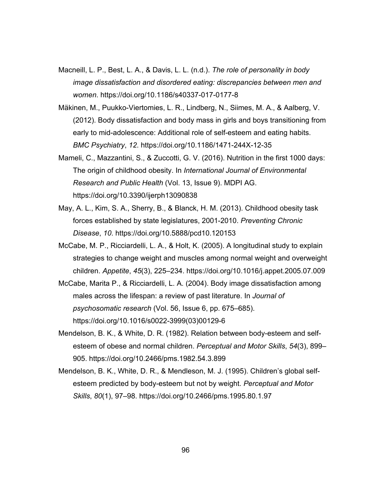- Macneill, L. P., Best, L. A., & Davis, L. L. (n.d.). *The role of personality in body image dissatisfaction and disordered eating: discrepancies between men and women*. https://doi.org/10.1186/s40337-017-0177-8
- Mäkinen, M., Puukko-Viertomies, L. R., Lindberg, N., Siimes, M. A., & Aalberg, V. (2012). Body dissatisfaction and body mass in girls and boys transitioning from early to mid-adolescence: Additional role of self-esteem and eating habits. *BMC Psychiatry*, *12*. https://doi.org/10.1186/1471-244X-12-35
- Mameli, C., Mazzantini, S., & Zuccotti, G. V. (2016). Nutrition in the first 1000 days: The origin of childhood obesity. In *International Journal of Environmental Research and Public Health* (Vol. 13, Issue 9). MDPI AG. https://doi.org/10.3390/ijerph13090838
- May, A. L., Kim, S. A., Sherry, B., & Blanck, H. M. (2013). Childhood obesity task forces established by state legislatures, 2001-2010. *Preventing Chronic Disease*, *10*. https://doi.org/10.5888/pcd10.120153
- McCabe, M. P., Ricciardelli, L. A., & Holt, K. (2005). A longitudinal study to explain strategies to change weight and muscles among normal weight and overweight children. *Appetite*, *45*(3), 225–234. https://doi.org/10.1016/j.appet.2005.07.009
- McCabe, Marita P., & Ricciardelli, L. A. (2004). Body image dissatisfaction among males across the lifespan: a review of past literature. In *Journal of psychosomatic research* (Vol. 56, Issue 6, pp. 675–685). https://doi.org/10.1016/s0022-3999(03)00129-6
- Mendelson, B. K., & White, D. R. (1982). Relation between body-esteem and selfesteem of obese and normal children. *Perceptual and Motor Skills*, *54*(3), 899– 905. https://doi.org/10.2466/pms.1982.54.3.899
- Mendelson, B. K., White, D. R., & Mendleson, M. J. (1995). Children's global selfesteem predicted by body-esteem but not by weight. *Perceptual and Motor Skills*, *80*(1), 97–98. https://doi.org/10.2466/pms.1995.80.1.97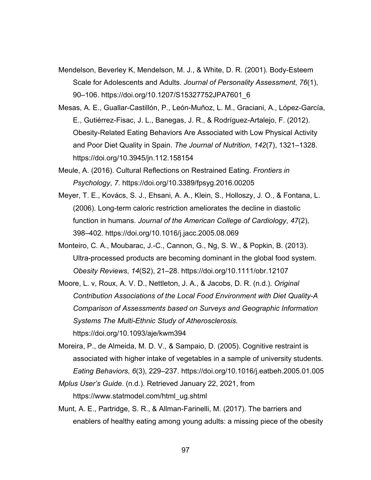- Mendelson, Beverley K, Mendelson, M. J., & White, D. R. (2001). Body-Esteem Scale for Adolescents and Adults. *Journal of Personality Assessment*, *76*(1), 90–106. https://doi.org/10.1207/S15327752JPA7601\_6
- Mesas, A. E., Guallar-Castillón, P., León-Muñoz, L. M., Graciani, A., López-García, E., Gutiérrez-Fisac, J. L., Banegas, J. R., & Rodríguez-Artalejo, F. (2012). Obesity-Related Eating Behaviors Are Associated with Low Physical Activity and Poor Diet Quality in Spain. *The Journal of Nutrition*, *142*(7), 1321–1328. https://doi.org/10.3945/jn.112.158154
- Meule, A. (2016). Cultural Reflections on Restrained Eating. *Frontiers in Psychology*, *7*. https://doi.org/10.3389/fpsyg.2016.00205
- Meyer, T. E., Kovács, S. J., Ehsani, A. A., Klein, S., Holloszy, J. O., & Fontana, L. (2006). Long-term caloric restriction ameliorates the decline in diastolic function in humans. *Journal of the American College of Cardiology*, *47*(2), 398–402. https://doi.org/10.1016/j.jacc.2005.08.069
- Monteiro, C. A., Moubarac, J.-C., Cannon, G., Ng, S. W., & Popkin, B. (2013). Ultra-processed products are becoming dominant in the global food system. *Obesity Reviews*, *14*(S2), 21–28. https://doi.org/10.1111/obr.12107
- Moore, L. v, Roux, A. V. D., Nettleton, J. A., & Jacobs, D. R. (n.d.). *Original Contribution Associations of the Local Food Environment with Diet Quality-A Comparison of Assessments based on Surveys and Geographic Information Systems The Multi-Ethnic Study of Atherosclerosis*. https://doi.org/10.1093/aje/kwm394
- Moreira, P., de Almeida, M. D. V., & Sampaio, D. (2005). Cognitive restraint is associated with higher intake of vegetables in a sample of university students. *Eating Behaviors*, *6*(3), 229–237. https://doi.org/10.1016/j.eatbeh.2005.01.005
- *Mplus User's Guide*. (n.d.). Retrieved January 22, 2021, from https://www.statmodel.com/html\_ug.shtml
- Munt, A. E., Partridge, S. R., & Allman-Farinelli, M. (2017). The barriers and enablers of healthy eating among young adults: a missing piece of the obesity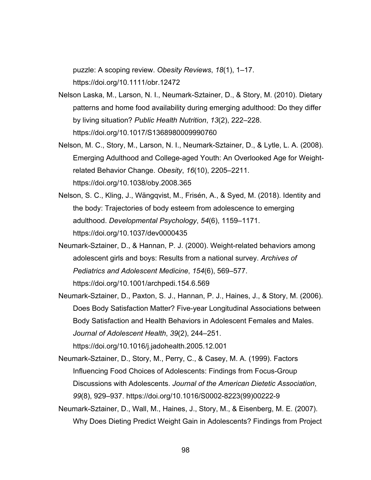puzzle: A scoping review. *Obesity Reviews*, *18*(1), 1–17. https://doi.org/10.1111/obr.12472

- Nelson Laska, M., Larson, N. I., Neumark-Sztainer, D., & Story, M. (2010). Dietary patterns and home food availability during emerging adulthood: Do they differ by living situation? *Public Health Nutrition*, *13*(2), 222–228. https://doi.org/10.1017/S1368980009990760
- Nelson, M. C., Story, M., Larson, N. I., Neumark-Sztainer, D., & Lytle, L. A. (2008). Emerging Adulthood and College-aged Youth: An Overlooked Age for Weightrelated Behavior Change. *Obesity*, *16*(10), 2205–2211. https://doi.org/10.1038/oby.2008.365
- Nelson, S. C., Kling, J., Wängqvist, M., Frisén, A., & Syed, M. (2018). Identity and the body: Trajectories of body esteem from adolescence to emerging adulthood. *Developmental Psychology*, *54*(6), 1159–1171. https://doi.org/10.1037/dev0000435
- Neumark-Sztainer, D., & Hannan, P. J. (2000). Weight-related behaviors among adolescent girls and boys: Results from a national survey. *Archives of Pediatrics and Adolescent Medicine*, *154*(6), 569–577. https://doi.org/10.1001/archpedi.154.6.569
- Neumark-Sztainer, D., Paxton, S. J., Hannan, P. J., Haines, J., & Story, M. (2006). Does Body Satisfaction Matter? Five-year Longitudinal Associations between Body Satisfaction and Health Behaviors in Adolescent Females and Males. *Journal of Adolescent Health*, *39*(2), 244–251. https://doi.org/10.1016/j.jadohealth.2005.12.001
- Neumark-Sztainer, D., Story, M., Perry, C., & Casey, M. A. (1999). Factors Influencing Food Choices of Adolescents: Findings from Focus-Group Discussions with Adolescents. *Journal of the American Dietetic Association*, *99*(8), 929–937. https://doi.org/10.1016/S0002-8223(99)00222-9
- Neumark-Sztainer, D., Wall, M., Haines, J., Story, M., & Eisenberg, M. E. (2007). Why Does Dieting Predict Weight Gain in Adolescents? Findings from Project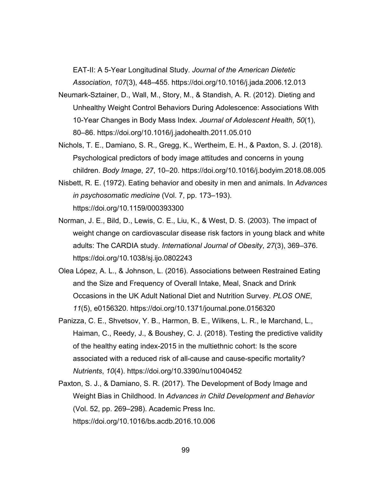EAT-II: A 5-Year Longitudinal Study. *Journal of the American Dietetic Association*, *107*(3), 448–455. https://doi.org/10.1016/j.jada.2006.12.013

- Neumark-Sztainer, D., Wall, M., Story, M., & Standish, A. R. (2012). Dieting and Unhealthy Weight Control Behaviors During Adolescence: Associations With 10-Year Changes in Body Mass Index. *Journal of Adolescent Health*, *50*(1), 80–86. https://doi.org/10.1016/j.jadohealth.2011.05.010
- Nichols, T. E., Damiano, S. R., Gregg, K., Wertheim, E. H., & Paxton, S. J. (2018). Psychological predictors of body image attitudes and concerns in young children. *Body Image*, *27*, 10–20. https://doi.org/10.1016/j.bodyim.2018.08.005
- Nisbett, R. E. (1972). Eating behavior and obesity in men and animals. In *Advances in psychosomatic medicine* (Vol. 7, pp. 173–193). https://doi.org/10.1159/000393300
- Norman, J. E., Bild, D., Lewis, C. E., Liu, K., & West, D. S. (2003). The impact of weight change on cardiovascular disease risk factors in young black and white adults: The CARDIA study. *International Journal of Obesity*, *27*(3), 369–376. https://doi.org/10.1038/sj.ijo.0802243
- Olea López, A. L., & Johnson, L. (2016). Associations between Restrained Eating and the Size and Frequency of Overall Intake, Meal, Snack and Drink Occasions in the UK Adult National Diet and Nutrition Survey. *PLOS ONE*, *11*(5), e0156320. https://doi.org/10.1371/journal.pone.0156320
- Panizza, C. E., Shvetsov, Y. B., Harmon, B. E., Wilkens, L. R., le Marchand, L., Haiman, C., Reedy, J., & Boushey, C. J. (2018). Testing the predictive validity of the healthy eating index-2015 in the multiethnic cohort: Is the score associated with a reduced risk of all-cause and cause-specific mortality? *Nutrients*, *10*(4). https://doi.org/10.3390/nu10040452
- Paxton, S. J., & Damiano, S. R. (2017). The Development of Body Image and Weight Bias in Childhood. In *Advances in Child Development and Behavior* (Vol. 52, pp. 269–298). Academic Press Inc. https://doi.org/10.1016/bs.acdb.2016.10.006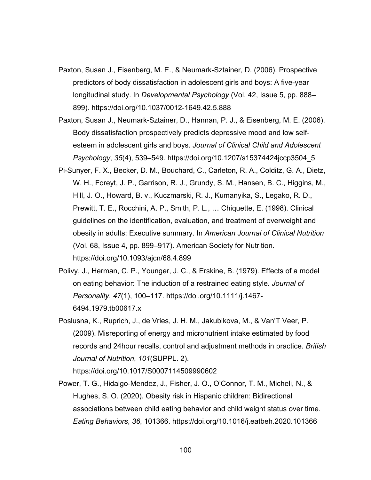- Paxton, Susan J., Eisenberg, M. E., & Neumark-Sztainer, D. (2006). Prospective predictors of body dissatisfaction in adolescent girls and boys: A five-year longitudinal study. In *Developmental Psychology* (Vol. 42, Issue 5, pp. 888– 899). https://doi.org/10.1037/0012-1649.42.5.888
- Paxton, Susan J., Neumark-Sztainer, D., Hannan, P. J., & Eisenberg, M. E. (2006). Body dissatisfaction prospectively predicts depressive mood and low selfesteem in adolescent girls and boys. *Journal of Clinical Child and Adolescent Psychology*, *35*(4), 539–549. https://doi.org/10.1207/s15374424jccp3504\_5
- Pi-Sunyer, F. X., Becker, D. M., Bouchard, C., Carleton, R. A., Colditz, G. A., Dietz, W. H., Foreyt, J. P., Garrison, R. J., Grundy, S. M., Hansen, B. C., Higgins, M., Hill, J. O., Howard, B. v., Kuczmarski, R. J., Kumanyika, S., Legako, R. D., Prewitt, T. E., Rocchini, A. P., Smith, P. L., … Chiquette, E. (1998). Clinical guidelines on the identification, evaluation, and treatment of overweight and obesity in adults: Executive summary. In *American Journal of Clinical Nutrition* (Vol. 68, Issue 4, pp. 899–917). American Society for Nutrition. https://doi.org/10.1093/ajcn/68.4.899
- Polivy, J., Herman, C. P., Younger, J. C., & Erskine, B. (1979). Effects of a model on eating behavior: The induction of a restrained eating style. *Journal of Personality*, *47*(1), 100–117. https://doi.org/10.1111/j.1467- 6494.1979.tb00617.x
- Poslusna, K., Ruprich, J., de Vries, J. H. M., Jakubikova, M., & Van'T Veer, P. (2009). Misreporting of energy and micronutrient intake estimated by food records and 24hour recalls, control and adjustment methods in practice. *British Journal of Nutrition*, *101*(SUPPL. 2).
	- https://doi.org/10.1017/S0007114509990602
- Power, T. G., Hidalgo-Mendez, J., Fisher, J. O., O'Connor, T. M., Micheli, N., & Hughes, S. O. (2020). Obesity risk in Hispanic children: Bidirectional associations between child eating behavior and child weight status over time. *Eating Behaviors*, *36*, 101366. https://doi.org/10.1016/j.eatbeh.2020.101366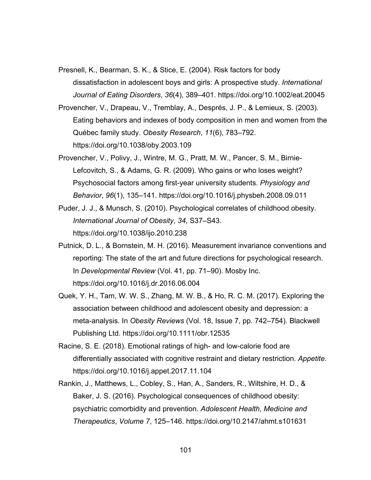Presnell, K., Bearman, S. K., & Stice, E. (2004). Risk factors for body dissatisfaction in adolescent boys and girls: A prospective study. *International Journal of Eating Disorders*, *36*(4), 389–401. https://doi.org/10.1002/eat.20045

- Provencher, V., Drapeau, V., Tremblay, A., Després, J. P., & Lemieux, S. (2003). Eating behaviors and indexes of body composition in men and women from the Québec family study. *Obesity Research*, *11*(6), 783–792. https://doi.org/10.1038/oby.2003.109
- Provencher, V., Polivy, J., Wintre, M. G., Pratt, M. W., Pancer, S. M., Birnie-Lefcovitch, S., & Adams, G. R. (2009). Who gains or who loses weight? Psychosocial factors among first-year university students. *Physiology and Behavior*, *96*(1), 135–141. https://doi.org/10.1016/j.physbeh.2008.09.011
- Puder, J. J., & Munsch, S. (2010). Psychological correlates of childhood obesity. *International Journal of Obesity*, *34*, S37–S43. https://doi.org/10.1038/ijo.2010.238
- Putnick, D. L., & Bornstein, M. H. (2016). Measurement invariance conventions and reporting: The state of the art and future directions for psychological research. In *Developmental Review* (Vol. 41, pp. 71–90). Mosby Inc. https://doi.org/10.1016/j.dr.2016.06.004
- Quek, Y. H., Tam, W. W. S., Zhang, M. W. B., & Ho, R. C. M. (2017). Exploring the association between childhood and adolescent obesity and depression: a meta-analysis. In *Obesity Reviews* (Vol. 18, Issue 7, pp. 742–754). Blackwell Publishing Ltd. https://doi.org/10.1111/obr.12535
- Racine, S. E. (2018). Emotional ratings of high- and low-calorie food are differentially associated with cognitive restraint and dietary restriction. *Appetite*. https://doi.org/10.1016/j.appet.2017.11.104
- Rankin, J., Matthews, L., Cobley, S., Han, A., Sanders, R., Wiltshire, H. D., & Baker, J. S. (2016). Psychological consequences of childhood obesity: psychiatric comorbidity and prevention. *Adolescent Health, Medicine and Therapeutics*, *Volume 7*, 125–146. https://doi.org/10.2147/ahmt.s101631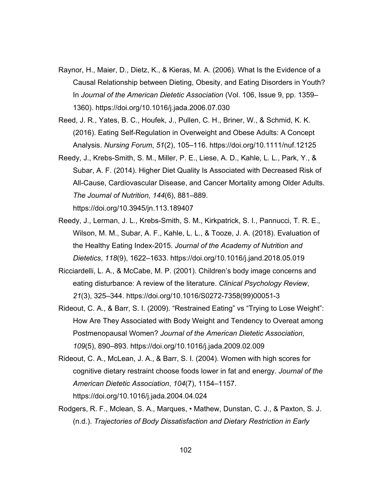- Raynor, H., Maier, D., Dietz, K., & Kieras, M. A. (2006). What Is the Evidence of a Causal Relationship between Dieting, Obesity, and Eating Disorders in Youth? In *Journal of the American Dietetic Association* (Vol. 106, Issue 9, pp. 1359– 1360). https://doi.org/10.1016/j.jada.2006.07.030
- Reed, J. R., Yates, B. C., Houfek, J., Pullen, C. H., Briner, W., & Schmid, K. K. (2016). Eating Self-Regulation in Overweight and Obese Adults: A Concept Analysis. *Nursing Forum*, *51*(2), 105–116. https://doi.org/10.1111/nuf.12125
- Reedy, J., Krebs-Smith, S. M., Miller, P. E., Liese, A. D., Kahle, L. L., Park, Y., & Subar, A. F. (2014). Higher Diet Quality Is Associated with Decreased Risk of All-Cause, Cardiovascular Disease, and Cancer Mortality among Older Adults. *The Journal of Nutrition*, *144*(6), 881–889. https://doi.org/10.3945/jn.113.189407
- Reedy, J., Lerman, J. L., Krebs-Smith, S. M., Kirkpatrick, S. I., Pannucci, T. R. E., Wilson, M. M., Subar, A. F., Kahle, L. L., & Tooze, J. A. (2018). Evaluation of the Healthy Eating Index-2015. *Journal of the Academy of Nutrition and Dietetics*, *118*(9), 1622–1633. https://doi.org/10.1016/j.jand.2018.05.019
- Ricciardelli, L. A., & McCabe, M. P. (2001). Children's body image concerns and eating disturbance: A review of the literature. *Clinical Psychology Review*, *21*(3), 325–344. https://doi.org/10.1016/S0272-7358(99)00051-3
- Rideout, C. A., & Barr, S. I. (2009). "Restrained Eating" vs "Trying to Lose Weight": How Are They Associated with Body Weight and Tendency to Overeat among Postmenopausal Women? *Journal of the American Dietetic Association*, *109*(5), 890–893. https://doi.org/10.1016/j.jada.2009.02.009
- Rideout, C. A., McLean, J. A., & Barr, S. I. (2004). Women with high scores for cognitive dietary restraint choose foods lower in fat and energy. *Journal of the American Dietetic Association*, *104*(7), 1154–1157. https://doi.org/10.1016/j.jada.2004.04.024
- Rodgers, R. F., Mclean, S. A., Marques, Mathew, Dunstan, C. J., & Paxton, S. J. (n.d.). *Trajectories of Body Dissatisfaction and Dietary Restriction in Early*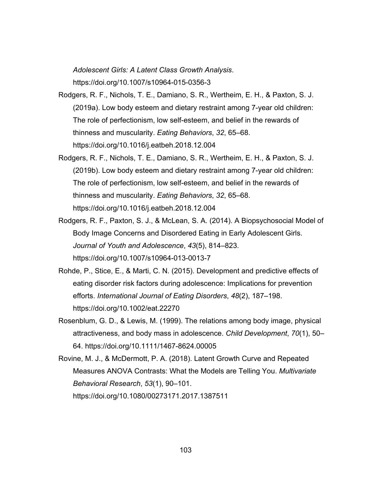*Adolescent Girls: A Latent Class Growth Analysis*. https://doi.org/10.1007/s10964-015-0356-3

- Rodgers, R. F., Nichols, T. E., Damiano, S. R., Wertheim, E. H., & Paxton, S. J. (2019a). Low body esteem and dietary restraint among 7-year old children: The role of perfectionism, low self-esteem, and belief in the rewards of thinness and muscularity. *Eating Behaviors*, *32*, 65–68. https://doi.org/10.1016/j.eatbeh.2018.12.004
- Rodgers, R. F., Nichols, T. E., Damiano, S. R., Wertheim, E. H., & Paxton, S. J. (2019b). Low body esteem and dietary restraint among 7-year old children: The role of perfectionism, low self-esteem, and belief in the rewards of thinness and muscularity. *Eating Behaviors*, *32*, 65–68. https://doi.org/10.1016/j.eatbeh.2018.12.004
- Rodgers, R. F., Paxton, S. J., & McLean, S. A. (2014). A Biopsychosocial Model of Body Image Concerns and Disordered Eating in Early Adolescent Girls. *Journal of Youth and Adolescence*, *43*(5), 814–823. https://doi.org/10.1007/s10964-013-0013-7
- Rohde, P., Stice, E., & Marti, C. N. (2015). Development and predictive effects of eating disorder risk factors during adolescence: Implications for prevention efforts. *International Journal of Eating Disorders*, *48*(2), 187–198. https://doi.org/10.1002/eat.22270
- Rosenblum, G. D., & Lewis, M. (1999). The relations among body image, physical attractiveness, and body mass in adolescence. *Child Development*, *70*(1), 50– 64. https://doi.org/10.1111/1467-8624.00005
- Rovine, M. J., & McDermott, P. A. (2018). Latent Growth Curve and Repeated Measures ANOVA Contrasts: What the Models are Telling You. *Multivariate Behavioral Research*, *53*(1), 90–101. https://doi.org/10.1080/00273171.2017.1387511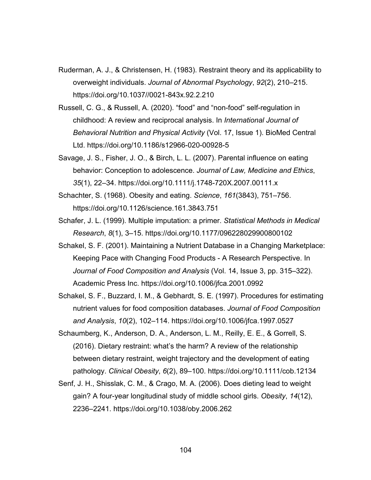- Ruderman, A. J., & Christensen, H. (1983). Restraint theory and its applicability to overweight individuals. *Journal of Abnormal Psychology*, *92*(2), 210–215. https://doi.org/10.1037//0021-843x.92.2.210
- Russell, C. G., & Russell, A. (2020). "food" and "non-food" self-regulation in childhood: A review and reciprocal analysis. In *International Journal of Behavioral Nutrition and Physical Activity* (Vol. 17, Issue 1). BioMed Central Ltd. https://doi.org/10.1186/s12966-020-00928-5
- Savage, J. S., Fisher, J. O., & Birch, L. L. (2007). Parental influence on eating behavior: Conception to adolescence. *Journal of Law, Medicine and Ethics*, *35*(1), 22–34. https://doi.org/10.1111/j.1748-720X.2007.00111.x
- Schachter, S. (1968). Obesity and eating. *Science*, *161*(3843), 751–756. https://doi.org/10.1126/science.161.3843.751
- Schafer, J. L. (1999). Multiple imputation: a primer. *Statistical Methods in Medical Research*, *8*(1), 3–15. https://doi.org/10.1177/096228029900800102
- Schakel, S. F. (2001). Maintaining a Nutrient Database in a Changing Marketplace: Keeping Pace with Changing Food Products - A Research Perspective. In *Journal of Food Composition and Analysis* (Vol. 14, Issue 3, pp. 315–322). Academic Press Inc. https://doi.org/10.1006/jfca.2001.0992
- Schakel, S. F., Buzzard, I. M., & Gebhardt, S. E. (1997). Procedures for estimating nutrient values for food composition databases. *Journal of Food Composition and Analysis*, *10*(2), 102–114. https://doi.org/10.1006/jfca.1997.0527
- Schaumberg, K., Anderson, D. A., Anderson, L. M., Reilly, E. E., & Gorrell, S. (2016). Dietary restraint: what's the harm? A review of the relationship between dietary restraint, weight trajectory and the development of eating pathology. *Clinical Obesity*, *6*(2), 89–100. https://doi.org/10.1111/cob.12134
- Senf, J. H., Shisslak, C. M., & Crago, M. A. (2006). Does dieting lead to weight gain? A four-year longitudinal study of middle school girls. *Obesity*, *14*(12), 2236–2241. https://doi.org/10.1038/oby.2006.262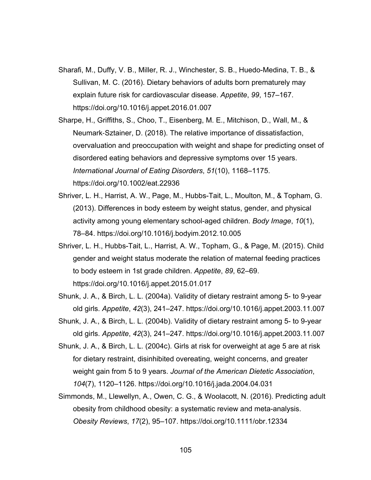- Sharafi, M., Duffy, V. B., Miller, R. J., Winchester, S. B., Huedo-Medina, T. B., & Sullivan, M. C. (2016). Dietary behaviors of adults born prematurely may explain future risk for cardiovascular disease. *Appetite*, *99*, 157–167. https://doi.org/10.1016/j.appet.2016.01.007
- Sharpe, H., Griffiths, S., Choo, T., Eisenberg, M. E., Mitchison, D., Wall, M., & Neumark-Sztainer, D. (2018). The relative importance of dissatisfaction, overvaluation and preoccupation with weight and shape for predicting onset of disordered eating behaviors and depressive symptoms over 15 years. *International Journal of Eating Disorders*, *51*(10), 1168–1175. https://doi.org/10.1002/eat.22936
- Shriver, L. H., Harrist, A. W., Page, M., Hubbs-Tait, L., Moulton, M., & Topham, G. (2013). Differences in body esteem by weight status, gender, and physical activity among young elementary school-aged children. *Body Image*, *10*(1), 78–84. https://doi.org/10.1016/j.bodyim.2012.10.005
- Shriver, L. H., Hubbs-Tait, L., Harrist, A. W., Topham, G., & Page, M. (2015). Child gender and weight status moderate the relation of maternal feeding practices to body esteem in 1st grade children. *Appetite*, *89*, 62–69. https://doi.org/10.1016/j.appet.2015.01.017
- Shunk, J. A., & Birch, L. L. (2004a). Validity of dietary restraint among 5- to 9-year old girls. *Appetite*, *42*(3), 241–247. https://doi.org/10.1016/j.appet.2003.11.007
- Shunk, J. A., & Birch, L. L. (2004b). Validity of dietary restraint among 5- to 9-year old girls. *Appetite*, *42*(3), 241–247. https://doi.org/10.1016/j.appet.2003.11.007
- Shunk, J. A., & Birch, L. L. (2004c). Girls at risk for overweight at age 5 are at risk for dietary restraint, disinhibited overeating, weight concerns, and greater weight gain from 5 to 9 years. *Journal of the American Dietetic Association*, *104*(7), 1120–1126. https://doi.org/10.1016/j.jada.2004.04.031
- Simmonds, M., Llewellyn, A., Owen, C. G., & Woolacott, N. (2016). Predicting adult obesity from childhood obesity: a systematic review and meta-analysis. *Obesity Reviews*, *17*(2), 95–107. https://doi.org/10.1111/obr.12334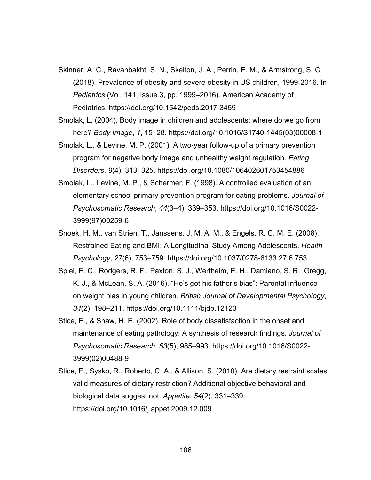- Skinner, A. C., Ravanbakht, S. N., Skelton, J. A., Perrin, E. M., & Armstrong, S. C. (2018). Prevalence of obesity and severe obesity in US children, 1999-2016. In *Pediatrics* (Vol. 141, Issue 3, pp. 1999–2016). American Academy of Pediatrics. https://doi.org/10.1542/peds.2017-3459
- Smolak, L. (2004). Body image in children and adolescents: where do we go from here? *Body Image*, *1*, 15–28. https://doi.org/10.1016/S1740-1445(03)00008-1
- Smolak, L., & Levine, M. P. (2001). A two-year follow-up of a primary prevention program for negative body image and unhealthy weight regulation. *Eating Disorders*, *9*(4), 313–325. https://doi.org/10.1080/106402601753454886
- Smolak, L., Levine, M. P., & Schermer, F. (1998). A controlled evaluation of an elementary school primary prevention program for eating problems. *Journal of Psychosomatic Research*, *44*(3–4), 339–353. https://doi.org/10.1016/S0022- 3999(97)00259-6
- Snoek, H. M., van Strien, T., Janssens, J. M. A. M., & Engels, R. C. M. E. (2008). Restrained Eating and BMI: A Longitudinal Study Among Adolescents. *Health Psychology*, *27*(6), 753–759. https://doi.org/10.1037/0278-6133.27.6.753
- Spiel, E. C., Rodgers, R. F., Paxton, S. J., Wertheim, E. H., Damiano, S. R., Gregg, K. J., & McLean, S. A. (2016). "He's got his father's bias": Parental influence on weight bias in young children. *British Journal of Developmental Psychology*, *34*(2), 198–211. https://doi.org/10.1111/bjdp.12123
- Stice, E., & Shaw, H. E. (2002). Role of body dissatisfaction in the onset and maintenance of eating pathology: A synthesis of research findings. *Journal of Psychosomatic Research*, *53*(5), 985–993. https://doi.org/10.1016/S0022- 3999(02)00488-9
- Stice, E., Sysko, R., Roberto, C. A., & Allison, S. (2010). Are dietary restraint scales valid measures of dietary restriction? Additional objective behavioral and biological data suggest not. *Appetite*, *54*(2), 331–339. https://doi.org/10.1016/j.appet.2009.12.009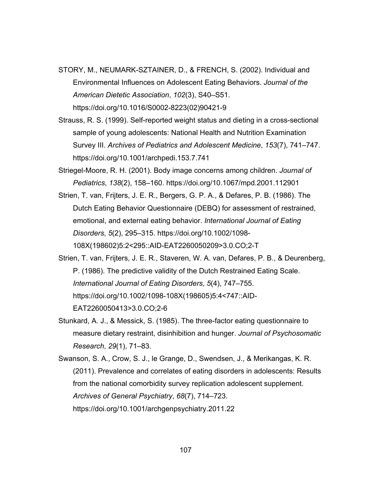- STORY, M., NEUMARK-SZTAINER, D., & FRENCH, S. (2002). Individual and Environmental Influences on Adolescent Eating Behaviors. *Journal of the American Dietetic Association*, *102*(3), S40–S51. https://doi.org/10.1016/S0002-8223(02)90421-9
- Strauss, R. S. (1999). Self-reported weight status and dieting in a cross-sectional sample of young adolescents: National Health and Nutrition Examination Survey III. *Archives of Pediatrics and Adolescent Medicine*, *153*(7), 741–747. https://doi.org/10.1001/archpedi.153.7.741
- Striegel-Moore, R. H. (2001). Body image concerns among children. *Journal of Pediatrics*, *138*(2), 158–160. https://doi.org/10.1067/mpd.2001.112901
- Strien, T. van, Frijters, J. E. R., Bergers, G. P. A., & Defares, P. B. (1986). The Dutch Eating Behavior Questionnaire (DEBQ) for assessment of restrained, emotional, and external eating behavior. *International Journal of Eating Disorders*, *5*(2), 295–315. https://doi.org/10.1002/1098- 108X(198602)5:2<295::AID-EAT2260050209>3.0.CO;2-T
- Strien, T. van, Frijters, J. E. R., Staveren, W. A. van, Defares, P. B., & Deurenberg, P. (1986). The predictive validity of the Dutch Restrained Eating Scale. *International Journal of Eating Disorders*, *5*(4), 747–755. https://doi.org/10.1002/1098-108X(198605)5:4<747::AID-EAT2260050413>3.0.CO;2-6
- Stunkard, A. J., & Messick, S. (1985). The three-factor eating questionnaire to measure dietary restraint, disinhibition and hunger. *Journal of Psychosomatic Research*, *29*(1), 71–83.
- Swanson, S. A., Crow, S. J., le Grange, D., Swendsen, J., & Merikangas, K. R. (2011). Prevalence and correlates of eating disorders in adolescents: Results from the national comorbidity survey replication adolescent supplement. *Archives of General Psychiatry*, *68*(7), 714–723. https://doi.org/10.1001/archgenpsychiatry.2011.22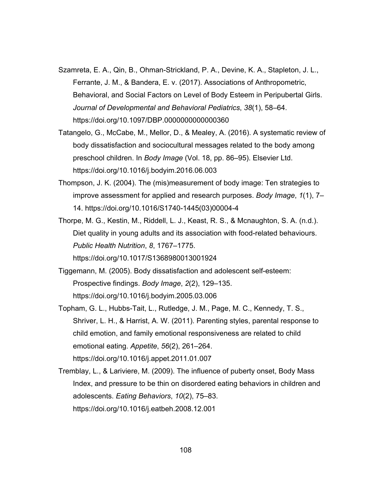- Szamreta, E. A., Qin, B., Ohman-Strickland, P. A., Devine, K. A., Stapleton, J. L., Ferrante, J. M., & Bandera, E. v. (2017). Associations of Anthropometric, Behavioral, and Social Factors on Level of Body Esteem in Peripubertal Girls. *Journal of Developmental and Behavioral Pediatrics*, *38*(1), 58–64. https://doi.org/10.1097/DBP.0000000000000360
- Tatangelo, G., McCabe, M., Mellor, D., & Mealey, A. (2016). A systematic review of body dissatisfaction and sociocultural messages related to the body among preschool children. In *Body Image* (Vol. 18, pp. 86–95). Elsevier Ltd. https://doi.org/10.1016/j.bodyim.2016.06.003
- Thompson, J. K. (2004). The (mis)measurement of body image: Ten strategies to improve assessment for applied and research purposes. *Body Image*, *1*(1), 7– 14. https://doi.org/10.1016/S1740-1445(03)00004-4
- Thorpe, M. G., Kestin, M., Riddell, L. J., Keast, R. S., & Mcnaughton, S. A. (n.d.). Diet quality in young adults and its association with food-related behaviours. *Public Health Nutrition*, *8*, 1767–1775.

https://doi.org/10.1017/S1368980013001924

- Tiggemann, M. (2005). Body dissatisfaction and adolescent self-esteem: Prospective findings. *Body Image*, *2*(2), 129–135. https://doi.org/10.1016/j.bodyim.2005.03.006
- Topham, G. L., Hubbs-Tait, L., Rutledge, J. M., Page, M. C., Kennedy, T. S., Shriver, L. H., & Harrist, A. W. (2011). Parenting styles, parental response to child emotion, and family emotional responsiveness are related to child emotional eating. *Appetite*, *56*(2), 261–264. https://doi.org/10.1016/j.appet.2011.01.007
- Tremblay, L., & Lariviere, M. (2009). The influence of puberty onset, Body Mass Index, and pressure to be thin on disordered eating behaviors in children and adolescents. *Eating Behaviors*, *10*(2), 75–83. https://doi.org/10.1016/j.eatbeh.2008.12.001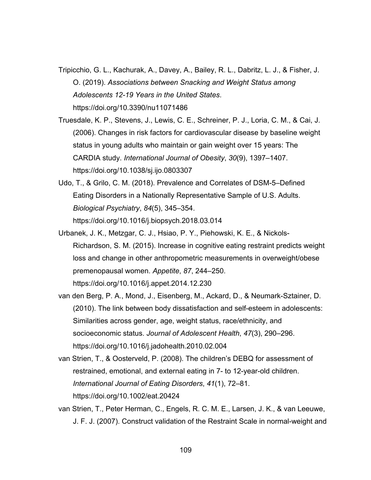- Tripicchio, G. L., Kachurak, A., Davey, A., Bailey, R. L., Dabritz, L. J., & Fisher, J. O. (2019). *Associations between Snacking and Weight Status among Adolescents 12-19 Years in the United States*. https://doi.org/10.3390/nu11071486
- Truesdale, K. P., Stevens, J., Lewis, C. E., Schreiner, P. J., Loria, C. M., & Cai, J. (2006). Changes in risk factors for cardiovascular disease by baseline weight status in young adults who maintain or gain weight over 15 years: The CARDIA study. *International Journal of Obesity*, *30*(9), 1397–1407. https://doi.org/10.1038/sj.ijo.0803307
- Udo, T., & Grilo, C. M. (2018). Prevalence and Correlates of DSM-5–Defined Eating Disorders in a Nationally Representative Sample of U.S. Adults. *Biological Psychiatry*, *84*(5), 345–354. https://doi.org/10.1016/j.biopsych.2018.03.014
- Urbanek, J. K., Metzgar, C. J., Hsiao, P. Y., Piehowski, K. E., & Nickols-Richardson, S. M. (2015). Increase in cognitive eating restraint predicts weight loss and change in other anthropometric measurements in overweight/obese premenopausal women. *Appetite*, *87*, 244–250. https://doi.org/10.1016/j.appet.2014.12.230
- van den Berg, P. A., Mond, J., Eisenberg, M., Ackard, D., & Neumark-Sztainer, D. (2010). The link between body dissatisfaction and self-esteem in adolescents: Similarities across gender, age, weight status, race/ethnicity, and socioeconomic status. *Journal of Adolescent Health*, *47*(3), 290–296. https://doi.org/10.1016/j.jadohealth.2010.02.004
- van Strien, T., & Oosterveld, P. (2008). The children's DEBQ for assessment of restrained, emotional, and external eating in 7- to 12-year-old children. *International Journal of Eating Disorders*, *41*(1), 72–81. https://doi.org/10.1002/eat.20424
- van Strien, T., Peter Herman, C., Engels, R. C. M. E., Larsen, J. K., & van Leeuwe, J. F. J. (2007). Construct validation of the Restraint Scale in normal-weight and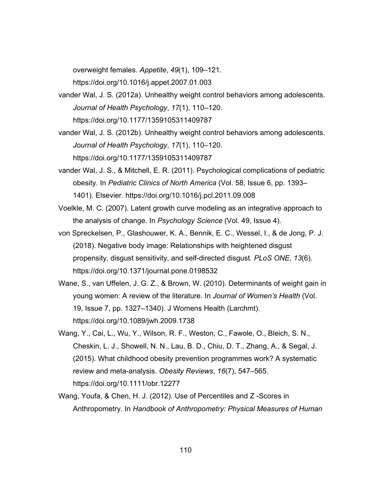overweight females. *Appetite*, *49*(1), 109–121. https://doi.org/10.1016/j.appet.2007.01.003

- vander Wal, J. S. (2012a). Unhealthy weight control behaviors among adolescents. *Journal of Health Psychology*, *17*(1), 110–120. https://doi.org/10.1177/1359105311409787
- vander Wal, J. S. (2012b). Unhealthy weight control behaviors among adolescents. *Journal of Health Psychology*, *17*(1), 110–120. https://doi.org/10.1177/1359105311409787
- vander Wal, J. S., & Mitchell, E. R. (2011). Psychological complications of pediatric obesity. In *Pediatric Clinics of North America* (Vol. 58, Issue 6, pp. 1393– 1401). Elsevier. https://doi.org/10.1016/j.pcl.2011.09.008
- Voelkle, M. C. (2007). Latent growth curve modeling as an integrative approach to the analysis of change. In *Psychology Science* (Vol. 49, Issue 4).
- von Spreckelsen, P., Glashouwer, K. A., Bennik, E. C., Wessel, I., & de Jong, P. J. (2018). Negative body image: Relationships with heightened disgust propensity, disgust sensitivity, and self-directed disgust. *PLoS ONE*, *13*(6). https://doi.org/10.1371/journal.pone.0198532
- Wane, S., van Uffelen, J. G. Z., & Brown, W. (2010). Determinants of weight gain in young women: A review of the literature. In *Journal of Women's Health* (Vol. 19, Issue 7, pp. 1327–1340). J Womens Health (Larchmt). https://doi.org/10.1089/jwh.2009.1738
- Wang, Y., Cai, L., Wu, Y., Wilson, R. F., Weston, C., Fawole, O., Bleich, S. N., Cheskin, L. J., Showell, N. N., Lau, B. D., Chiu, D. T., Zhang, A., & Segal, J. (2015). What childhood obesity prevention programmes work? A systematic review and meta-analysis. *Obesity Reviews*, *16*(7), 547–565. https://doi.org/10.1111/obr.12277
- Wang, Youfa, & Chen, H. J. (2012). Use of Percentiles and Z -Scores in Anthropometry. In *Handbook of Anthropometry: Physical Measures of Human*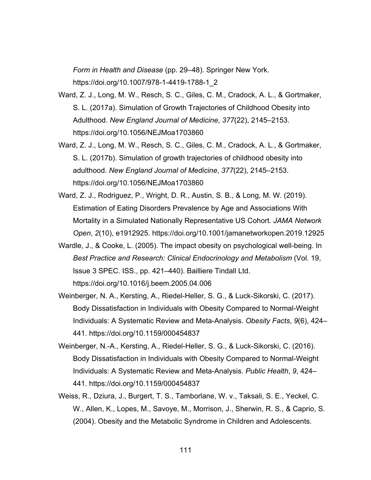*Form in Health and Disease* (pp. 29–48). Springer New York. https://doi.org/10.1007/978-1-4419-1788-1\_2

- Ward, Z. J., Long, M. W., Resch, S. C., Giles, C. M., Cradock, A. L., & Gortmaker, S. L. (2017a). Simulation of Growth Trajectories of Childhood Obesity into Adulthood. *New England Journal of Medicine*, *377*(22), 2145–2153. https://doi.org/10.1056/NEJMoa1703860
- Ward, Z. J., Long, M. W., Resch, S. C., Giles, C. M., Cradock, A. L., & Gortmaker, S. L. (2017b). Simulation of growth trajectories of childhood obesity into adulthood. *New England Journal of Medicine*, *377*(22), 2145–2153. https://doi.org/10.1056/NEJMoa1703860
- Ward, Z. J., Rodriguez, P., Wright, D. R., Austin, S. B., & Long, M. W. (2019). Estimation of Eating Disorders Prevalence by Age and Associations With Mortality in a Simulated Nationally Representative US Cohort. *JAMA Network Open*, *2*(10), e1912925. https://doi.org/10.1001/jamanetworkopen.2019.12925
- Wardle, J., & Cooke, L. (2005). The impact obesity on psychological well-being. In *Best Practice and Research: Clinical Endocrinology and Metabolism* (Vol. 19, Issue 3 SPEC. ISS., pp. 421–440). Bailliere Tindall Ltd. https://doi.org/10.1016/j.beem.2005.04.006
- Weinberger, N. A., Kersting, A., Riedel-Heller, S. G., & Luck-Sikorski, C. (2017). Body Dissatisfaction in Individuals with Obesity Compared to Normal-Weight Individuals: A Systematic Review and Meta-Analysis. *Obesity Facts*, *9*(6), 424– 441. https://doi.org/10.1159/000454837
- Weinberger, N.-A., Kersting, A., Riedel-Heller, S. G., & Luck-Sikorski, C. (2016). Body Dissatisfaction in Individuals with Obesity Compared to Normal-Weight Individuals: A Systematic Review and Meta-Analysis. *Public Health*, *9*, 424– 441. https://doi.org/10.1159/000454837
- Weiss, R., Dziura, J., Burgert, T. S., Tamborlane, W. v., Taksali, S. E., Yeckel, C. W., Allen, K., Lopes, M., Savoye, M., Morrison, J., Sherwin, R. S., & Caprio, S. (2004). Obesity and the Metabolic Syndrome in Children and Adolescents.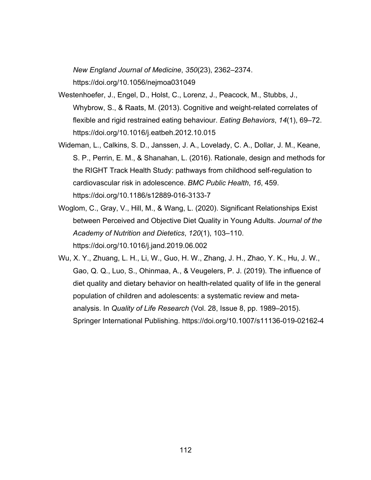*New England Journal of Medicine*, *350*(23), 2362–2374. https://doi.org/10.1056/nejmoa031049

- Westenhoefer, J., Engel, D., Holst, C., Lorenz, J., Peacock, M., Stubbs, J., Whybrow, S., & Raats, M. (2013). Cognitive and weight-related correlates of flexible and rigid restrained eating behaviour. *Eating Behaviors*, *14*(1), 69–72. https://doi.org/10.1016/j.eatbeh.2012.10.015
- Wideman, L., Calkins, S. D., Janssen, J. A., Lovelady, C. A., Dollar, J. M., Keane, S. P., Perrin, E. M., & Shanahan, L. (2016). Rationale, design and methods for the RIGHT Track Health Study: pathways from childhood self-regulation to cardiovascular risk in adolescence. *BMC Public Health*, *16*, 459. https://doi.org/10.1186/s12889-016-3133-7
- Woglom, C., Gray, V., Hill, M., & Wang, L. (2020). Significant Relationships Exist between Perceived and Objective Diet Quality in Young Adults. *Journal of the Academy of Nutrition and Dietetics*, *120*(1), 103–110. https://doi.org/10.1016/j.jand.2019.06.002
- Wu, X. Y., Zhuang, L. H., Li, W., Guo, H. W., Zhang, J. H., Zhao, Y. K., Hu, J. W., Gao, Q. Q., Luo, S., Ohinmaa, A., & Veugelers, P. J. (2019). The influence of diet quality and dietary behavior on health-related quality of life in the general population of children and adolescents: a systematic review and metaanalysis. In *Quality of Life Research* (Vol. 28, Issue 8, pp. 1989–2015). Springer International Publishing. https://doi.org/10.1007/s11136-019-02162-4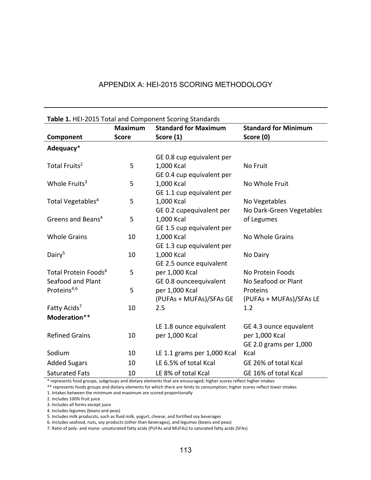| Table 1. HEI-2015 Total and Component Scoring Standards |                |                             |                             |  |  |  |
|---------------------------------------------------------|----------------|-----------------------------|-----------------------------|--|--|--|
|                                                         | <b>Maximum</b> | <b>Standard for Maximum</b> | <b>Standard for Minimum</b> |  |  |  |
| Component                                               | <b>Score</b>   | Score (1)                   | Score (0)                   |  |  |  |
| Adequacy*                                               |                |                             |                             |  |  |  |
|                                                         |                | GE 0.8 cup equivalent per   |                             |  |  |  |
| Total Fruits <sup>2</sup>                               | 5              | 1,000 Kcal                  | No Fruit                    |  |  |  |
|                                                         |                | GE 0.4 cup equivalent per   |                             |  |  |  |
| Whole Fruits <sup>3</sup>                               | 5              | 1,000 Kcal                  | No Whole Fruit              |  |  |  |
|                                                         |                | GE 1.1 cup equivalent per   |                             |  |  |  |
| Total Vegetables <sup>4</sup>                           | 5              | 1,000 Kcal                  | No Vegetables               |  |  |  |
|                                                         |                | GE 0.2 cupequivalent per    | No Dark-Green Vegetables    |  |  |  |
| Greens and Beans <sup>4</sup>                           | 5              | 1,000 Kcal                  | of Legumes                  |  |  |  |
|                                                         |                | GE 1.5 cup equivalent per   |                             |  |  |  |
| <b>Whole Grains</b>                                     | 10             | 1,000 Kcal                  | No Whole Grains             |  |  |  |
|                                                         |                | GE 1.3 cup equivalent per   |                             |  |  |  |
| Dairy <sup>5</sup>                                      | 10             | 1,000 Kcal                  | No Dairy                    |  |  |  |
|                                                         |                | GE 2.5 ounce equivalent     |                             |  |  |  |
| Total Protein Foods <sup>6</sup>                        | 5              | per 1,000 Kcal              | No Protein Foods            |  |  |  |
| Seafood and Plant                                       |                | GE 0.8 ounceequivalent      | No Seafood or Plant         |  |  |  |
| Proteins <sup>4,6</sup>                                 | 5              | per 1,000 Kcal              | Proteins                    |  |  |  |
|                                                         |                | (PUFAs + MUFAs)/SFAs GE     | (PUFAs + MUFAs)/SFAs LE     |  |  |  |
| Fatty Acids <sup>7</sup>                                | 10             | 2.5                         | 1.2                         |  |  |  |
| Moderation**                                            |                |                             |                             |  |  |  |
|                                                         |                | LE 1.8 ounce equivalent     | GE 4.3 ounce equvalent      |  |  |  |
| <b>Refined Grains</b>                                   | 10             | per 1,000 Kcal              | per 1,000 Kcal              |  |  |  |
|                                                         |                |                             | GE 2.0 grams per 1,000      |  |  |  |
| Sodium                                                  | 10             | LE 1.1 grams per 1,000 Kcal | Kcal                        |  |  |  |
| <b>Added Sugars</b>                                     | 10             | LE 6.5% of total Kcal       | GE 26% of total Kcal        |  |  |  |
| <b>Saturated Fats</b>                                   | 10             | LE 8% of total Kcal         | GE 16% of total Kcal        |  |  |  |

\* represents food groups, subgroups and dietary elements that are encouraged; higher scores reflect higher intakes

\*\* represents foods groups and dietary elements for which there are limits to consumption; higher scores reflect lower intakes

1. Intakes between the minimum and maximum are scored proportionally

2. Includes 100% fruit juice

3. Includes all forms except juice

4. Includes legumes (beans and peas)

5. Includes milk producsts, such as fluid milk, yogurt, cheese, and fortified soy beverages

6. Includes seafood, nuts, soy products (other than beverages), and legumes (beans and peas)

7. Ratio of poly- and mono- unsaturated fatty acids (PUFAs and MUFAs) to saturated fatty acids (SFAs)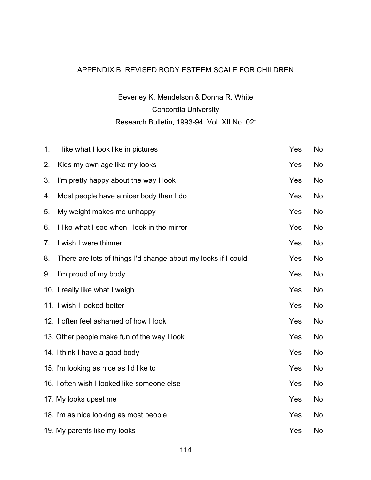## APPENDIX B: REVISED BODY ESTEEM SCALE FOR CHILDREN

# Beverley K. Mendelson & Donna R. White Concordia University Research Bulletin, 1993-94, Vol. XII No. 02\*

| 1. | I like what I look like in pictures                           | Yes | <b>No</b> |
|----|---------------------------------------------------------------|-----|-----------|
| 2. | Kids my own age like my looks                                 | Yes | No        |
| 3. | I'm pretty happy about the way I look                         | Yes | No        |
| 4. | Most people have a nicer body than I do                       | Yes | No        |
| 5. | My weight makes me unhappy                                    | Yes | No        |
| 6. | I like what I see when I look in the mirror                   | Yes | No        |
| 7. | I wish I were thinner                                         | Yes | No        |
| 8. | There are lots of things I'd change about my looks if I could | Yes | No        |
| 9. | I'm proud of my body                                          | Yes | <b>No</b> |
|    | 10. I really like what I weigh                                | Yes | No        |
|    | 11. I wish I looked better                                    | Yes | <b>No</b> |
|    | 12. I often feel ashamed of how I look                        | Yes | No        |
|    | 13. Other people make fun of the way I look                   | Yes | <b>No</b> |
|    | 14. I think I have a good body                                | Yes | No        |
|    | 15. I'm looking as nice as I'd like to                        | Yes | <b>No</b> |
|    | 16. I often wish I looked like someone else                   | Yes | No        |
|    | 17. My looks upset me                                         | Yes | <b>No</b> |
|    | 18. I'm as nice looking as most people                        | Yes | No        |
|    | 19. My parents like my looks                                  | Yes | <b>No</b> |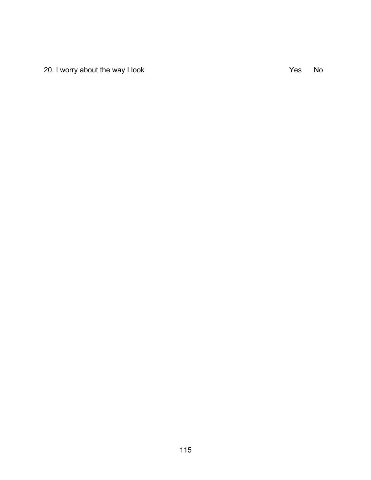20. I worry about the way I look  $\overline{Y}$  and  $\overline{Y}$  are  $\overline{Y}$  and  $\overline{Y}$  are  $\overline{Y}$  are  $\overline{Y}$  and  $\overline{Y}$  are  $\overline{Y}$  are  $\overline{Y}$  and  $\overline{Y}$  are  $\overline{Y}$  are  $\overline{Y}$  and  $\overline{Y}$  are  $\overline{Y}$  are  $\overline{Y}$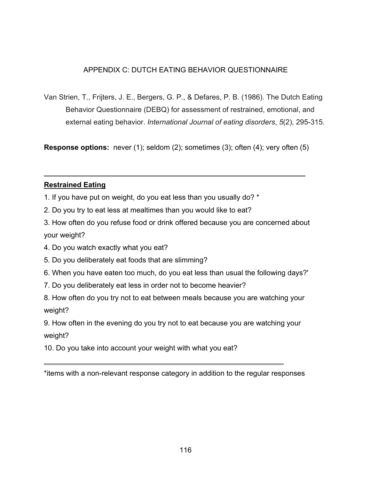### APPENDIX C: DUTCH EATING BEHAVIOR QUESTIONNAIRE

Van Strien, T., Frijters, J. E., Bergers, G. P., & Defares, P. B. (1986). The Dutch Eating Behavior Questionnaire (DEBQ) for assessment of restrained, emotional, and external eating behavior. *International Journal of eating disorders*, *5*(2), 295-315.

**Response options:** never (1); seldom (2); sometimes (3); often (4); very often (5)

#### **Restrained Eating**

- 1. If you have put on weight, do you eat less than you usually do? \*
- 2. Do you try to eat less at mealtimes than you would like to eat?
- 3. How often do you refuse food or drink offered because you are concerned about your weight?
- 4. Do you watch exactly what you eat?
- 5. Do you deliberately eat foods that are slimming?
- 6. When you have eaten too much, do you eat less than usual the following days?'
- 7. Do you deliberately eat less in order not to become heavier?
- 8. How often do you try not to eat between meals because you are watching your weight?

9. How often in the evening do you try not to eat because you are watching your weight?

10. Do you take into account your weight with what you eat?

<sup>\*</sup>items with a non-relevant response category in addition to the regular responses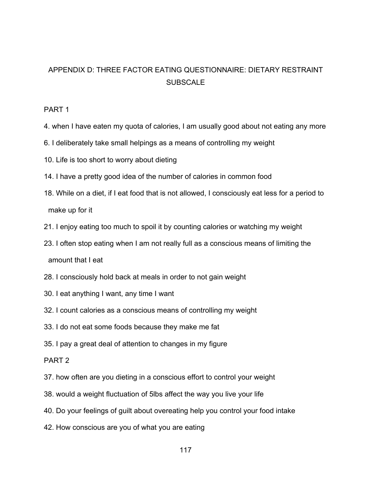## APPENDIX D: THREE FACTOR EATING QUESTIONNAIRE: DIETARY RESTRAINT **SUBSCALE**

#### PART 1

- 4. when I have eaten my quota of calories, I am usually good about not eating any more
- 6. I deliberately take small helpings as a means of controlling my weight
- 10. Life is too short to worry about dieting
- 14. I have a pretty good idea of the number of calories in common food
- 18. While on a diet, if I eat food that is not allowed, I consciously eat less for a period to make up for it
- 21. I enjoy eating too much to spoil it by counting calories or watching my weight
- 23. I often stop eating when I am not really full as a conscious means of limiting the amount that I eat
- 28. I consciously hold back at meals in order to not gain weight
- 30. I eat anything I want, any time I want
- 32. I count calories as a conscious means of controlling my weight
- 33. I do not eat some foods because they make me fat
- 35. I pay a great deal of attention to changes in my figure

#### PART 2

- 37. how often are you dieting in a conscious effort to control your weight
- 38. would a weight fluctuation of 5lbs affect the way you live your life
- 40. Do your feelings of guilt about overeating help you control your food intake
- 42. How conscious are you of what you are eating